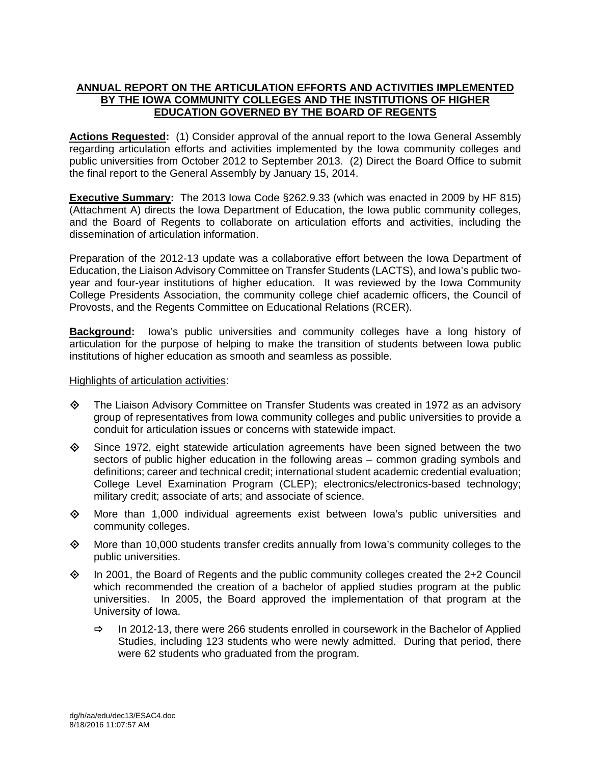# **ANNUAL REPORT ON THE ARTICULATION EFFORTS AND ACTIVITIES IMPLEMENTED BY THE IOWA COMMUNITY COLLEGES AND THE INSTITUTIONS OF HIGHER EDUCATION GOVERNED BY THE BOARD OF REGENTS**

**Actions Requested:** (1) Consider approval of the annual report to the Iowa General Assembly regarding articulation efforts and activities implemented by the Iowa community colleges and public universities from October 2012 to September 2013. (2) Direct the Board Office to submit the final report to the General Assembly by January 15, 2014.

**Executive Summary:** The 2013 Iowa Code §262.9.33 (which was enacted in 2009 by HF 815) (Attachment A) directs the Iowa Department of Education, the Iowa public community colleges, and the Board of Regents to collaborate on articulation efforts and activities, including the dissemination of articulation information.

Preparation of the 2012-13 update was a collaborative effort between the Iowa Department of Education, the Liaison Advisory Committee on Transfer Students (LACTS), and Iowa's public twoyear and four-year institutions of higher education. It was reviewed by the Iowa Community College Presidents Association, the community college chief academic officers, the Council of Provosts, and the Regents Committee on Educational Relations (RCER).

**Background:** Iowa's public universities and community colleges have a long history of articulation for the purpose of helping to make the transition of students between Iowa public institutions of higher education as smooth and seamless as possible.

# Highlights of articulation activities:

- $\diamond$  The Liaison Advisory Committee on Transfer Students was created in 1972 as an advisory group of representatives from Iowa community colleges and public universities to provide a conduit for articulation issues or concerns with statewide impact.
- $\diamond$  Since 1972, eight statewide articulation agreements have been signed between the two sectors of public higher education in the following areas – common grading symbols and definitions; career and technical credit; international student academic credential evaluation; College Level Examination Program (CLEP); electronics/electronics-based technology; military credit; associate of arts; and associate of science.
- $\diamond$  More than 1,000 individual agreements exist between lowa's public universities and community colleges.
- $\diamond$  More than 10,000 students transfer credits annually from lowa's community colleges to the public universities.
- $\diamond$  In 2001, the Board of Regents and the public community colleges created the 2+2 Council which recommended the creation of a bachelor of applied studies program at the public universities. In 2005, the Board approved the implementation of that program at the University of Iowa.
	- $\Rightarrow$  In 2012-13, there were 266 students enrolled in coursework in the Bachelor of Applied Studies, including 123 students who were newly admitted. During that period, there were 62 students who graduated from the program.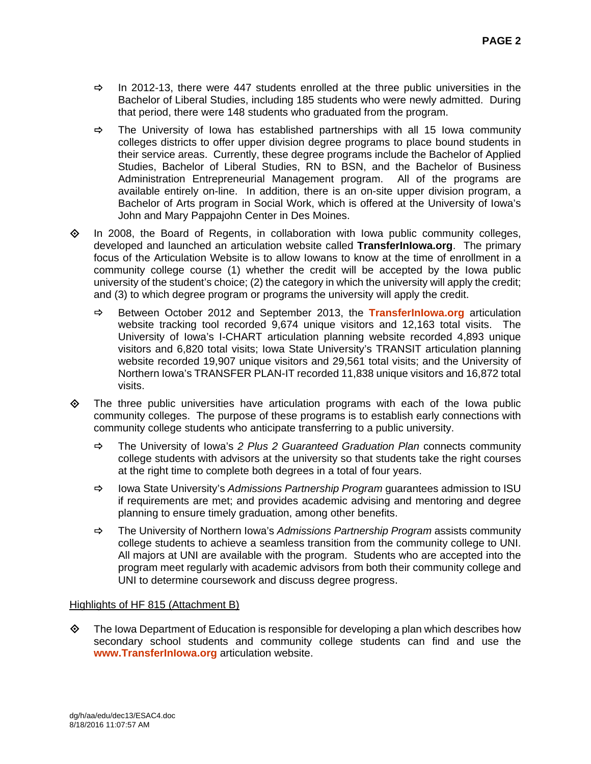- $\Rightarrow$  In 2012-13, there were 447 students enrolled at the three public universities in the Bachelor of Liberal Studies, including 185 students who were newly admitted. During that period, there were 148 students who graduated from the program.
- $\Rightarrow$  The University of Iowa has established partnerships with all 15 Iowa community colleges districts to offer upper division degree programs to place bound students in their service areas. Currently, these degree programs include the Bachelor of Applied Studies, Bachelor of Liberal Studies, RN to BSN, and the Bachelor of Business Administration Entrepreneurial Management program. All of the programs are available entirely on-line. In addition, there is an on-site upper division program, a Bachelor of Arts program in Social Work, which is offered at the University of Iowa's John and Mary Pappajohn Center in Des Moines.
- $\Diamond$  In 2008, the Board of Regents, in collaboration with Iowa public community colleges, developed and launched an articulation website called **TransferInIowa.org**. The primary focus of the Articulation Website is to allow Iowans to know at the time of enrollment in a community college course (1) whether the credit will be accepted by the Iowa public university of the student's choice; (2) the category in which the university will apply the credit; and (3) to which degree program or programs the university will apply the credit.
	- Between October 2012 and September 2013, the **TransferInIowa.org** articulation website tracking tool recorded 9,674 unique visitors and 12,163 total visits. The University of Iowa's I-CHART articulation planning website recorded 4,893 unique visitors and 6,820 total visits; Iowa State University's TRANSIT articulation planning website recorded 19,907 unique visitors and 29,561 total visits; and the University of Northern Iowa's TRANSFER PLAN-IT recorded 11,838 unique visitors and 16,872 total visits.
- $\Leftrightarrow$  The three public universities have articulation programs with each of the lowa public community colleges. The purpose of these programs is to establish early connections with community college students who anticipate transferring to a public university.
	- The University of Iowa's *2 Plus 2 Guaranteed Graduation Plan* connects community college students with advisors at the university so that students take the right courses at the right time to complete both degrees in a total of four years.
	- Iowa State University's *Admissions Partnership Program* guarantees admission to ISU if requirements are met; and provides academic advising and mentoring and degree planning to ensure timely graduation, among other benefits.
	- The University of Northern Iowa's *Admissions Partnership Program* assists community college students to achieve a seamless transition from the community college to UNI. All majors at UNI are available with the program. Students who are accepted into the program meet regularly with academic advisors from both their community college and UNI to determine coursework and discuss degree progress.

# Highlights of HF 815 (Attachment B)

 $\diamond$  The Iowa Department of Education is responsible for developing a plan which describes how secondary school students and community college students can find and use the **www.TransferInIowa.org** articulation website.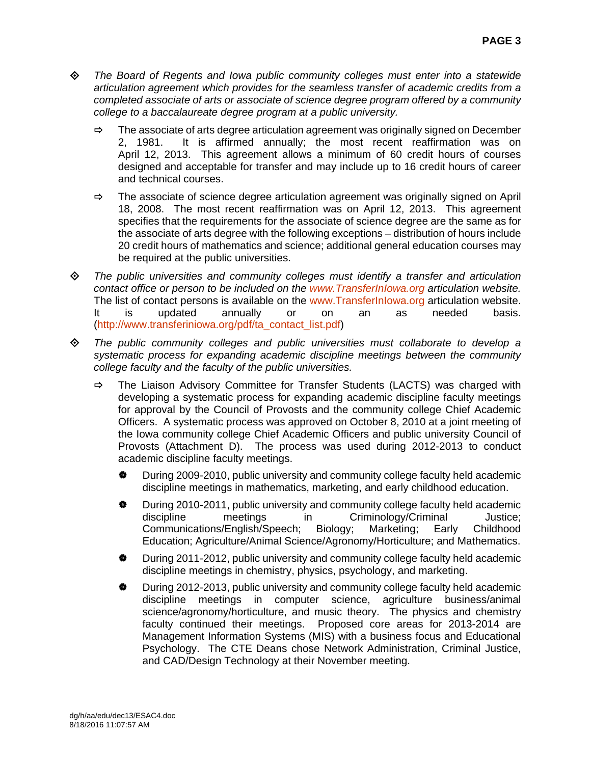- *The Board of Regents and Iowa public community colleges must enter into a statewide articulation agreement which provides for the seamless transfer of academic credits from a completed associate of arts or associate of science degree program offered by a community college to a baccalaureate degree program at a public university.* 
	- $\Rightarrow$  The associate of arts degree articulation agreement was originally signed on December 2, 1981. It is affirmed annually; the most recent reaffirmation was on April 12, 2013. This agreement allows a minimum of 60 credit hours of courses designed and acceptable for transfer and may include up to 16 credit hours of career and technical courses.
	- $\Rightarrow$  The associate of science degree articulation agreement was originally signed on April 18, 2008. The most recent reaffirmation was on April 12, 2013. This agreement specifies that the requirements for the associate of science degree are the same as for the associate of arts degree with the following exceptions – distribution of hours include 20 credit hours of mathematics and science; additional general education courses may be required at the public universities.
- *The public universities and community colleges must identify a transfer and articulation contact office or person to be included on the www.TransferInIowa.org articulation website.* The list of contact persons is available on the www.TransferInIowa.org articulation website.<br>It is updated annually or on an as needed basis. It is updated annually or on an as needed basis. (http://www.transferiniowa.org/pdf/ta\_contact\_list.pdf)
- *The public community colleges and public universities must collaborate to develop a systematic process for expanding academic discipline meetings between the community college faculty and the faculty of the public universities.* 
	- $\Rightarrow$  The Liaison Advisory Committee for Transfer Students (LACTS) was charged with developing a systematic process for expanding academic discipline faculty meetings for approval by the Council of Provosts and the community college Chief Academic Officers. A systematic process was approved on October 8, 2010 at a joint meeting of the Iowa community college Chief Academic Officers and public university Council of Provosts (Attachment D). The process was used during 2012-2013 to conduct academic discipline faculty meetings.
		- During 2009-2010, public university and community college faculty held academic discipline meetings in mathematics, marketing, and early childhood education.
		- $\bullet$  During 2010-2011, public university and community college faculty held academic discipline meetings in Criminology/Criminal Justice; Communications/English/Speech; Biology; Marketing; Early Childhood Education; Agriculture/Animal Science/Agronomy/Horticulture; and Mathematics.
		- During 2011-2012, public university and community college faculty held academic discipline meetings in chemistry, physics, psychology, and marketing.
		- During 2012-2013, public university and community college faculty held academic discipline meetings in computer science, agriculture business/animal science/agronomy/horticulture, and music theory. The physics and chemistry faculty continued their meetings. Proposed core areas for 2013-2014 are Management Information Systems (MIS) with a business focus and Educational Psychology. The CTE Deans chose Network Administration, Criminal Justice, and CAD/Design Technology at their November meeting.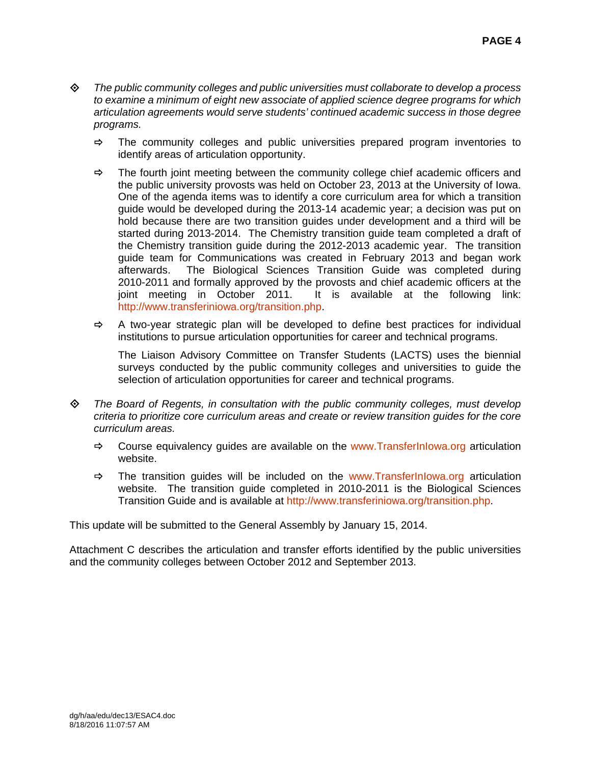- *The public community colleges and public universities must collaborate to develop a process to examine a minimum of eight new associate of applied science degree programs for which articulation agreements would serve students' continued academic success in those degree programs.* 
	- $\Rightarrow$  The community colleges and public universities prepared program inventories to identify areas of articulation opportunity.
	- $\Rightarrow$  The fourth joint meeting between the community college chief academic officers and the public university provosts was held on October 23, 2013 at the University of Iowa. One of the agenda items was to identify a core curriculum area for which a transition guide would be developed during the 2013-14 academic year; a decision was put on hold because there are two transition guides under development and a third will be started during 2013-2014. The Chemistry transition guide team completed a draft of the Chemistry transition guide during the 2012-2013 academic year. The transition guide team for Communications was created in February 2013 and began work afterwards. The Biological Sciences Transition Guide was completed during 2010-2011 and formally approved by the provosts and chief academic officers at the joint meeting in October 2011. It is available at the following link: http://www.transferiniowa.org/transition.php.
	- $\Rightarrow$  A two-year strategic plan will be developed to define best practices for individual institutions to pursue articulation opportunities for career and technical programs.

The Liaison Advisory Committee on Transfer Students (LACTS) uses the biennial surveys conducted by the public community colleges and universities to guide the selection of articulation opportunities for career and technical programs.

- *The Board of Regents, in consultation with the public community colleges, must develop criteria to prioritize core curriculum areas and create or review transition guides for the core curriculum areas.* 
	- $\Rightarrow$  Course equivalency quides are available on the www.Transferiniowa.org articulation website.
	- $\Rightarrow$  The transition guides will be included on the www.TransferInIowa.org articulation website. The transition guide completed in 2010-2011 is the Biological Sciences Transition Guide and is available at http://www.transferiniowa.org/transition.php.

This update will be submitted to the General Assembly by January 15, 2014.

Attachment C describes the articulation and transfer efforts identified by the public universities and the community colleges between October 2012 and September 2013.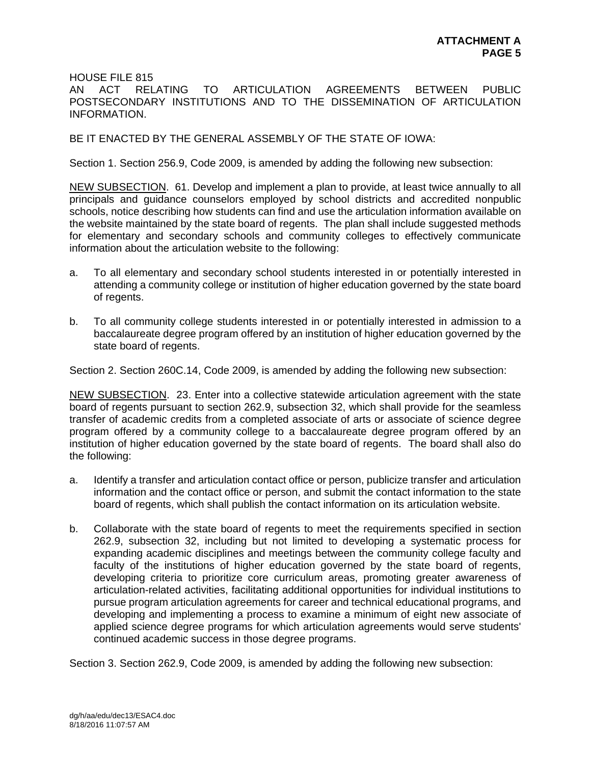HOUSE FILE 815

AN ACT RELATING TO ARTICULATION AGREEMENTS BETWEEN PUBLIC POSTSECONDARY INSTITUTIONS AND TO THE DISSEMINATION OF ARTICULATION INFORMATION.

BE IT ENACTED BY THE GENERAL ASSEMBLY OF THE STATE OF IOWA:

Section 1. Section 256.9, Code 2009, is amended by adding the following new subsection:

NEW SUBSECTION. 61. Develop and implement a plan to provide, at least twice annually to all principals and guidance counselors employed by school districts and accredited nonpublic schools, notice describing how students can find and use the articulation information available on the website maintained by the state board of regents. The plan shall include suggested methods for elementary and secondary schools and community colleges to effectively communicate information about the articulation website to the following:

- a. To all elementary and secondary school students interested in or potentially interested in attending a community college or institution of higher education governed by the state board of regents.
- b. To all community college students interested in or potentially interested in admission to a baccalaureate degree program offered by an institution of higher education governed by the state board of regents.

Section 2. Section 260C.14, Code 2009, is amended by adding the following new subsection:

NEW SUBSECTION. 23. Enter into a collective statewide articulation agreement with the state board of regents pursuant to section 262.9, subsection 32, which shall provide for the seamless transfer of academic credits from a completed associate of arts or associate of science degree program offered by a community college to a baccalaureate degree program offered by an institution of higher education governed by the state board of regents. The board shall also do the following:

- a. Identify a transfer and articulation contact office or person, publicize transfer and articulation information and the contact office or person, and submit the contact information to the state board of regents, which shall publish the contact information on its articulation website.
- b. Collaborate with the state board of regents to meet the requirements specified in section 262.9, subsection 32, including but not limited to developing a systematic process for expanding academic disciplines and meetings between the community college faculty and faculty of the institutions of higher education governed by the state board of regents, developing criteria to prioritize core curriculum areas, promoting greater awareness of articulation-related activities, facilitating additional opportunities for individual institutions to pursue program articulation agreements for career and technical educational programs, and developing and implementing a process to examine a minimum of eight new associate of applied science degree programs for which articulation agreements would serve students' continued academic success in those degree programs.

Section 3. Section 262.9, Code 2009, is amended by adding the following new subsection: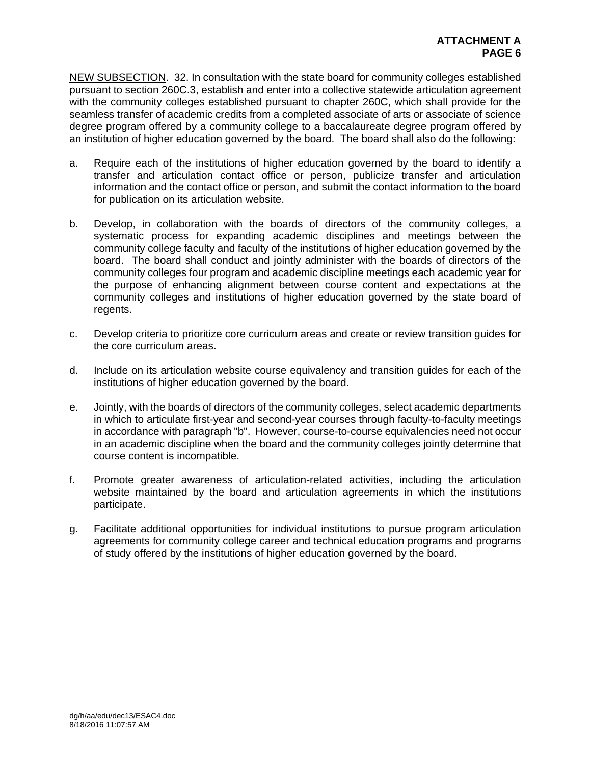NEW SUBSECTION. 32. In consultation with the state board for community colleges established pursuant to section 260C.3, establish and enter into a collective statewide articulation agreement with the community colleges established pursuant to chapter 260C, which shall provide for the seamless transfer of academic credits from a completed associate of arts or associate of science degree program offered by a community college to a baccalaureate degree program offered by an institution of higher education governed by the board. The board shall also do the following:

- a. Require each of the institutions of higher education governed by the board to identify a transfer and articulation contact office or person, publicize transfer and articulation information and the contact office or person, and submit the contact information to the board for publication on its articulation website.
- b. Develop, in collaboration with the boards of directors of the community colleges, a systematic process for expanding academic disciplines and meetings between the community college faculty and faculty of the institutions of higher education governed by the board. The board shall conduct and jointly administer with the boards of directors of the community colleges four program and academic discipline meetings each academic year for the purpose of enhancing alignment between course content and expectations at the community colleges and institutions of higher education governed by the state board of regents.
- c. Develop criteria to prioritize core curriculum areas and create or review transition guides for the core curriculum areas.
- d. Include on its articulation website course equivalency and transition guides for each of the institutions of higher education governed by the board.
- e. Jointly, with the boards of directors of the community colleges, select academic departments in which to articulate first-year and second-year courses through faculty-to-faculty meetings in accordance with paragraph "b". However, course-to-course equivalencies need not occur in an academic discipline when the board and the community colleges jointly determine that course content is incompatible.
- f. Promote greater awareness of articulation-related activities, including the articulation website maintained by the board and articulation agreements in which the institutions participate.
- g. Facilitate additional opportunities for individual institutions to pursue program articulation agreements for community college career and technical education programs and programs of study offered by the institutions of higher education governed by the board.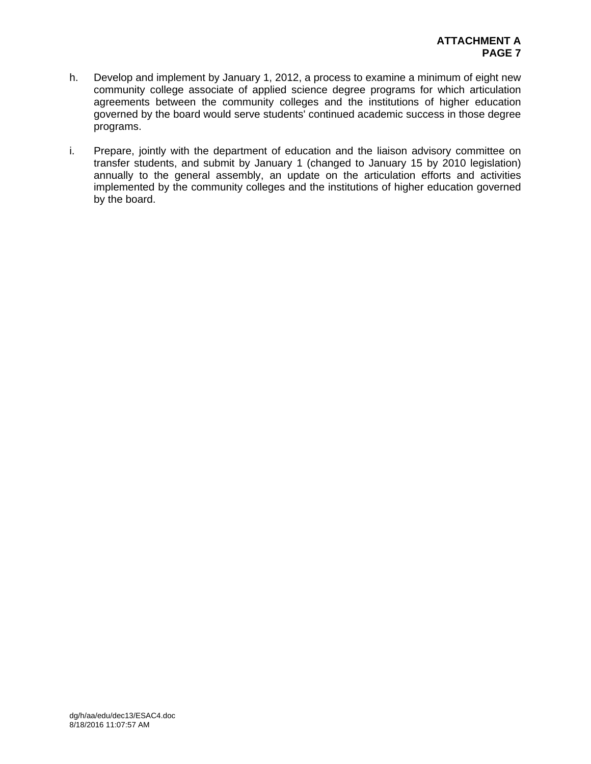- h. Develop and implement by January 1, 2012, a process to examine a minimum of eight new community college associate of applied science degree programs for which articulation agreements between the community colleges and the institutions of higher education governed by the board would serve students' continued academic success in those degree programs.
- i. Prepare, jointly with the department of education and the liaison advisory committee on transfer students, and submit by January 1 (changed to January 15 by 2010 legislation) annually to the general assembly, an update on the articulation efforts and activities implemented by the community colleges and the institutions of higher education governed by the board.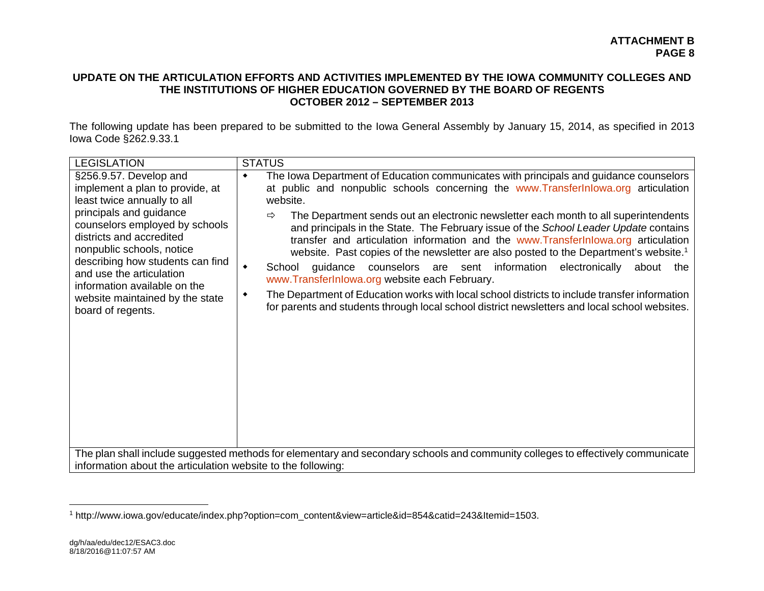# **UPDATE ON THE ARTICULATION EFFORTS AND ACTIVITIES IMPLEMENTED BY THE IOWA COMMUNITY COLLEGES AND THE INSTITUTIONS OF HIGHER EDUCATION GOVERNED BY THE BOARD OF REGENTS OCTOBER 2012 – SEPTEMBER 2013**

The following update has been prepared to be submitted to the Iowa General Assembly by January 15, 2014, as specified in 2013 Iowa Code §262.9.33.1

| <b>LEGISLATION</b>                                                                                                                                                                                                                                                                                                                                                     | <b>STATUS</b>                                                                                                                                                                                                                                                                                                                                                                                                                                                                                                                                                                                                                                                                                                                                                                                                                                                                                                                                      |
|------------------------------------------------------------------------------------------------------------------------------------------------------------------------------------------------------------------------------------------------------------------------------------------------------------------------------------------------------------------------|----------------------------------------------------------------------------------------------------------------------------------------------------------------------------------------------------------------------------------------------------------------------------------------------------------------------------------------------------------------------------------------------------------------------------------------------------------------------------------------------------------------------------------------------------------------------------------------------------------------------------------------------------------------------------------------------------------------------------------------------------------------------------------------------------------------------------------------------------------------------------------------------------------------------------------------------------|
| §256.9.57. Develop and<br>implement a plan to provide, at<br>least twice annually to all<br>principals and guidance<br>counselors employed by schools<br>districts and accredited<br>nonpublic schools, notice<br>describing how students can find<br>and use the articulation<br>information available on the<br>website maintained by the state<br>board of regents. | The lowa Department of Education communicates with principals and guidance counselors<br>٠<br>at public and nonpublic schools concerning the www.Transferlnlowa.org articulation<br>website.<br>The Department sends out an electronic newsletter each month to all superintendents<br>$\Rightarrow$<br>and principals in the State. The February issue of the School Leader Update contains<br>transfer and articulation information and the www.TransferInlowa.org articulation<br>website. Past copies of the newsletter are also posted to the Department's website. <sup>1</sup><br>guidance counselors are sent information electronically<br>$\blacklozenge$<br>School<br>about the<br>www.TransferInlowa.org website each February.<br>The Department of Education works with local school districts to include transfer information<br>٠<br>for parents and students through local school district newsletters and local school websites. |
| information about the articulation website to the following:                                                                                                                                                                                                                                                                                                           | The plan shall include suggested methods for elementary and secondary schools and community colleges to effectively communicate                                                                                                                                                                                                                                                                                                                                                                                                                                                                                                                                                                                                                                                                                                                                                                                                                    |

<sup>1</sup> http://www.iowa.gov/educate/index.php?option=com\_content&view=article&id=854&catid=243&Itemid=1503.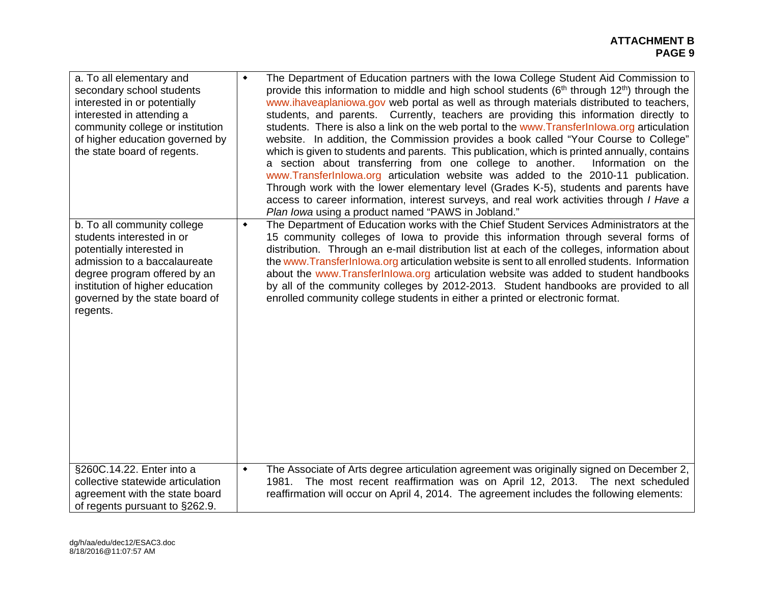| a. To all elementary and<br>secondary school students<br>interested in or potentially<br>interested in attending a<br>community college or institution<br>of higher education governed by<br>the state board of regents.               | ٠               | The Department of Education partners with the Iowa College Student Aid Commission to<br>provide this information to middle and high school students $(6th$ through 12 <sup>th</sup> ) through the<br>www.ihaveaplaniowa.gov web portal as well as through materials distributed to teachers,<br>students, and parents. Currently, teachers are providing this information directly to<br>students. There is also a link on the web portal to the www.Transferlnlowa.org articulation<br>website. In addition, the Commission provides a book called "Your Course to College"<br>which is given to students and parents. This publication, which is printed annually, contains<br>a section about transferring from one college to another.<br>Information on the<br>www.TransferInlowa.org articulation website was added to the 2010-11 publication.<br>Through work with the lower elementary level (Grades K-5), students and parents have<br>access to career information, interest surveys, and real work activities through <i>I Have a</i><br>Plan Iowa using a product named "PAWS in Jobland." |
|----------------------------------------------------------------------------------------------------------------------------------------------------------------------------------------------------------------------------------------|-----------------|---------------------------------------------------------------------------------------------------------------------------------------------------------------------------------------------------------------------------------------------------------------------------------------------------------------------------------------------------------------------------------------------------------------------------------------------------------------------------------------------------------------------------------------------------------------------------------------------------------------------------------------------------------------------------------------------------------------------------------------------------------------------------------------------------------------------------------------------------------------------------------------------------------------------------------------------------------------------------------------------------------------------------------------------------------------------------------------------------------|
| b. To all community college<br>students interested in or<br>potentially interested in<br>admission to a baccalaureate<br>degree program offered by an<br>institution of higher education<br>governed by the state board of<br>regents. | $\blacklozenge$ | The Department of Education works with the Chief Student Services Administrators at the<br>15 community colleges of lowa to provide this information through several forms of<br>distribution. Through an e-mail distribution list at each of the colleges, information about<br>the www.Transferinlowa.org articulation website is sent to all enrolled students. Information<br>about the www.Transferlnlowa.org articulation website was added to student handbooks<br>by all of the community colleges by 2012-2013. Student handbooks are provided to all<br>enrolled community college students in either a printed or electronic format.                                                                                                                                                                                                                                                                                                                                                                                                                                                         |
| §260C.14.22. Enter into a<br>collective statewide articulation<br>agreement with the state board<br>of regents pursuant to §262.9.                                                                                                     | $\blacklozenge$ | The Associate of Arts degree articulation agreement was originally signed on December 2,<br>1981. The most recent reaffirmation was on April 12, 2013. The next scheduled<br>reaffirmation will occur on April 4, 2014. The agreement includes the following elements:                                                                                                                                                                                                                                                                                                                                                                                                                                                                                                                                                                                                                                                                                                                                                                                                                                  |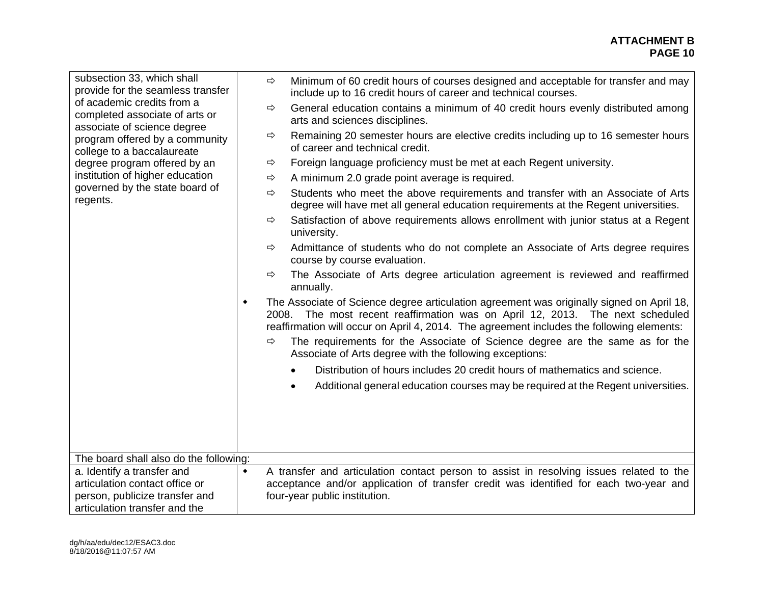| subsection 33, which shall<br>provide for the seamless transfer<br>of academic credits from a<br>completed associate of arts or | ⇨               | Minimum of 60 credit hours of courses designed and acceptable for transfer and may<br>include up to 16 credit hours of career and technical courses.                                                                                                                    |
|---------------------------------------------------------------------------------------------------------------------------------|-----------------|-------------------------------------------------------------------------------------------------------------------------------------------------------------------------------------------------------------------------------------------------------------------------|
|                                                                                                                                 | $\Rightarrow$   | General education contains a minimum of 40 credit hours evenly distributed among<br>arts and sciences disciplines.                                                                                                                                                      |
| associate of science degree<br>program offered by a community<br>college to a baccalaureate                                     | ⇨               | Remaining 20 semester hours are elective credits including up to 16 semester hours<br>of career and technical credit.                                                                                                                                                   |
| degree program offered by an                                                                                                    | $\Rightarrow$   | Foreign language proficiency must be met at each Regent university.                                                                                                                                                                                                     |
| institution of higher education                                                                                                 | ⇨               | A minimum 2.0 grade point average is required.                                                                                                                                                                                                                          |
| governed by the state board of<br>regents.                                                                                      | ⇨               | Students who meet the above requirements and transfer with an Associate of Arts<br>degree will have met all general education requirements at the Regent universities.                                                                                                  |
|                                                                                                                                 | ⇨               | Satisfaction of above requirements allows enrollment with junior status at a Regent<br>university.                                                                                                                                                                      |
|                                                                                                                                 | $\Rightarrow$   | Admittance of students who do not complete an Associate of Arts degree requires<br>course by course evaluation.                                                                                                                                                         |
|                                                                                                                                 | $\Rightarrow$   | The Associate of Arts degree articulation agreement is reviewed and reaffirmed<br>annually.                                                                                                                                                                             |
|                                                                                                                                 | ٠               | The Associate of Science degree articulation agreement was originally signed on April 18,<br>2008. The most recent reaffirmation was on April 12, 2013. The next scheduled<br>reaffirmation will occur on April 4, 2014. The agreement includes the following elements: |
|                                                                                                                                 | ⇨               | The requirements for the Associate of Science degree are the same as for the<br>Associate of Arts degree with the following exceptions:                                                                                                                                 |
|                                                                                                                                 |                 | Distribution of hours includes 20 credit hours of mathematics and science.                                                                                                                                                                                              |
|                                                                                                                                 |                 | Additional general education courses may be required at the Regent universities.                                                                                                                                                                                        |
|                                                                                                                                 |                 |                                                                                                                                                                                                                                                                         |
|                                                                                                                                 |                 |                                                                                                                                                                                                                                                                         |
|                                                                                                                                 |                 |                                                                                                                                                                                                                                                                         |
| The board shall also do the following:                                                                                          |                 |                                                                                                                                                                                                                                                                         |
| a. Identify a transfer and                                                                                                      | $\blacklozenge$ | A transfer and articulation contact person to assist in resolving issues related to the                                                                                                                                                                                 |
| articulation contact office or                                                                                                  |                 | acceptance and/or application of transfer credit was identified for each two-year and                                                                                                                                                                                   |
| person, publicize transfer and                                                                                                  |                 | four-year public institution.                                                                                                                                                                                                                                           |
| articulation transfer and the                                                                                                   |                 |                                                                                                                                                                                                                                                                         |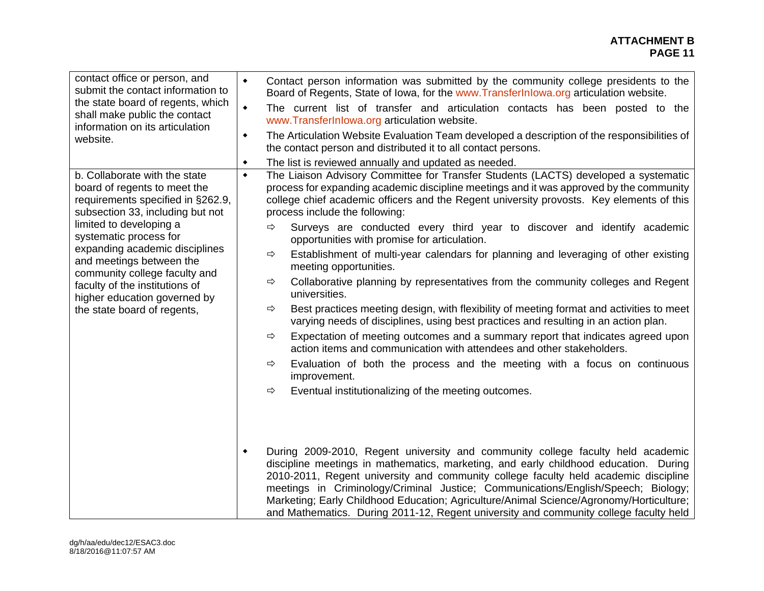#### **ATTACHMENT B PAGE 11 PAGE 11**

| contact office or person, and<br>submit the contact information to<br>the state board of regents, which<br>shall make public the contact<br>information on its articulation<br>website. | $\blacklozenge$<br>Contact person information was submitted by the community college presidents to the<br>Board of Regents, State of Iowa, for the www.TransferInlowa.org articulation website.<br>The current list of transfer and articulation contacts has been posted to the<br>$\blacklozenge$<br>www.TransferInlowa.org articulation website.<br>The Articulation Website Evaluation Team developed a description of the responsibilities of<br>$\blacklozenge$<br>the contact person and distributed it to all contact persons.                     |
|-----------------------------------------------------------------------------------------------------------------------------------------------------------------------------------------|------------------------------------------------------------------------------------------------------------------------------------------------------------------------------------------------------------------------------------------------------------------------------------------------------------------------------------------------------------------------------------------------------------------------------------------------------------------------------------------------------------------------------------------------------------|
|                                                                                                                                                                                         | The list is reviewed annually and updated as needed.<br>$\blacklozenge$                                                                                                                                                                                                                                                                                                                                                                                                                                                                                    |
| b. Collaborate with the state<br>board of regents to meet the<br>requirements specified in §262.9,<br>subsection 33, including but not                                                  | The Liaison Advisory Committee for Transfer Students (LACTS) developed a systematic<br>$\blacklozenge$<br>process for expanding academic discipline meetings and it was approved by the community<br>college chief academic officers and the Regent university provosts. Key elements of this<br>process include the following:                                                                                                                                                                                                                            |
| limited to developing a<br>systematic process for                                                                                                                                       | Surveys are conducted every third year to discover and identify academic<br>$\Rightarrow$<br>opportunities with promise for articulation.                                                                                                                                                                                                                                                                                                                                                                                                                  |
| expanding academic disciplines<br>and meetings between the<br>community college faculty and                                                                                             | Establishment of multi-year calendars for planning and leveraging of other existing<br>$\Rightarrow$<br>meeting opportunities.                                                                                                                                                                                                                                                                                                                                                                                                                             |
| faculty of the institutions of<br>higher education governed by                                                                                                                          | Collaborative planning by representatives from the community colleges and Regent<br>⇨<br>universities.                                                                                                                                                                                                                                                                                                                                                                                                                                                     |
| the state board of regents,                                                                                                                                                             | Best practices meeting design, with flexibility of meeting format and activities to meet<br>⇨<br>varying needs of disciplines, using best practices and resulting in an action plan.                                                                                                                                                                                                                                                                                                                                                                       |
|                                                                                                                                                                                         | Expectation of meeting outcomes and a summary report that indicates agreed upon<br>⇨<br>action items and communication with attendees and other stakeholders.                                                                                                                                                                                                                                                                                                                                                                                              |
|                                                                                                                                                                                         | Evaluation of both the process and the meeting with a focus on continuous<br>⇨<br>improvement.                                                                                                                                                                                                                                                                                                                                                                                                                                                             |
|                                                                                                                                                                                         | Eventual institutionalizing of the meeting outcomes.<br>⇨                                                                                                                                                                                                                                                                                                                                                                                                                                                                                                  |
|                                                                                                                                                                                         | During 2009-2010, Regent university and community college faculty held academic<br>$\blacklozenge$<br>discipline meetings in mathematics, marketing, and early childhood education. During<br>2010-2011, Regent university and community college faculty held academic discipline<br>meetings in Criminology/Criminal Justice; Communications/English/Speech; Biology;<br>Marketing; Early Childhood Education; Agriculture/Animal Science/Agronomy/Horticulture;<br>and Mathematics. During 2011-12, Regent university and community college faculty held |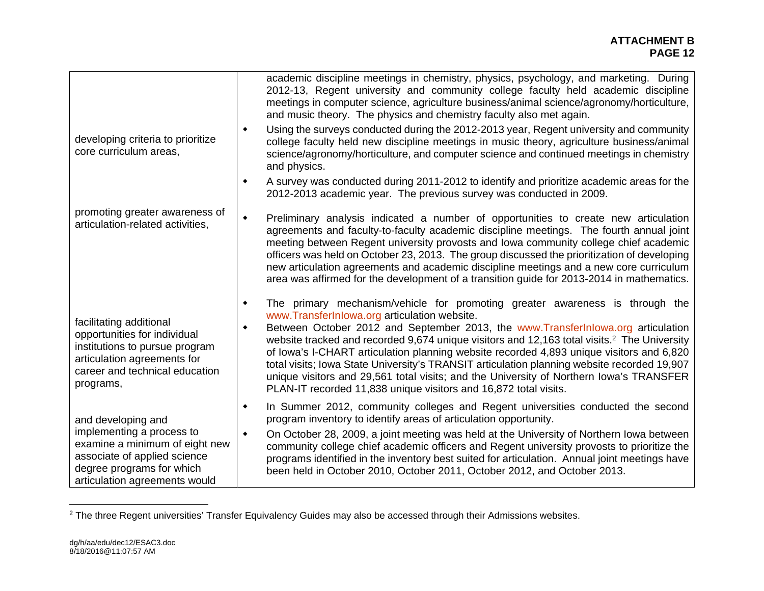|                                                                                                                                                                         | academic discipline meetings in chemistry, physics, psychology, and marketing. During<br>2012-13, Regent university and community college faculty held academic discipline<br>meetings in computer science, agriculture business/animal science/agronomy/horticulture,<br>and music theory. The physics and chemistry faculty also met again.                                                                                                                                                                                                                                                                                                                                                   |
|-------------------------------------------------------------------------------------------------------------------------------------------------------------------------|-------------------------------------------------------------------------------------------------------------------------------------------------------------------------------------------------------------------------------------------------------------------------------------------------------------------------------------------------------------------------------------------------------------------------------------------------------------------------------------------------------------------------------------------------------------------------------------------------------------------------------------------------------------------------------------------------|
| developing criteria to prioritize<br>core curriculum areas,                                                                                                             | Using the surveys conducted during the 2012-2013 year, Regent university and community<br>college faculty held new discipline meetings in music theory, agriculture business/animal<br>science/agronomy/horticulture, and computer science and continued meetings in chemistry<br>and physics.                                                                                                                                                                                                                                                                                                                                                                                                  |
|                                                                                                                                                                         | A survey was conducted during 2011-2012 to identify and prioritize academic areas for the<br>٠<br>2012-2013 academic year. The previous survey was conducted in 2009.                                                                                                                                                                                                                                                                                                                                                                                                                                                                                                                           |
| promoting greater awareness of<br>articulation-related activities,                                                                                                      | Preliminary analysis indicated a number of opportunities to create new articulation<br>٠<br>agreements and faculty-to-faculty academic discipline meetings. The fourth annual joint<br>meeting between Regent university provosts and lowa community college chief academic<br>officers was held on October 23, 2013. The group discussed the prioritization of developing<br>new articulation agreements and academic discipline meetings and a new core curriculum<br>area was affirmed for the development of a transition guide for 2013-2014 in mathematics.                                                                                                                               |
| facilitating additional<br>opportunities for individual<br>institutions to pursue program<br>articulation agreements for<br>career and technical education<br>programs, | The primary mechanism/vehicle for promoting greater awareness is through the<br>٠<br>www.TransferInlowa.org articulation website.<br>Between October 2012 and September 2013, the www.TransferInlowa.org articulation<br>٠<br>website tracked and recorded 9,674 unique visitors and 12,163 total visits. <sup>2</sup> The University<br>of Iowa's I-CHART articulation planning website recorded 4,893 unique visitors and 6,820<br>total visits; lowa State University's TRANSIT articulation planning website recorded 19,907<br>unique visitors and 29,561 total visits; and the University of Northern Iowa's TRANSFER<br>PLAN-IT recorded 11,838 unique visitors and 16,872 total visits. |
| and developing and                                                                                                                                                      | In Summer 2012, community colleges and Regent universities conducted the second<br>٠<br>program inventory to identify areas of articulation opportunity.                                                                                                                                                                                                                                                                                                                                                                                                                                                                                                                                        |
| implementing a process to<br>examine a minimum of eight new<br>associate of applied science<br>degree programs for which<br>articulation agreements would               | On October 28, 2009, a joint meeting was held at the University of Northern Iowa between<br>$\blacklozenge$<br>community college chief academic officers and Regent university provosts to prioritize the<br>programs identified in the inventory best suited for articulation. Annual joint meetings have<br>been held in October 2010, October 2011, October 2012, and October 2013.                                                                                                                                                                                                                                                                                                          |

<sup>&</sup>lt;sup>2</sup> The three Regent universities' Transfer Equivalency Guides may also be accessed through their Admissions websites.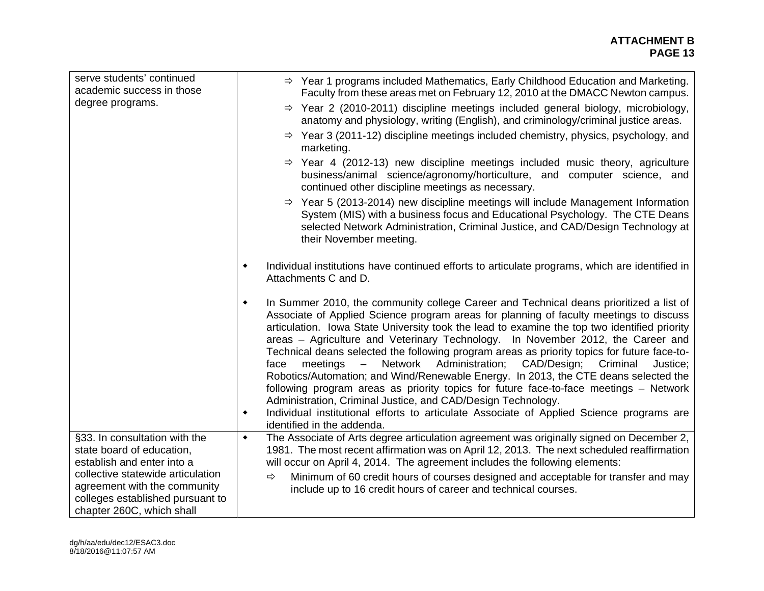#### **ATTACHMENT B PAGE 13 PAGE 13**

| serve students' continued<br>academic success in those                                                | $\Rightarrow$ Year 1 programs included Mathematics, Early Childhood Education and Marketing.<br>Faculty from these areas met on February 12, 2010 at the DMACC Newton campus.                                                                                                                                                                                                                                                                                                                                                                                                                                                                                                                                                                                                                                                                                                                                                                          |
|-------------------------------------------------------------------------------------------------------|--------------------------------------------------------------------------------------------------------------------------------------------------------------------------------------------------------------------------------------------------------------------------------------------------------------------------------------------------------------------------------------------------------------------------------------------------------------------------------------------------------------------------------------------------------------------------------------------------------------------------------------------------------------------------------------------------------------------------------------------------------------------------------------------------------------------------------------------------------------------------------------------------------------------------------------------------------|
| degree programs.                                                                                      | $\Rightarrow$ Year 2 (2010-2011) discipline meetings included general biology, microbiology,<br>anatomy and physiology, writing (English), and criminology/criminal justice areas.                                                                                                                                                                                                                                                                                                                                                                                                                                                                                                                                                                                                                                                                                                                                                                     |
|                                                                                                       | $\Rightarrow$ Year 3 (2011-12) discipline meetings included chemistry, physics, psychology, and<br>marketing.                                                                                                                                                                                                                                                                                                                                                                                                                                                                                                                                                                                                                                                                                                                                                                                                                                          |
|                                                                                                       | Year 4 (2012-13) new discipline meetings included music theory, agriculture<br>⇨<br>business/animal science/agronomy/horticulture, and computer science, and<br>continued other discipline meetings as necessary.                                                                                                                                                                                                                                                                                                                                                                                                                                                                                                                                                                                                                                                                                                                                      |
|                                                                                                       | $\Rightarrow$ Year 5 (2013-2014) new discipline meetings will include Management Information<br>System (MIS) with a business focus and Educational Psychology. The CTE Deans<br>selected Network Administration, Criminal Justice, and CAD/Design Technology at<br>their November meeting.                                                                                                                                                                                                                                                                                                                                                                                                                                                                                                                                                                                                                                                             |
|                                                                                                       | Individual institutions have continued efforts to articulate programs, which are identified in<br>٠<br>Attachments C and D.                                                                                                                                                                                                                                                                                                                                                                                                                                                                                                                                                                                                                                                                                                                                                                                                                            |
|                                                                                                       | In Summer 2010, the community college Career and Technical deans prioritized a list of<br>٠<br>Associate of Applied Science program areas for planning of faculty meetings to discuss<br>articulation. Iowa State University took the lead to examine the top two identified priority<br>areas – Agriculture and Veterinary Technology. In November 2012, the Career and<br>Technical deans selected the following program areas as priority topics for future face-to-<br>meetings - Network Administration;<br>CAD/Design; Criminal<br>face<br>Justice;<br>Robotics/Automation; and Wind/Renewable Energy. In 2013, the CTE deans selected the<br>following program areas as priority topics for future face-to-face meetings - Network<br>Administration, Criminal Justice, and CAD/Design Technology.<br>Individual institutional efforts to articulate Associate of Applied Science programs are<br>$\blacklozenge$<br>identified in the addenda. |
| §33. In consultation with the<br>state board of education,                                            | The Associate of Arts degree articulation agreement was originally signed on December 2,<br>$\blacklozenge$<br>1981. The most recent affirmation was on April 12, 2013. The next scheduled reaffirmation                                                                                                                                                                                                                                                                                                                                                                                                                                                                                                                                                                                                                                                                                                                                               |
| establish and enter into a                                                                            | will occur on April 4, 2014. The agreement includes the following elements:                                                                                                                                                                                                                                                                                                                                                                                                                                                                                                                                                                                                                                                                                                                                                                                                                                                                            |
| collective statewide articulation<br>agreement with the community<br>colleges established pursuant to | Minimum of 60 credit hours of courses designed and acceptable for transfer and may<br>$\Rightarrow$<br>include up to 16 credit hours of career and technical courses.                                                                                                                                                                                                                                                                                                                                                                                                                                                                                                                                                                                                                                                                                                                                                                                  |
| chapter 260C, which shall                                                                             |                                                                                                                                                                                                                                                                                                                                                                                                                                                                                                                                                                                                                                                                                                                                                                                                                                                                                                                                                        |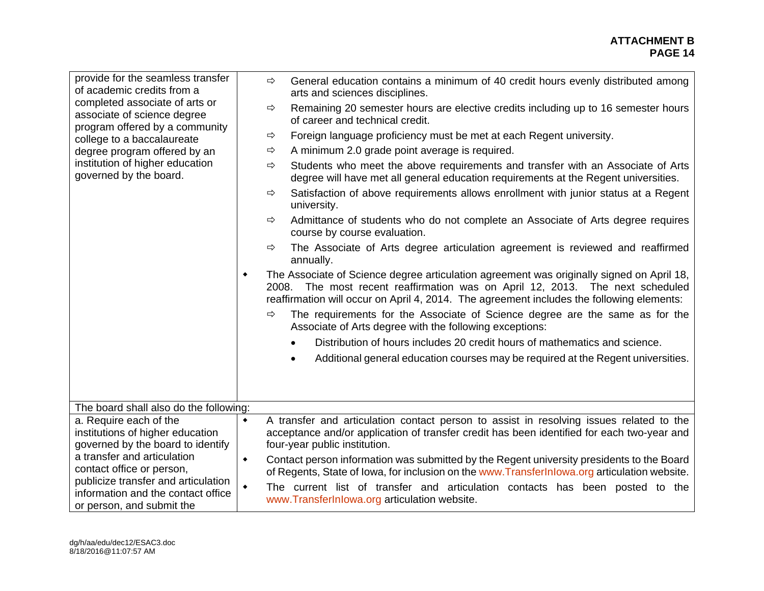| provide for the seamless transfer<br>of academic credits from a<br>completed associate of arts or<br>associate of science degree<br>program offered by a community<br>college to a baccalaureate<br>degree program offered by an<br>institution of higher education<br>governed by the board. | $\Rightarrow$<br>⇨<br>⇨<br>⇨<br>$\Rightarrow$<br>⇨<br>⇨<br>$\Rightarrow$<br>٠<br>$\Rightarrow$ | General education contains a minimum of 40 credit hours evenly distributed among<br>arts and sciences disciplines.<br>Remaining 20 semester hours are elective credits including up to 16 semester hours<br>of career and technical credit.<br>Foreign language proficiency must be met at each Regent university.<br>A minimum 2.0 grade point average is required.<br>Students who meet the above requirements and transfer with an Associate of Arts<br>degree will have met all general education requirements at the Regent universities.<br>Satisfaction of above requirements allows enrollment with junior status at a Regent<br>university.<br>Admittance of students who do not complete an Associate of Arts degree requires<br>course by course evaluation.<br>The Associate of Arts degree articulation agreement is reviewed and reaffirmed<br>annually.<br>The Associate of Science degree articulation agreement was originally signed on April 18,<br>2008. The most recent reaffirmation was on April 12, 2013. The next scheduled<br>reaffirmation will occur on April 4, 2014. The agreement includes the following elements:<br>The requirements for the Associate of Science degree are the same as for the<br>Associate of Arts degree with the following exceptions:<br>Distribution of hours includes 20 credit hours of mathematics and science.<br>Additional general education courses may be required at the Regent universities. |
|-----------------------------------------------------------------------------------------------------------------------------------------------------------------------------------------------------------------------------------------------------------------------------------------------|------------------------------------------------------------------------------------------------|----------------------------------------------------------------------------------------------------------------------------------------------------------------------------------------------------------------------------------------------------------------------------------------------------------------------------------------------------------------------------------------------------------------------------------------------------------------------------------------------------------------------------------------------------------------------------------------------------------------------------------------------------------------------------------------------------------------------------------------------------------------------------------------------------------------------------------------------------------------------------------------------------------------------------------------------------------------------------------------------------------------------------------------------------------------------------------------------------------------------------------------------------------------------------------------------------------------------------------------------------------------------------------------------------------------------------------------------------------------------------------------------------------------------------------------------------------------|
|                                                                                                                                                                                                                                                                                               |                                                                                                |                                                                                                                                                                                                                                                                                                                                                                                                                                                                                                                                                                                                                                                                                                                                                                                                                                                                                                                                                                                                                                                                                                                                                                                                                                                                                                                                                                                                                                                                |
| The board shall also do the following:                                                                                                                                                                                                                                                        |                                                                                                |                                                                                                                                                                                                                                                                                                                                                                                                                                                                                                                                                                                                                                                                                                                                                                                                                                                                                                                                                                                                                                                                                                                                                                                                                                                                                                                                                                                                                                                                |
| a. Require each of the<br>institutions of higher education<br>governed by the board to identify<br>a transfer and articulation<br>contact office or person,<br>publicize transfer and articulation<br>information and the contact office<br>or person, and submit the                         | $\blacklozenge$<br>$\blacklozenge$                                                             | A transfer and articulation contact person to assist in resolving issues related to the<br>acceptance and/or application of transfer credit has been identified for each two-year and<br>four-year public institution.<br>Contact person information was submitted by the Regent university presidents to the Board<br>of Regents, State of Iowa, for inclusion on the www.Transfer Inlowa.org articulation website.                                                                                                                                                                                                                                                                                                                                                                                                                                                                                                                                                                                                                                                                                                                                                                                                                                                                                                                                                                                                                                           |
|                                                                                                                                                                                                                                                                                               | $\blacklozenge$                                                                                | The current list of transfer and articulation contacts has been posted to the<br>www.TransferInlowa.org articulation website.                                                                                                                                                                                                                                                                                                                                                                                                                                                                                                                                                                                                                                                                                                                                                                                                                                                                                                                                                                                                                                                                                                                                                                                                                                                                                                                                  |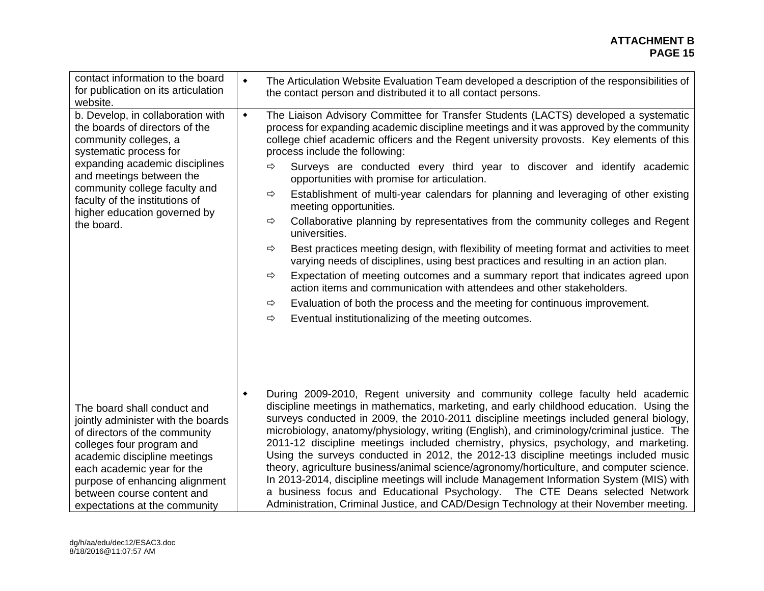#### **ATTACHMENT B PAGE 15 PAGE 15**

| contact information to the board<br>for publication on its articulation<br>website.                                                                                                                                                                                                                   | $\blacklozenge$ | The Articulation Website Evaluation Team developed a description of the responsibilities of<br>the contact person and distributed it to all contact persons.                                                                                                                                                                                                                                                                                                                                                                                                                                                                                                                                                                                                                                                                                                                                                                                                                                                                                                                                                                                                                                       |
|-------------------------------------------------------------------------------------------------------------------------------------------------------------------------------------------------------------------------------------------------------------------------------------------------------|-----------------|----------------------------------------------------------------------------------------------------------------------------------------------------------------------------------------------------------------------------------------------------------------------------------------------------------------------------------------------------------------------------------------------------------------------------------------------------------------------------------------------------------------------------------------------------------------------------------------------------------------------------------------------------------------------------------------------------------------------------------------------------------------------------------------------------------------------------------------------------------------------------------------------------------------------------------------------------------------------------------------------------------------------------------------------------------------------------------------------------------------------------------------------------------------------------------------------------|
| b. Develop, in collaboration with<br>the boards of directors of the<br>community colleges, a<br>systematic process for<br>expanding academic disciplines<br>and meetings between the<br>community college faculty and<br>faculty of the institutions of<br>higher education governed by<br>the board. | $\blacklozenge$ | The Liaison Advisory Committee for Transfer Students (LACTS) developed a systematic<br>process for expanding academic discipline meetings and it was approved by the community<br>college chief academic officers and the Regent university provosts. Key elements of this<br>process include the following:<br>Surveys are conducted every third year to discover and identify academic<br>⇨<br>opportunities with promise for articulation.<br>Establishment of multi-year calendars for planning and leveraging of other existing<br>$\Rightarrow$<br>meeting opportunities.<br>Collaborative planning by representatives from the community colleges and Regent<br>⇨<br>universities.<br>Best practices meeting design, with flexibility of meeting format and activities to meet<br>⇨<br>varying needs of disciplines, using best practices and resulting in an action plan.<br>Expectation of meeting outcomes and a summary report that indicates agreed upon<br>⇨<br>action items and communication with attendees and other stakeholders.<br>Evaluation of both the process and the meeting for continuous improvement.<br>⇨<br>Eventual institutionalizing of the meeting outcomes.<br>⇨ |
| The board shall conduct and<br>jointly administer with the boards<br>of directors of the community<br>colleges four program and<br>academic discipline meetings<br>each academic year for the<br>purpose of enhancing alignment<br>between course content and<br>expectations at the community        | $\blacklozenge$ | During 2009-2010, Regent university and community college faculty held academic<br>discipline meetings in mathematics, marketing, and early childhood education. Using the<br>surveys conducted in 2009, the 2010-2011 discipline meetings included general biology,<br>microbiology, anatomy/physiology, writing (English), and criminology/criminal justice. The<br>2011-12 discipline meetings included chemistry, physics, psychology, and marketing.<br>Using the surveys conducted in 2012, the 2012-13 discipline meetings included music<br>theory, agriculture business/animal science/agronomy/horticulture, and computer science.<br>In 2013-2014, discipline meetings will include Management Information System (MIS) with<br>a business focus and Educational Psychology. The CTE Deans selected Network<br>Administration, Criminal Justice, and CAD/Design Technology at their November meeting.                                                                                                                                                                                                                                                                                   |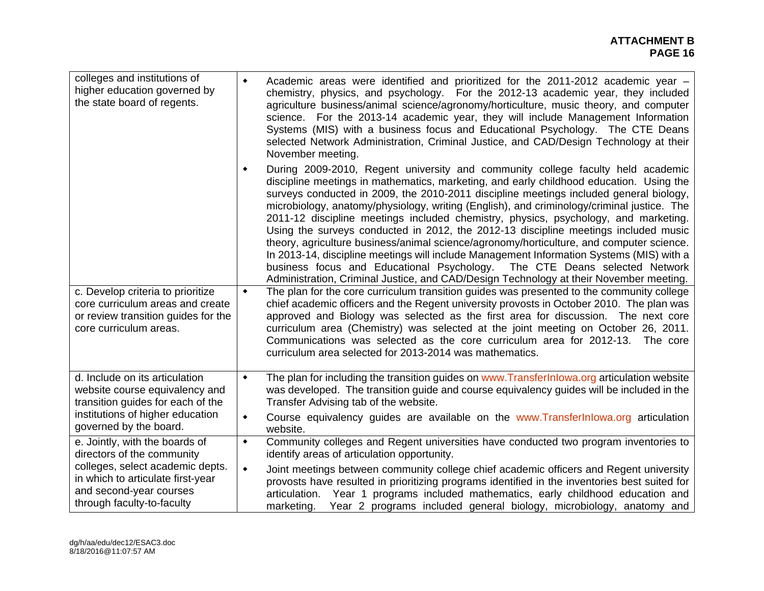| colleges and institutions of<br>higher education governed by<br>the state board of regents.                                                                                                    | Academic areas were identified and prioritized for the 2011-2012 academic year -<br>$\blacklozenge$<br>chemistry, physics, and psychology. For the 2012-13 academic year, they included<br>agriculture business/animal science/agronomy/horticulture, music theory, and computer<br>science. For the 2013-14 academic year, they will include Management Information<br>Systems (MIS) with a business focus and Educational Psychology. The CTE Deans<br>selected Network Administration, Criminal Justice, and CAD/Design Technology at their<br>November meeting.                                                                                                                                                                                                                                                                                                                                                  |
|------------------------------------------------------------------------------------------------------------------------------------------------------------------------------------------------|----------------------------------------------------------------------------------------------------------------------------------------------------------------------------------------------------------------------------------------------------------------------------------------------------------------------------------------------------------------------------------------------------------------------------------------------------------------------------------------------------------------------------------------------------------------------------------------------------------------------------------------------------------------------------------------------------------------------------------------------------------------------------------------------------------------------------------------------------------------------------------------------------------------------|
|                                                                                                                                                                                                | During 2009-2010, Regent university and community college faculty held academic<br>٠<br>discipline meetings in mathematics, marketing, and early childhood education. Using the<br>surveys conducted in 2009, the 2010-2011 discipline meetings included general biology,<br>microbiology, anatomy/physiology, writing (English), and criminology/criminal justice. The<br>2011-12 discipline meetings included chemistry, physics, psychology, and marketing.<br>Using the surveys conducted in 2012, the 2012-13 discipline meetings included music<br>theory, agriculture business/animal science/agronomy/horticulture, and computer science.<br>In 2013-14, discipline meetings will include Management Information Systems (MIS) with a<br>business focus and Educational Psychology. The CTE Deans selected Network<br>Administration, Criminal Justice, and CAD/Design Technology at their November meeting. |
| c. Develop criteria to prioritize<br>core curriculum areas and create<br>or review transition guides for the<br>core curriculum areas.                                                         | The plan for the core curriculum transition guides was presented to the community college<br>$\blacklozenge$<br>chief academic officers and the Regent university provosts in October 2010. The plan was<br>approved and Biology was selected as the first area for discussion. The next core<br>curriculum area (Chemistry) was selected at the joint meeting on October 26, 2011.<br>Communications was selected as the core curriculum area for 2012-13. The core<br>curriculum area selected for 2013-2014 was mathematics.                                                                                                                                                                                                                                                                                                                                                                                      |
| d. Include on its articulation<br>website course equivalency and<br>transition guides for each of the<br>institutions of higher education<br>governed by the board.                            | The plan for including the transition guides on www. Transferlnlowa.org articulation website<br>$\blacklozenge$<br>was developed. The transition guide and course equivalency guides will be included in the<br>Transfer Advising tab of the website.<br>Course equivalency guides are available on the www.Transferinlowa.org articulation<br>$\blacklozenge$<br>website.                                                                                                                                                                                                                                                                                                                                                                                                                                                                                                                                           |
| e. Jointly, with the boards of<br>directors of the community<br>colleges, select academic depts.<br>in which to articulate first-year<br>and second-year courses<br>through faculty-to-faculty | Community colleges and Regent universities have conducted two program inventories to<br>$\blacklozenge$<br>identify areas of articulation opportunity.<br>Joint meetings between community college chief academic officers and Regent university<br>$\blacklozenge$<br>provosts have resulted in prioritizing programs identified in the inventories best suited for<br>articulation. Year 1 programs included mathematics, early childhood education and<br>marketing. Year 2 programs included general biology, microbiology, anatomy and                                                                                                                                                                                                                                                                                                                                                                          |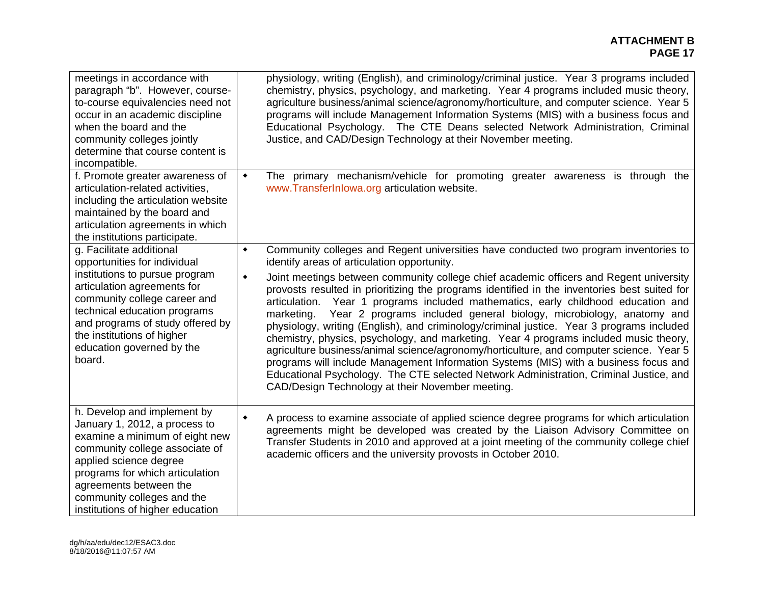#### **ATTACHMENT B PAGE 17 PAGE 17**

| meetings in accordance with<br>paragraph "b". However, course-<br>to-course equivalencies need not<br>occur in an academic discipline<br>when the board and the<br>community colleges jointly<br>determine that course content is<br>incompatible.                                        | physiology, writing (English), and criminology/criminal justice. Year 3 programs included<br>chemistry, physics, psychology, and marketing. Year 4 programs included music theory,<br>agriculture business/animal science/agronomy/horticulture, and computer science. Year 5<br>programs will include Management Information Systems (MIS) with a business focus and<br>Educational Psychology. The CTE Deans selected Network Administration, Criminal<br>Justice, and CAD/Design Technology at their November meeting.                                                                                                                                                                                                                                                                                                                                                                                  |
|-------------------------------------------------------------------------------------------------------------------------------------------------------------------------------------------------------------------------------------------------------------------------------------------|------------------------------------------------------------------------------------------------------------------------------------------------------------------------------------------------------------------------------------------------------------------------------------------------------------------------------------------------------------------------------------------------------------------------------------------------------------------------------------------------------------------------------------------------------------------------------------------------------------------------------------------------------------------------------------------------------------------------------------------------------------------------------------------------------------------------------------------------------------------------------------------------------------|
| f. Promote greater awareness of<br>articulation-related activities,<br>including the articulation website<br>maintained by the board and<br>articulation agreements in which<br>the institutions participate.                                                                             | The primary mechanism/vehicle for promoting greater awareness is through the<br>$\blacklozenge$<br>www.TransferInlowa.org articulation website.                                                                                                                                                                                                                                                                                                                                                                                                                                                                                                                                                                                                                                                                                                                                                            |
| g. Facilitate additional<br>opportunities for individual                                                                                                                                                                                                                                  | Community colleges and Regent universities have conducted two program inventories to<br>$\blacklozenge$<br>identify areas of articulation opportunity.                                                                                                                                                                                                                                                                                                                                                                                                                                                                                                                                                                                                                                                                                                                                                     |
| institutions to pursue program<br>articulation agreements for<br>community college career and<br>technical education programs<br>and programs of study offered by<br>the institutions of higher<br>education governed by the<br>board.                                                    | Joint meetings between community college chief academic officers and Regent university<br>$\blacklozenge$<br>provosts resulted in prioritizing the programs identified in the inventories best suited for<br>articulation. Year 1 programs included mathematics, early childhood education and<br>Year 2 programs included general biology, microbiology, anatomy and<br>marketing.<br>physiology, writing (English), and criminology/criminal justice. Year 3 programs included<br>chemistry, physics, psychology, and marketing. Year 4 programs included music theory,<br>agriculture business/animal science/agronomy/horticulture, and computer science. Year 5<br>programs will include Management Information Systems (MIS) with a business focus and<br>Educational Psychology. The CTE selected Network Administration, Criminal Justice, and<br>CAD/Design Technology at their November meeting. |
| h. Develop and implement by<br>January 1, 2012, a process to<br>examine a minimum of eight new<br>community college associate of<br>applied science degree<br>programs for which articulation<br>agreements between the<br>community colleges and the<br>institutions of higher education | A process to examine associate of applied science degree programs for which articulation<br>$\bullet$<br>agreements might be developed was created by the Liaison Advisory Committee on<br>Transfer Students in 2010 and approved at a joint meeting of the community college chief<br>academic officers and the university provosts in October 2010.                                                                                                                                                                                                                                                                                                                                                                                                                                                                                                                                                      |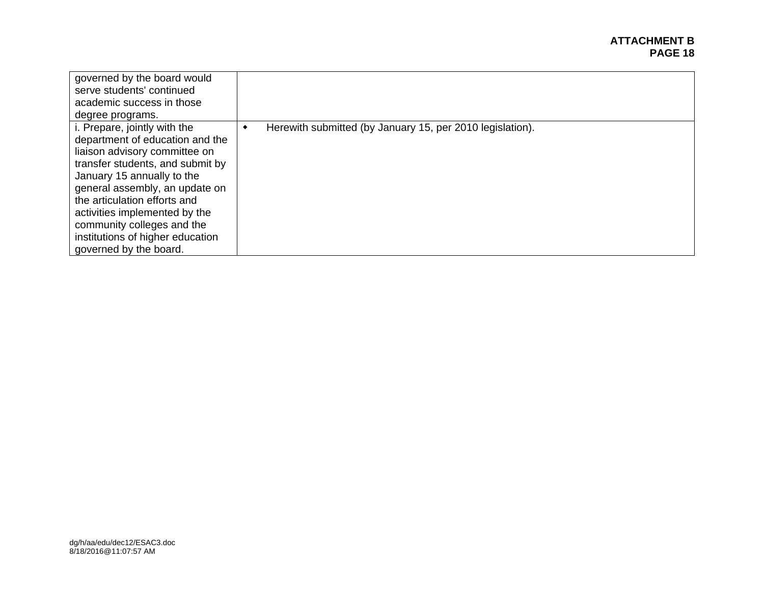#### **ATTACHMENT B PAGE 18 PAGE 18**

| governed by the board would<br>serve students' continued<br>academic success in those<br>degree programs.                                                                                                                                                                                                                                                         |                                                           |
|-------------------------------------------------------------------------------------------------------------------------------------------------------------------------------------------------------------------------------------------------------------------------------------------------------------------------------------------------------------------|-----------------------------------------------------------|
| i. Prepare, jointly with the<br>department of education and the<br>liaison advisory committee on<br>transfer students, and submit by<br>January 15 annually to the<br>general assembly, an update on<br>the articulation efforts and<br>activities implemented by the<br>community colleges and the<br>institutions of higher education<br>governed by the board. | Herewith submitted (by January 15, per 2010 legislation). |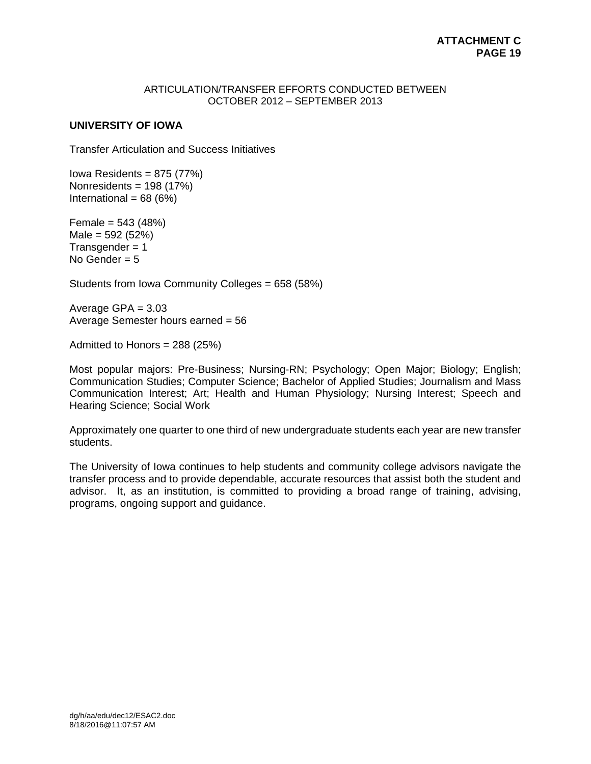## ARTICULATION/TRANSFER EFFORTS CONDUCTED BETWEEN OCTOBER 2012 – SEPTEMBER 2013

# **UNIVERSITY OF IOWA**

Transfer Articulation and Success Initiatives

Iowa Residents =  $875$  (77%) Nonresidents = 198 (17%) International =  $68 (6%)$ 

Female = 543 (48%)  $Male = 592 (52%)$  $Transgender = 1$ No Gender  $= 5$ 

Students from Iowa Community Colleges = 658 (58%)

Average GPA = 3.03 Average Semester hours earned = 56

Admitted to Honors = 288 (25%)

Most popular majors: Pre-Business; Nursing-RN; Psychology; Open Major; Biology; English; Communication Studies; Computer Science; Bachelor of Applied Studies; Journalism and Mass Communication Interest; Art; Health and Human Physiology; Nursing Interest; Speech and Hearing Science; Social Work

Approximately one quarter to one third of new undergraduate students each year are new transfer students.

The University of Iowa continues to help students and community college advisors navigate the transfer process and to provide dependable, accurate resources that assist both the student and advisor. It, as an institution, is committed to providing a broad range of training, advising, programs, ongoing support and guidance.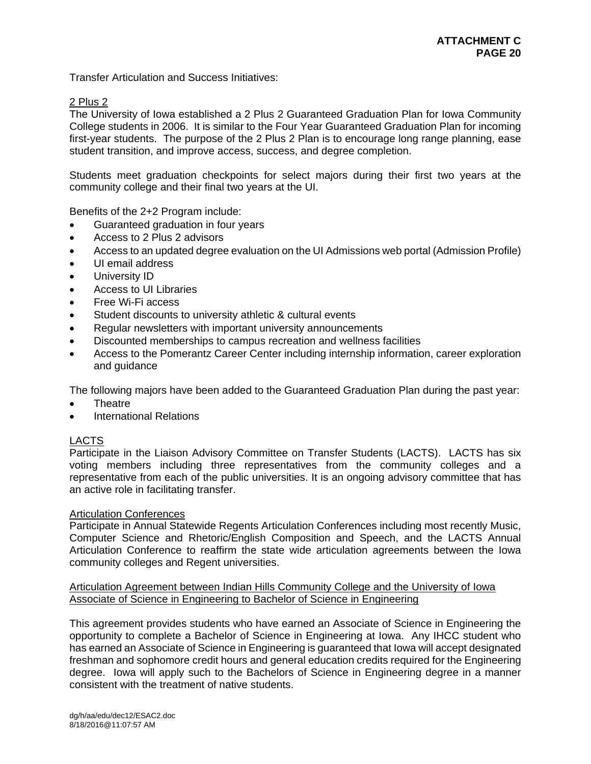Transfer Articulation and Success Initiatives:

# 2 Plus 2

The University of Iowa established a 2 Plus 2 Guaranteed Graduation Plan for Iowa Community College students in 2006. It is similar to the Four Year Guaranteed Graduation Plan for incoming first-year students. The purpose of the 2 Plus 2 Plan is to encourage long range planning, ease student transition, and improve access, success, and degree completion.

Students meet graduation checkpoints for select majors during their first two years at the community college and their final two years at the UI.

Benefits of the 2+2 Program include:

- Guaranteed graduation in four years
- Access to 2 Plus 2 advisors
- Access to an updated degree evaluation on the UI Admissions web portal (Admission Profile)
- UI email address
- **•** University ID
- Access to UI Libraries
- Free Wi-Fi access
- Student discounts to university athletic & cultural events
- Regular newsletters with important university announcements
- Discounted memberships to campus recreation and wellness facilities
- Access to the Pomerantz Career Center including internship information, career exploration and guidance

The following majors have been added to the Guaranteed Graduation Plan during the past year:

- Theatre
- International Relations

# LACTS

Participate in the Liaison Advisory Committee on Transfer Students (LACTS). LACTS has six voting members including three representatives from the community colleges and a representative from each of the public universities. It is an ongoing advisory committee that has an active role in facilitating transfer.

# Articulation Conferences

Participate in Annual Statewide Regents Articulation Conferences including most recently Music, Computer Science and Rhetoric/English Composition and Speech, and the LACTS Annual Articulation Conference to reaffirm the state wide articulation agreements between the Iowa community colleges and Regent universities.

# Articulation Agreement between Indian Hills Community College and the University of Iowa Associate of Science in Engineering to Bachelor of Science in Engineering

This agreement provides students who have earned an Associate of Science in Engineering the opportunity to complete a Bachelor of Science in Engineering at Iowa. Any IHCC student who has earned an Associate of Science in Engineering is guaranteed that Iowa will accept designated freshman and sophomore credit hours and general education credits required for the Engineering degree. Iowa will apply such to the Bachelors of Science in Engineering degree in a manner consistent with the treatment of native students.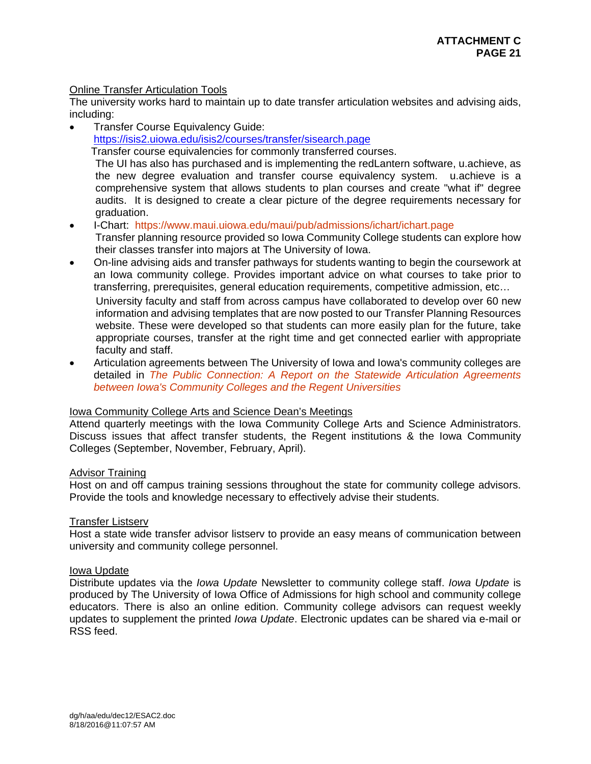# Online Transfer Articulation Tools

The university works hard to maintain up to date transfer articulation websites and advising aids, including:

 Transfer Course Equivalency Guide: https://isis2.uiowa.edu/isis2/courses/transfer/sisearch.page Transfer course equivalencies for commonly transferred courses. The UI has also has purchased and is implementing the redLantern software, u.achieve, as the new degree evaluation and transfer course equivalency system. u.achieve is a comprehensive system that allows students to plan courses and create "what if" degree audits. It is designed to create a clear picture of the degree requirements necessary for

graduation.

I-Chart: https://www.maui.uiowa.edu/maui/pub/admissions/ichart/ichart.page

Transfer planning resource provided so Iowa Community College students can explore how their classes transfer into majors at The University of Iowa.

- On-line advising aids and transfer pathways for students wanting to begin the coursework at an Iowa community college. Provides important advice on what courses to take prior to transferring, prerequisites, general education requirements, competitive admission, etc…
	- University faculty and staff from across campus have collaborated to develop over 60 new information and advising templates that are now posted to our Transfer Planning Resources website. These were developed so that students can more easily plan for the future, take appropriate courses, transfer at the right time and get connected earlier with appropriate faculty and staff.
- Articulation agreements between The University of Iowa and Iowa's community colleges are detailed in *The Public Connection: A Report on the Statewide Articulation Agreements between Iowa's Community Colleges and the Regent Universities*

# Iowa Community College Arts and Science Dean's Meetings

Attend quarterly meetings with the Iowa Community College Arts and Science Administrators. Discuss issues that affect transfer students, the Regent institutions & the Iowa Community Colleges (September, November, February, April).

# Advisor Training

Host on and off campus training sessions throughout the state for community college advisors. Provide the tools and knowledge necessary to effectively advise their students.

# Transfer Listserv

Host a state wide transfer advisor listserv to provide an easy means of communication between university and community college personnel.

# Iowa Update

Distribute updates via the *Iowa Update* Newsletter to community college staff. *Iowa Update* is produced by The University of Iowa Office of Admissions for high school and community college educators. There is also an online edition. Community college advisors can request weekly updates to supplement the printed *Iowa Update*. Electronic updates can be shared via e-mail or RSS feed.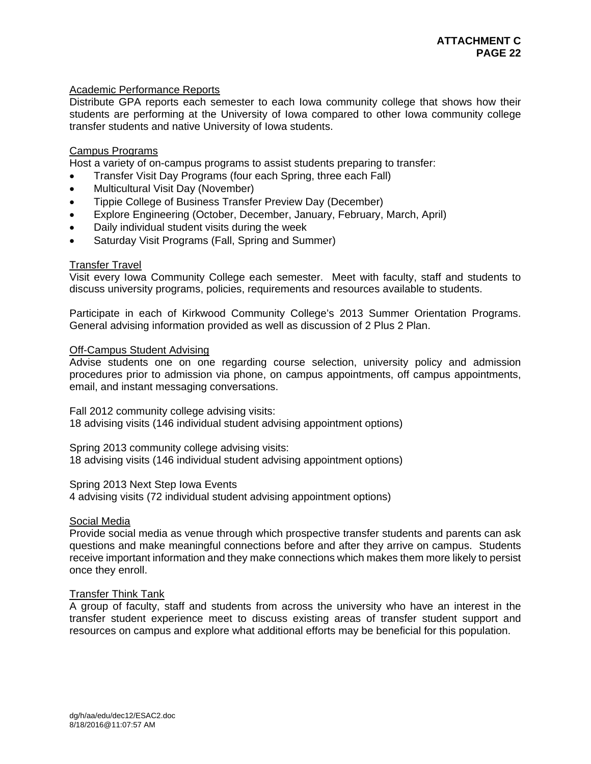# Academic Performance Reports

Distribute GPA reports each semester to each Iowa community college that shows how their students are performing at the University of Iowa compared to other Iowa community college transfer students and native University of Iowa students.

# Campus Programs

Host a variety of on-campus programs to assist students preparing to transfer:

- Transfer Visit Day Programs (four each Spring, three each Fall)
- Multicultural Visit Day (November)
- Tippie College of Business Transfer Preview Day (December)
- Explore Engineering (October, December, January, February, March, April)
- Daily individual student visits during the week
- Saturday Visit Programs (Fall, Spring and Summer)

# Transfer Travel

Visit every Iowa Community College each semester. Meet with faculty, staff and students to discuss university programs, policies, requirements and resources available to students.

Participate in each of Kirkwood Community College's 2013 Summer Orientation Programs. General advising information provided as well as discussion of 2 Plus 2 Plan.

# Off-Campus Student Advising

Advise students one on one regarding course selection, university policy and admission procedures prior to admission via phone, on campus appointments, off campus appointments, email, and instant messaging conversations.

Fall 2012 community college advising visits: 18 advising visits (146 individual student advising appointment options)

Spring 2013 community college advising visits: 18 advising visits (146 individual student advising appointment options)

#### Spring 2013 Next Step Iowa Events

4 advising visits (72 individual student advising appointment options)

# Social Media

Provide social media as venue through which prospective transfer students and parents can ask questions and make meaningful connections before and after they arrive on campus. Students receive important information and they make connections which makes them more likely to persist once they enroll.

# Transfer Think Tank

A group of faculty, staff and students from across the university who have an interest in the transfer student experience meet to discuss existing areas of transfer student support and resources on campus and explore what additional efforts may be beneficial for this population.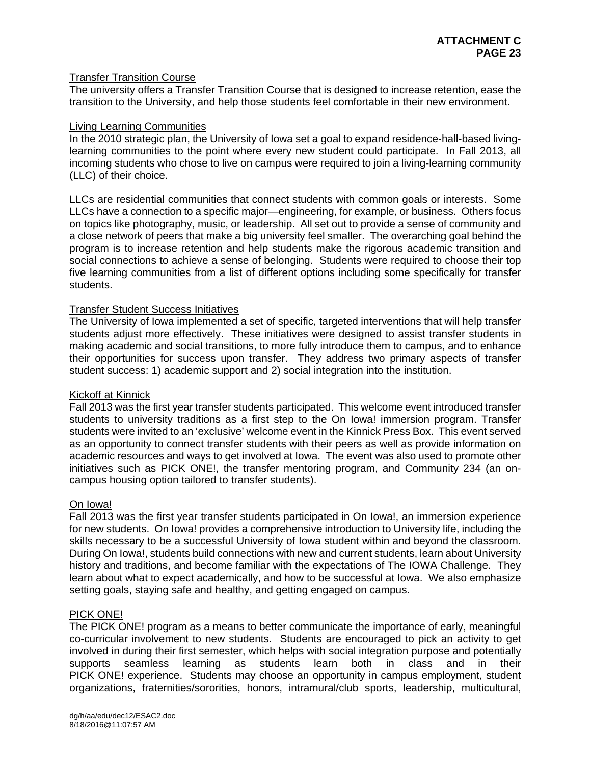# Transfer Transition Course

The university offers a Transfer Transition Course that is designed to increase retention, ease the transition to the University, and help those students feel comfortable in their new environment.

# Living Learning Communities

In the 2010 strategic plan, the University of Iowa set a goal to expand residence-hall-based livinglearning communities to the point where every new student could participate. In Fall 2013, all incoming students who chose to live on campus were required to join a living-learning community (LLC) of their choice.

LLCs are residential communities that connect students with common goals or interests. Some LLCs have a connection to a specific major—engineering, for example, or business. Others focus on topics like photography, music, or leadership. All set out to provide a sense of community and a close network of peers that make a big university feel smaller. The overarching goal behind the program is to increase retention and help students make the rigorous academic transition and social connections to achieve a sense of belonging. Students were required to choose their top five learning communities from a list of different options including some specifically for transfer students.

# Transfer Student Success Initiatives

The University of Iowa implemented a set of specific, targeted interventions that will help transfer students adjust more effectively. These initiatives were designed to assist transfer students in making academic and social transitions, to more fully introduce them to campus, and to enhance their opportunities for success upon transfer. They address two primary aspects of transfer student success: 1) academic support and 2) social integration into the institution.

# Kickoff at Kinnick

Fall 2013 was the first year transfer students participated. This welcome event introduced transfer students to university traditions as a first step to the On Iowa! immersion program. Transfer students were invited to an 'exclusive' welcome event in the Kinnick Press Box. This event served as an opportunity to connect transfer students with their peers as well as provide information on academic resources and ways to get involved at Iowa. The event was also used to promote other initiatives such as PICK ONE!, the transfer mentoring program, and Community 234 (an oncampus housing option tailored to transfer students).

# On Iowa!

Fall 2013 was the first year transfer students participated in On Iowa!, an immersion experience for new students. On Iowa! provides a comprehensive introduction to University life, including the skills necessary to be a successful University of Iowa student within and beyond the classroom. During On Iowa!, students build connections with new and current students, learn about University history and traditions, and become familiar with the expectations of The IOWA Challenge. They learn about what to expect academically, and how to be successful at Iowa. We also emphasize setting goals, staying safe and healthy, and getting engaged on campus.

# PICK ONE!

The PICK ONE! program as a means to better communicate the importance of early, meaningful co-curricular involvement to new students. Students are encouraged to pick an activity to get involved in during their first semester, which helps with social integration purpose and potentially supports seamless learning as students learn both in class and in their PICK ONE! experience. Students may choose an opportunity in campus employment, student organizations, fraternities/sororities, honors, intramural/club sports, leadership, multicultural,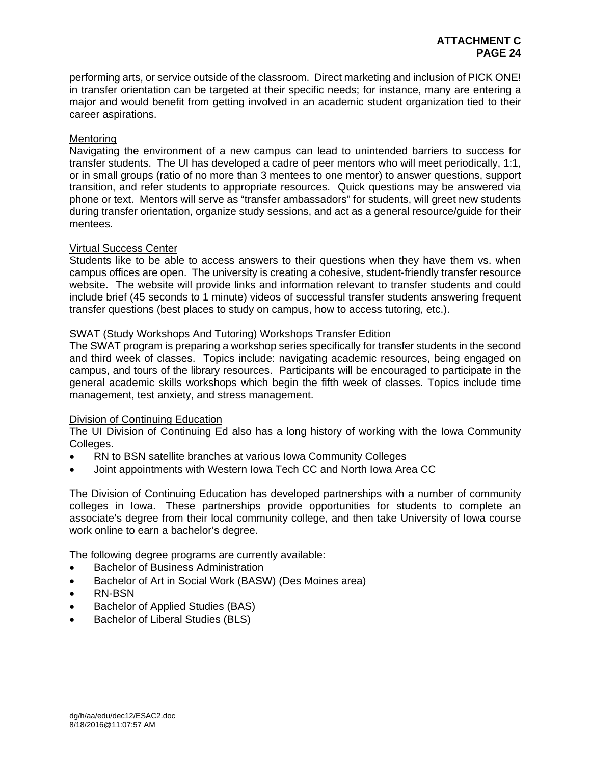performing arts, or service outside of the classroom. Direct marketing and inclusion of PICK ONE! in transfer orientation can be targeted at their specific needs; for instance, many are entering a major and would benefit from getting involved in an academic student organization tied to their career aspirations.

# Mentoring

Navigating the environment of a new campus can lead to unintended barriers to success for transfer students. The UI has developed a cadre of peer mentors who will meet periodically, 1:1, or in small groups (ratio of no more than 3 mentees to one mentor) to answer questions, support transition, and refer students to appropriate resources. Quick questions may be answered via phone or text. Mentors will serve as "transfer ambassadors" for students, will greet new students during transfer orientation, organize study sessions, and act as a general resource/guide for their mentees.

# Virtual Success Center

Students like to be able to access answers to their questions when they have them vs. when campus offices are open. The university is creating a cohesive, student-friendly transfer resource website. The website will provide links and information relevant to transfer students and could include brief (45 seconds to 1 minute) videos of successful transfer students answering frequent transfer questions (best places to study on campus, how to access tutoring, etc.).

# SWAT (Study Workshops And Tutoring) Workshops Transfer Edition

The SWAT program is preparing a workshop series specifically for transfer students in the second and third week of classes. Topics include: navigating academic resources, being engaged on campus, and tours of the library resources. Participants will be encouraged to participate in the general academic skills workshops which begin the fifth week of classes. Topics include time management, test anxiety, and stress management.

# Division of Continuing Education

The UI Division of Continuing Ed also has a long history of working with the Iowa Community Colleges.

- RN to BSN satellite branches at various Iowa Community Colleges
- Joint appointments with Western Iowa Tech CC and North Iowa Area CC

The Division of Continuing Education has developed partnerships with a number of community colleges in Iowa. These partnerships provide opportunities for students to complete an associate's degree from their local community college, and then take University of Iowa course work online to earn a bachelor's degree.

The following degree programs are currently available:

- Bachelor of Business Administration
- Bachelor of Art in Social Work (BASW) (Des Moines area)
- RN-BSN
- Bachelor of Applied Studies (BAS)
- Bachelor of Liberal Studies (BLS)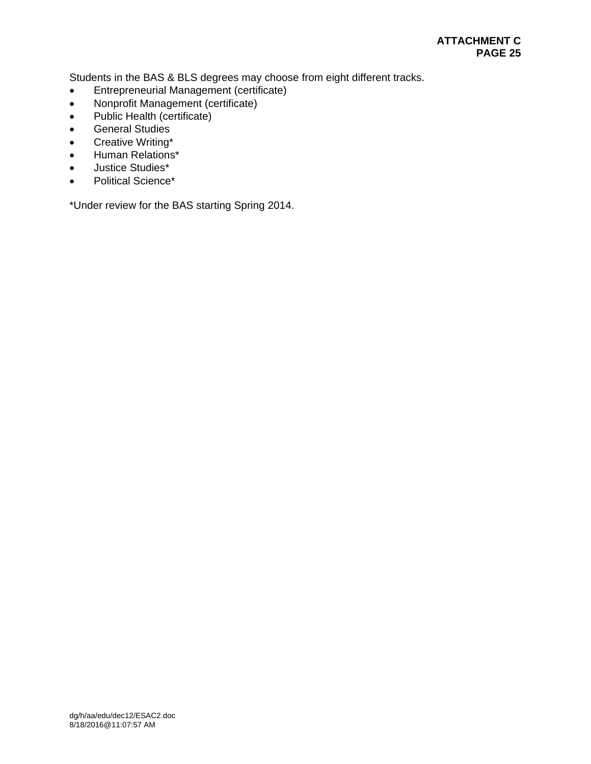Students in the BAS & BLS degrees may choose from eight different tracks.

- Entrepreneurial Management (certificate)
- Nonprofit Management (certificate)
- Public Health (certificate)
- **•** General Studies
- Creative Writing\*
- Human Relations\*
- Justice Studies\*
- Political Science\*

\*Under review for the BAS starting Spring 2014.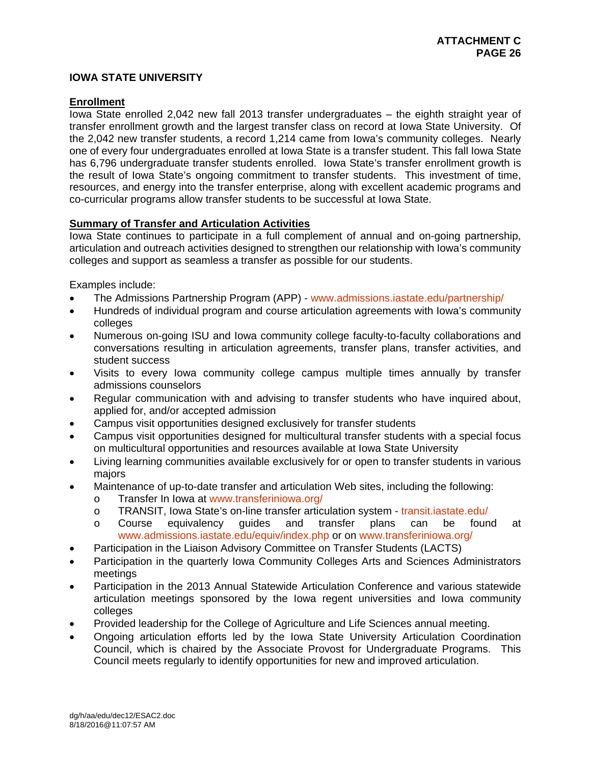# **IOWA STATE UNIVERSITY**

# **Enrollment**

Iowa State enrolled 2,042 new fall 2013 transfer undergraduates – the eighth straight year of transfer enrollment growth and the largest transfer class on record at Iowa State University. Of the 2,042 new transfer students, a record 1,214 came from Iowa's community colleges. Nearly one of every four undergraduates enrolled at Iowa State is a transfer student. This fall Iowa State has 6,796 undergraduate transfer students enrolled. Iowa State's transfer enrollment growth is the result of Iowa State's ongoing commitment to transfer students. This investment of time, resources, and energy into the transfer enterprise, along with excellent academic programs and co-curricular programs allow transfer students to be successful at Iowa State.

# **Summary of Transfer and Articulation Activities**

Iowa State continues to participate in a full complement of annual and on-going partnership, articulation and outreach activities designed to strengthen our relationship with Iowa's community colleges and support as seamless a transfer as possible for our students.

Examples include:

- The Admissions Partnership Program (APP) www.admissions.iastate.edu/partnership/
- Hundreds of individual program and course articulation agreements with Iowa's community colleges
- Numerous on-going ISU and Iowa community college faculty-to-faculty collaborations and conversations resulting in articulation agreements, transfer plans, transfer activities, and student success
- Visits to every lowa community college campus multiple times annually by transfer admissions counselors
- Regular communication with and advising to transfer students who have inquired about, applied for, and/or accepted admission
- Campus visit opportunities designed exclusively for transfer students
- Campus visit opportunities designed for multicultural transfer students with a special focus on multicultural opportunities and resources available at Iowa State University
- Living learning communities available exclusively for or open to transfer students in various majors
- Maintenance of up-to-date transfer and articulation Web sites, including the following:
	- o Transfer In Iowa at www.transferiniowa.org/
	- o TRANSIT, Iowa State's on-line transfer articulation system transit.iastate.edu/<br>
	o Course equivalency quides and transfer plans can be foune
	- o Course equivalency guides and transfer plans can be found at www.admissions.iastate.edu/equiv/index.php or on www.transferiniowa.org/
- Participation in the Liaison Advisory Committee on Transfer Students (LACTS)
- Participation in the quarterly Iowa Community Colleges Arts and Sciences Administrators meetings
- Participation in the 2013 Annual Statewide Articulation Conference and various statewide articulation meetings sponsored by the Iowa regent universities and Iowa community colleges
- Provided leadership for the College of Agriculture and Life Sciences annual meeting.
- Ongoing articulation efforts led by the Iowa State University Articulation Coordination Council, which is chaired by the Associate Provost for Undergraduate Programs. This Council meets regularly to identify opportunities for new and improved articulation.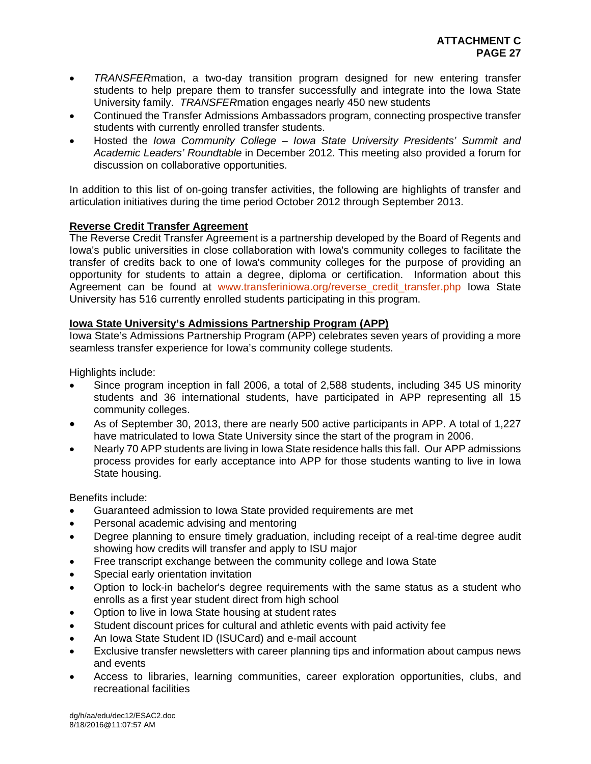- *TRANSFER*mation, a two-day transition program designed for new entering transfer students to help prepare them to transfer successfully and integrate into the Iowa State University family. *TRANSFER*mation engages nearly 450 new students
- Continued the Transfer Admissions Ambassadors program, connecting prospective transfer students with currently enrolled transfer students.
- Hosted the *Iowa Community College Iowa State University Presidents' Summit and Academic Leaders' Roundtable* in December 2012. This meeting also provided a forum for discussion on collaborative opportunities.

In addition to this list of on-going transfer activities, the following are highlights of transfer and articulation initiatives during the time period October 2012 through September 2013.

# **Reverse Credit Transfer Agreement**

The Reverse Credit Transfer Agreement is a partnership developed by the Board of Regents and Iowa's public universities in close collaboration with Iowa's community colleges to facilitate the transfer of credits back to one of Iowa's community colleges for the purpose of providing an opportunity for students to attain a degree, diploma or certification. Information about this Agreement can be found at www.transferiniowa.org/reverse credit transfer.php Iowa State University has 516 currently enrolled students participating in this program.

# **Iowa State University's Admissions Partnership Program (APP)**

Iowa State's Admissions Partnership Program (APP) celebrates seven years of providing a more seamless transfer experience for Iowa's community college students.

Highlights include:

- Since program inception in fall 2006, a total of 2,588 students, including 345 US minority students and 36 international students, have participated in APP representing all 15 community colleges.
- As of September 30, 2013, there are nearly 500 active participants in APP. A total of 1,227 have matriculated to Iowa State University since the start of the program in 2006.
- Nearly 70 APP students are living in Iowa State residence halls this fall. Our APP admissions process provides for early acceptance into APP for those students wanting to live in Iowa State housing.

Benefits include:

- Guaranteed admission to Iowa State provided requirements are met
- Personal academic advising and mentoring
- Degree planning to ensure timely graduation, including receipt of a real-time degree audit showing how credits will transfer and apply to ISU major
- Free transcript exchange between the community college and Iowa State
- Special early orientation invitation
- Option to lock-in bachelor's degree requirements with the same status as a student who enrolls as a first year student direct from high school
- Option to live in Iowa State housing at student rates
- Student discount prices for cultural and athletic events with paid activity fee
- An Iowa State Student ID (ISUCard) and e-mail account
- Exclusive transfer newsletters with career planning tips and information about campus news and events
- Access to libraries, learning communities, career exploration opportunities, clubs, and recreational facilities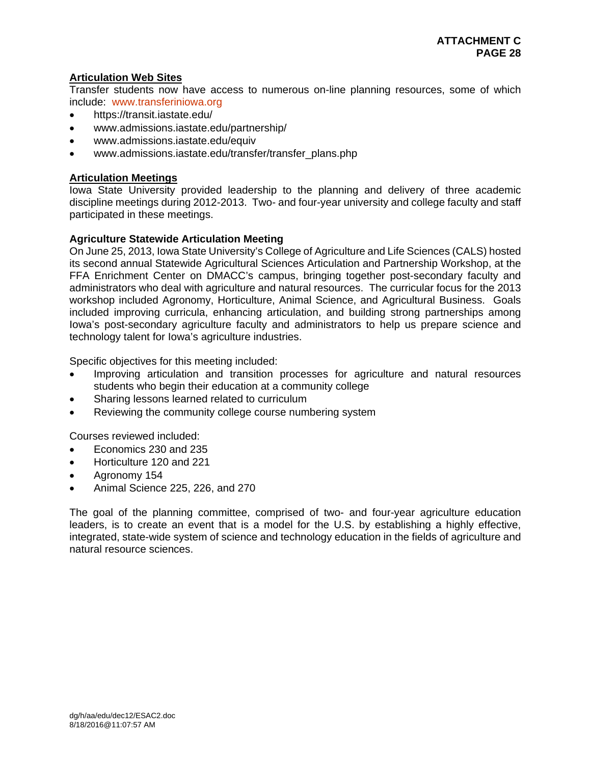# **Articulation Web Sites**

Transfer students now have access to numerous on-line planning resources, some of which include: www.transferiniowa.org

- https://transit.iastate.edu/
- www.admissions.iastate.edu/partnership/
- www.admissions.iastate.edu/equiv
- www.admissions.iastate.edu/transfer/transfer\_plans.php

# **Articulation Meetings**

Iowa State University provided leadership to the planning and delivery of three academic discipline meetings during 2012-2013. Two- and four-year university and college faculty and staff participated in these meetings.

# **Agriculture Statewide Articulation Meeting**

On June 25, 2013, Iowa State University's College of Agriculture and Life Sciences (CALS) hosted its second annual Statewide Agricultural Sciences Articulation and Partnership Workshop, at the FFA Enrichment Center on DMACC's campus, bringing together post-secondary faculty and administrators who deal with agriculture and natural resources. The curricular focus for the 2013 workshop included Agronomy, Horticulture, Animal Science, and Agricultural Business. Goals included improving curricula, enhancing articulation, and building strong partnerships among Iowa's post-secondary agriculture faculty and administrators to help us prepare science and technology talent for Iowa's agriculture industries.

Specific objectives for this meeting included:

- Improving articulation and transition processes for agriculture and natural resources students who begin their education at a community college
- Sharing lessons learned related to curriculum
- Reviewing the community college course numbering system

Courses reviewed included:

- Economics 230 and 235
- Horticulture 120 and 221
- Agronomy 154
- Animal Science 225, 226, and 270

The goal of the planning committee, comprised of two- and four-year agriculture education leaders, is to create an event that is a model for the U.S. by establishing a highly effective, integrated, state-wide system of science and technology education in the fields of agriculture and natural resource sciences.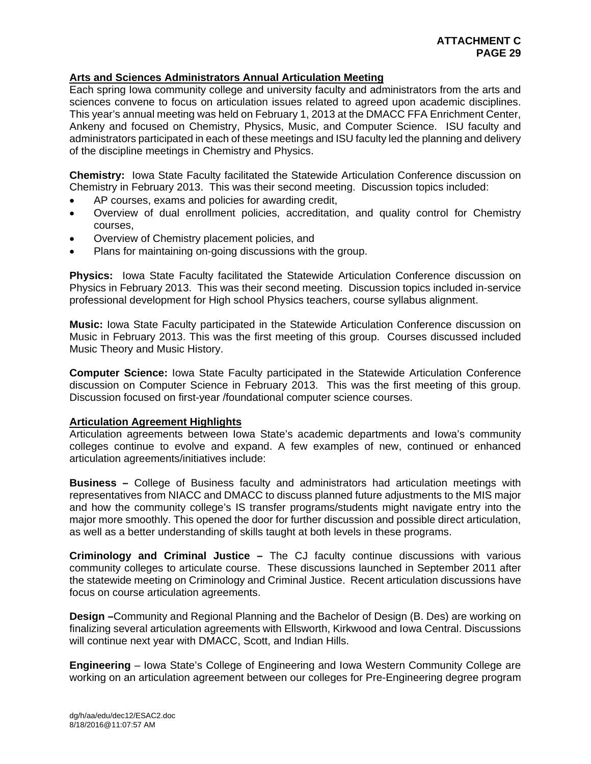# **Arts and Sciences Administrators Annual Articulation Meeting**

Each spring Iowa community college and university faculty and administrators from the arts and sciences convene to focus on articulation issues related to agreed upon academic disciplines. This year's annual meeting was held on February 1, 2013 at the DMACC FFA Enrichment Center, Ankeny and focused on Chemistry, Physics, Music, and Computer Science. ISU faculty and administrators participated in each of these meetings and ISU faculty led the planning and delivery of the discipline meetings in Chemistry and Physics.

**Chemistry:** Iowa State Faculty facilitated the Statewide Articulation Conference discussion on Chemistry in February 2013. This was their second meeting. Discussion topics included:

- AP courses, exams and policies for awarding credit,
- Overview of dual enrollment policies, accreditation, and quality control for Chemistry courses,
- Overview of Chemistry placement policies, and
- Plans for maintaining on-going discussions with the group.

**Physics:** Iowa State Faculty facilitated the Statewide Articulation Conference discussion on Physics in February 2013. This was their second meeting. Discussion topics included in-service professional development for High school Physics teachers, course syllabus alignment.

**Music:** Iowa State Faculty participated in the Statewide Articulation Conference discussion on Music in February 2013. This was the first meeting of this group. Courses discussed included Music Theory and Music History.

**Computer Science:** Iowa State Faculty participated in the Statewide Articulation Conference discussion on Computer Science in February 2013. This was the first meeting of this group. Discussion focused on first-year /foundational computer science courses.

# **Articulation Agreement Highlights**

Articulation agreements between Iowa State's academic departments and Iowa's community colleges continue to evolve and expand. A few examples of new, continued or enhanced articulation agreements/initiatives include:

**Business –** College of Business faculty and administrators had articulation meetings with representatives from NIACC and DMACC to discuss planned future adjustments to the MIS major and how the community college's IS transfer programs/students might navigate entry into the major more smoothly. This opened the door for further discussion and possible direct articulation, as well as a better understanding of skills taught at both levels in these programs.

**Criminology and Criminal Justice –** The CJ faculty continue discussions with various community colleges to articulate course. These discussions launched in September 2011 after the statewide meeting on Criminology and Criminal Justice. Recent articulation discussions have focus on course articulation agreements.

**Design –**Community and Regional Planning and the Bachelor of Design (B. Des) are working on finalizing several articulation agreements with Ellsworth, Kirkwood and Iowa Central. Discussions will continue next year with DMACC, Scott, and Indian Hills.

**Engineering** – Iowa State's College of Engineering and Iowa Western Community College are working on an articulation agreement between our colleges for Pre-Engineering degree program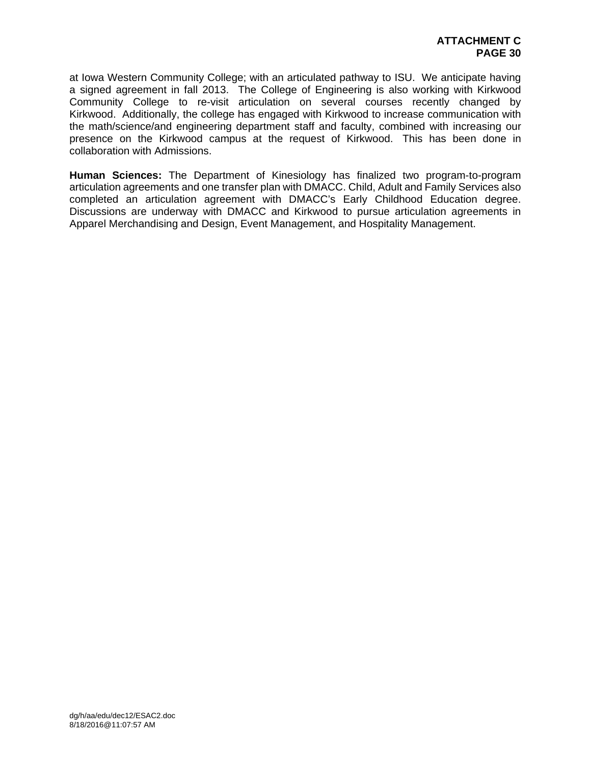at Iowa Western Community College; with an articulated pathway to ISU. We anticipate having a signed agreement in fall 2013. The College of Engineering is also working with Kirkwood Community College to re-visit articulation on several courses recently changed by Kirkwood. Additionally, the college has engaged with Kirkwood to increase communication with the math/science/and engineering department staff and faculty, combined with increasing our presence on the Kirkwood campus at the request of Kirkwood. This has been done in collaboration with Admissions.

**Human Sciences:** The Department of Kinesiology has finalized two program-to-program articulation agreements and one transfer plan with DMACC. Child, Adult and Family Services also completed an articulation agreement with DMACC's Early Childhood Education degree. Discussions are underway with DMACC and Kirkwood to pursue articulation agreements in Apparel Merchandising and Design, Event Management, and Hospitality Management.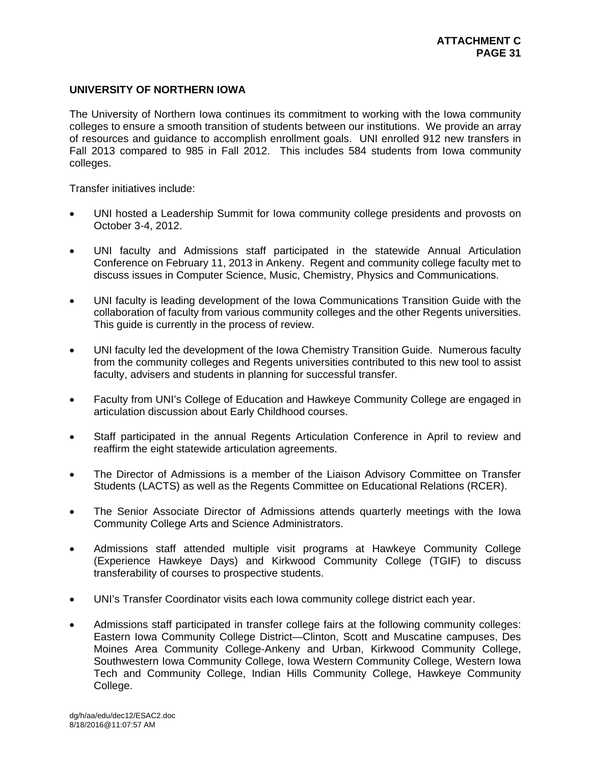# **UNIVERSITY OF NORTHERN IOWA**

The University of Northern Iowa continues its commitment to working with the Iowa community colleges to ensure a smooth transition of students between our institutions. We provide an array of resources and guidance to accomplish enrollment goals. UNI enrolled 912 new transfers in Fall 2013 compared to 985 in Fall 2012. This includes 584 students from Iowa community colleges.

Transfer initiatives include:

- UNI hosted a Leadership Summit for Iowa community college presidents and provosts on October 3-4, 2012.
- UNI faculty and Admissions staff participated in the statewide Annual Articulation Conference on February 11, 2013 in Ankeny. Regent and community college faculty met to discuss issues in Computer Science, Music, Chemistry, Physics and Communications.
- UNI faculty is leading development of the Iowa Communications Transition Guide with the collaboration of faculty from various community colleges and the other Regents universities. This guide is currently in the process of review.
- UNI faculty led the development of the Iowa Chemistry Transition Guide. Numerous faculty from the community colleges and Regents universities contributed to this new tool to assist faculty, advisers and students in planning for successful transfer.
- Faculty from UNI's College of Education and Hawkeye Community College are engaged in articulation discussion about Early Childhood courses.
- Staff participated in the annual Regents Articulation Conference in April to review and reaffirm the eight statewide articulation agreements.
- The Director of Admissions is a member of the Liaison Advisory Committee on Transfer Students (LACTS) as well as the Regents Committee on Educational Relations (RCER).
- The Senior Associate Director of Admissions attends quarterly meetings with the Iowa Community College Arts and Science Administrators.
- Admissions staff attended multiple visit programs at Hawkeye Community College (Experience Hawkeye Days) and Kirkwood Community College (TGIF) to discuss transferability of courses to prospective students.
- UNI's Transfer Coordinator visits each Iowa community college district each year.
- Admissions staff participated in transfer college fairs at the following community colleges: Eastern Iowa Community College District—Clinton, Scott and Muscatine campuses, Des Moines Area Community College-Ankeny and Urban, Kirkwood Community College, Southwestern Iowa Community College, Iowa Western Community College, Western Iowa Tech and Community College, Indian Hills Community College, Hawkeye Community College.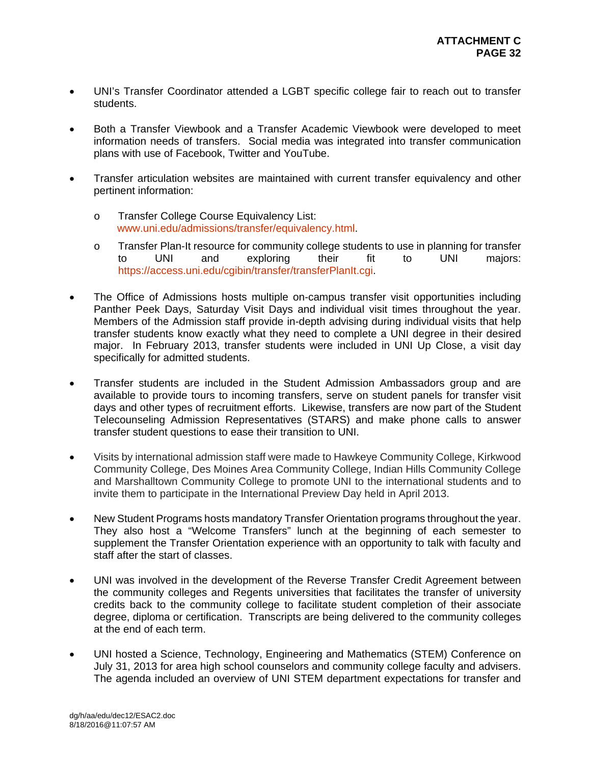- UNI's Transfer Coordinator attended a LGBT specific college fair to reach out to transfer students.
- Both a Transfer Viewbook and a Transfer Academic Viewbook were developed to meet information needs of transfers. Social media was integrated into transfer communication plans with use of Facebook, Twitter and YouTube.
- Transfer articulation websites are maintained with current transfer equivalency and other pertinent information:
	- o Transfer College Course Equivalency List: www.uni.edu/admissions/transfer/equivalency.html.
	- o Transfer Plan-It resource for community college students to use in planning for transfer to UNI and exploring their fit to UNI majors: https://access.uni.edu/cgibin/transfer/transferPlanIt.cgi.
- The Office of Admissions hosts multiple on-campus transfer visit opportunities including Panther Peek Days, Saturday Visit Days and individual visit times throughout the year. Members of the Admission staff provide in-depth advising during individual visits that help transfer students know exactly what they need to complete a UNI degree in their desired major. In February 2013, transfer students were included in UNI Up Close, a visit day specifically for admitted students.
- Transfer students are included in the Student Admission Ambassadors group and are available to provide tours to incoming transfers, serve on student panels for transfer visit days and other types of recruitment efforts. Likewise, transfers are now part of the Student Telecounseling Admission Representatives (STARS) and make phone calls to answer transfer student questions to ease their transition to UNI.
- Visits by international admission staff were made to Hawkeye Community College, Kirkwood Community College, Des Moines Area Community College, Indian Hills Community College and Marshalltown Community College to promote UNI to the international students and to invite them to participate in the International Preview Day held in April 2013.
- New Student Programs hosts mandatory Transfer Orientation programs throughout the year. They also host a "Welcome Transfers" lunch at the beginning of each semester to supplement the Transfer Orientation experience with an opportunity to talk with faculty and staff after the start of classes.
- UNI was involved in the development of the Reverse Transfer Credit Agreement between the community colleges and Regents universities that facilitates the transfer of university credits back to the community college to facilitate student completion of their associate degree, diploma or certification. Transcripts are being delivered to the community colleges at the end of each term.
- UNI hosted a Science, Technology, Engineering and Mathematics (STEM) Conference on July 31, 2013 for area high school counselors and community college faculty and advisers. The agenda included an overview of UNI STEM department expectations for transfer and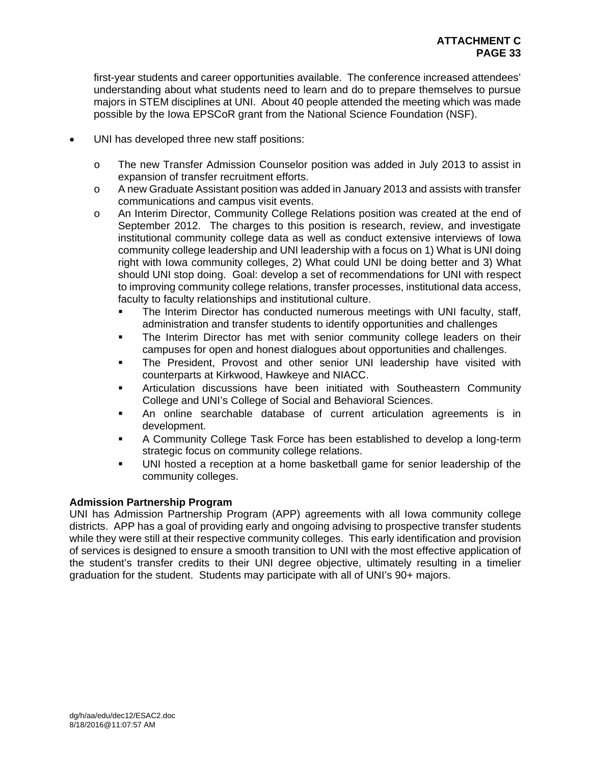first-year students and career opportunities available. The conference increased attendees' understanding about what students need to learn and do to prepare themselves to pursue majors in STEM disciplines at UNI. About 40 people attended the meeting which was made possible by the Iowa EPSCoR grant from the National Science Foundation (NSF).

- UNI has developed three new staff positions:
	- o The new Transfer Admission Counselor position was added in July 2013 to assist in expansion of transfer recruitment efforts.
	- o A new Graduate Assistant position was added in January 2013 and assists with transfer communications and campus visit events.
	- o An Interim Director, Community College Relations position was created at the end of September 2012. The charges to this position is research, review, and investigate institutional community college data as well as conduct extensive interviews of Iowa community college leadership and UNI leadership with a focus on 1) What is UNI doing right with Iowa community colleges, 2) What could UNI be doing better and 3) What should UNI stop doing. Goal: develop a set of recommendations for UNI with respect to improving community college relations, transfer processes, institutional data access, faculty to faculty relationships and institutional culture.
		- The Interim Director has conducted numerous meetings with UNI faculty, staff, administration and transfer students to identify opportunities and challenges
		- **The Interim Director has met with senior community college leaders on their** campuses for open and honest dialogues about opportunities and challenges.
		- The President, Provost and other senior UNI leadership have visited with counterparts at Kirkwood, Hawkeye and NIACC.
		- Articulation discussions have been initiated with Southeastern Community College and UNI's College of Social and Behavioral Sciences.
		- An online searchable database of current articulation agreements is in development.
		- A Community College Task Force has been established to develop a long-term strategic focus on community college relations.
		- UNI hosted a reception at a home basketball game for senior leadership of the community colleges.

# **Admission Partnership Program**

UNI has Admission Partnership Program (APP) agreements with all Iowa community college districts. APP has a goal of providing early and ongoing advising to prospective transfer students while they were still at their respective community colleges. This early identification and provision of services is designed to ensure a smooth transition to UNI with the most effective application of the student's transfer credits to their UNI degree objective, ultimately resulting in a timelier graduation for the student. Students may participate with all of UNI's 90+ majors.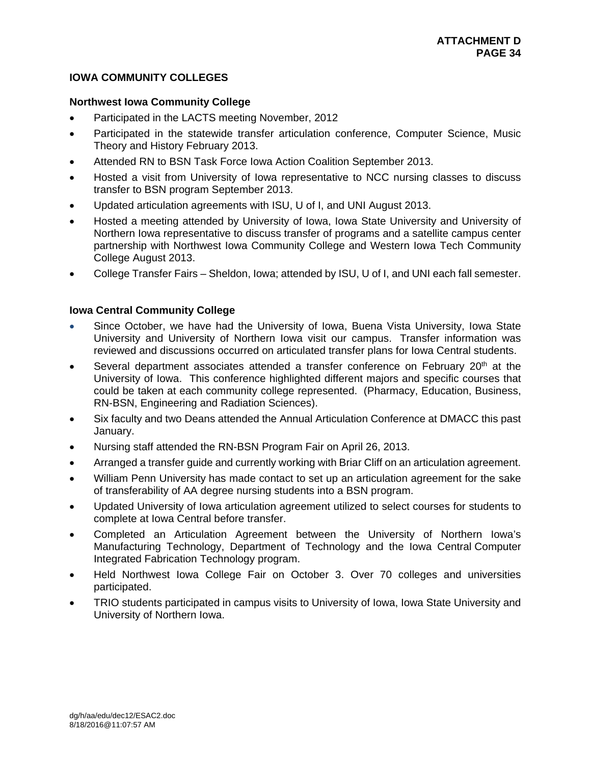# **IOWA COMMUNITY COLLEGES**

# **Northwest Iowa Community College**

- Participated in the LACTS meeting November, 2012
- Participated in the statewide transfer articulation conference, Computer Science, Music Theory and History February 2013.
- Attended RN to BSN Task Force Iowa Action Coalition September 2013.
- Hosted a visit from University of Iowa representative to NCC nursing classes to discuss transfer to BSN program September 2013.
- Updated articulation agreements with ISU, U of I, and UNI August 2013.
- Hosted a meeting attended by University of Iowa, Iowa State University and University of Northern Iowa representative to discuss transfer of programs and a satellite campus center partnership with Northwest Iowa Community College and Western Iowa Tech Community College August 2013.
- College Transfer Fairs Sheldon, Iowa; attended by ISU, U of I, and UNI each fall semester.

# **Iowa Central Community College**

- Since October, we have had the University of Iowa, Buena Vista University, Iowa State University and University of Northern Iowa visit our campus. Transfer information was reviewed and discussions occurred on articulated transfer plans for Iowa Central students.
- Several department associates attended a transfer conference on February 20<sup>th</sup> at the University of Iowa. This conference highlighted different majors and specific courses that could be taken at each community college represented. (Pharmacy, Education, Business, RN-BSN, Engineering and Radiation Sciences).
- Six faculty and two Deans attended the Annual Articulation Conference at DMACC this past January.
- Nursing staff attended the RN-BSN Program Fair on April 26, 2013.
- Arranged a transfer guide and currently working with Briar Cliff on an articulation agreement.
- William Penn University has made contact to set up an articulation agreement for the sake of transferability of AA degree nursing students into a BSN program.
- Updated University of Iowa articulation agreement utilized to select courses for students to complete at Iowa Central before transfer.
- Completed an Articulation Agreement between the University of Northern Iowa's Manufacturing Technology, Department of Technology and the Iowa Central Computer Integrated Fabrication Technology program.
- Held Northwest Iowa College Fair on October 3. Over 70 colleges and universities participated.
- TRIO students participated in campus visits to University of Iowa, Iowa State University and University of Northern Iowa.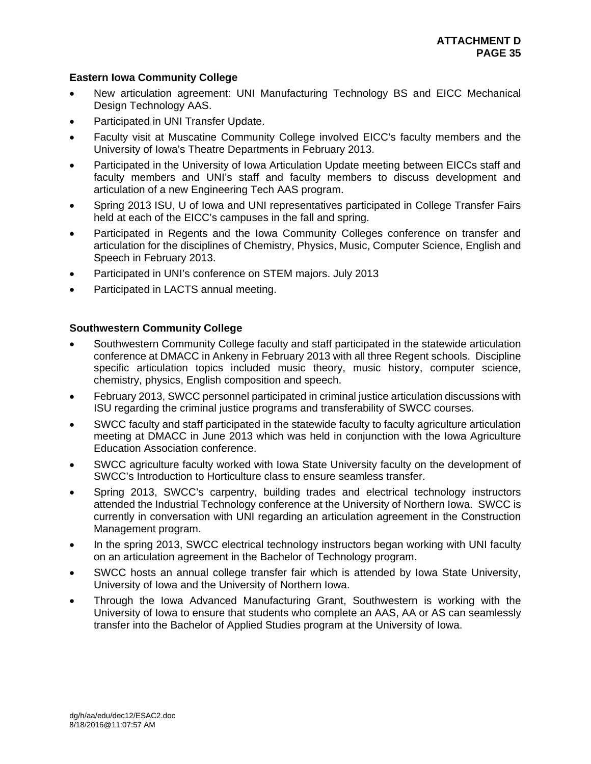# **Eastern Iowa Community College**

- New articulation agreement: UNI Manufacturing Technology BS and EICC Mechanical Design Technology AAS.
- Participated in UNI Transfer Update.
- Faculty visit at Muscatine Community College involved EICC's faculty members and the University of Iowa's Theatre Departments in February 2013.
- Participated in the University of Iowa Articulation Update meeting between EICCs staff and faculty members and UNI's staff and faculty members to discuss development and articulation of a new Engineering Tech AAS program.
- Spring 2013 ISU, U of Iowa and UNI representatives participated in College Transfer Fairs held at each of the EICC's campuses in the fall and spring.
- Participated in Regents and the Iowa Community Colleges conference on transfer and articulation for the disciplines of Chemistry, Physics, Music, Computer Science, English and Speech in February 2013.
- Participated in UNI's conference on STEM majors. July 2013
- Participated in LACTS annual meeting.

# **Southwestern Community College**

- Southwestern Community College faculty and staff participated in the statewide articulation conference at DMACC in Ankeny in February 2013 with all three Regent schools. Discipline specific articulation topics included music theory, music history, computer science, chemistry, physics, English composition and speech.
- February 2013, SWCC personnel participated in criminal justice articulation discussions with ISU regarding the criminal justice programs and transferability of SWCC courses.
- SWCC faculty and staff participated in the statewide faculty to faculty agriculture articulation meeting at DMACC in June 2013 which was held in conjunction with the Iowa Agriculture Education Association conference.
- SWCC agriculture faculty worked with Iowa State University faculty on the development of SWCC's Introduction to Horticulture class to ensure seamless transfer.
- Spring 2013, SWCC's carpentry, building trades and electrical technology instructors attended the Industrial Technology conference at the University of Northern Iowa. SWCC is currently in conversation with UNI regarding an articulation agreement in the Construction Management program.
- In the spring 2013, SWCC electrical technology instructors began working with UNI faculty on an articulation agreement in the Bachelor of Technology program.
- SWCC hosts an annual college transfer fair which is attended by Iowa State University, University of Iowa and the University of Northern Iowa.
- Through the Iowa Advanced Manufacturing Grant, Southwestern is working with the University of Iowa to ensure that students who complete an AAS, AA or AS can seamlessly transfer into the Bachelor of Applied Studies program at the University of Iowa.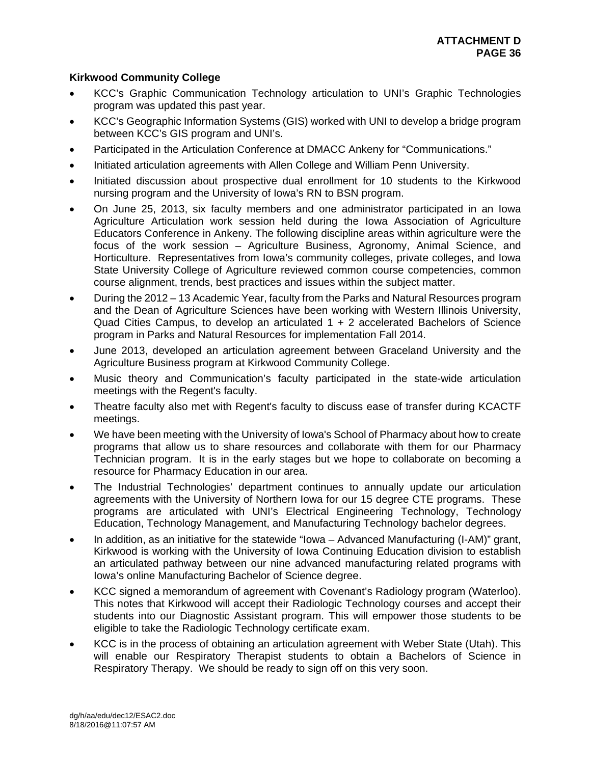# **Kirkwood Community College**

- KCC's Graphic Communication Technology articulation to UNI's Graphic Technologies program was updated this past year.
- KCC's Geographic Information Systems (GIS) worked with UNI to develop a bridge program between KCC's GIS program and UNI's.
- Participated in the Articulation Conference at DMACC Ankeny for "Communications."
- Initiated articulation agreements with Allen College and William Penn University.
- Initiated discussion about prospective dual enrollment for 10 students to the Kirkwood nursing program and the University of Iowa's RN to BSN program.
- On June 25, 2013, six faculty members and one administrator participated in an Iowa Agriculture Articulation work session held during the Iowa Association of Agriculture Educators Conference in Ankeny. The following discipline areas within agriculture were the focus of the work session – Agriculture Business, Agronomy, Animal Science, and Horticulture. Representatives from Iowa's community colleges, private colleges, and Iowa State University College of Agriculture reviewed common course competencies, common course alignment, trends, best practices and issues within the subject matter.
- During the 2012 13 Academic Year, faculty from the Parks and Natural Resources program and the Dean of Agriculture Sciences have been working with Western Illinois University, Quad Cities Campus, to develop an articulated 1 + 2 accelerated Bachelors of Science program in Parks and Natural Resources for implementation Fall 2014.
- June 2013, developed an articulation agreement between Graceland University and the Agriculture Business program at Kirkwood Community College.
- Music theory and Communication's faculty participated in the state-wide articulation meetings with the Regent's faculty.
- Theatre faculty also met with Regent's faculty to discuss ease of transfer during KCACTF meetings.
- We have been meeting with the University of Iowa's School of Pharmacy about how to create programs that allow us to share resources and collaborate with them for our Pharmacy Technician program. It is in the early stages but we hope to collaborate on becoming a resource for Pharmacy Education in our area.
- The Industrial Technologies' department continues to annually update our articulation agreements with the University of Northern Iowa for our 15 degree CTE programs. These programs are articulated with UNI's Electrical Engineering Technology, Technology Education, Technology Management, and Manufacturing Technology bachelor degrees.
- In addition, as an initiative for the statewide "Iowa Advanced Manufacturing (I-AM)" grant, Kirkwood is working with the University of Iowa Continuing Education division to establish an articulated pathway between our nine advanced manufacturing related programs with Iowa's online Manufacturing Bachelor of Science degree.
- KCC signed a memorandum of agreement with Covenant's Radiology program (Waterloo). This notes that Kirkwood will accept their Radiologic Technology courses and accept their students into our Diagnostic Assistant program. This will empower those students to be eligible to take the Radiologic Technology certificate exam.
- KCC is in the process of obtaining an articulation agreement with Weber State (Utah). This will enable our Respiratory Therapist students to obtain a Bachelors of Science in Respiratory Therapy. We should be ready to sign off on this very soon.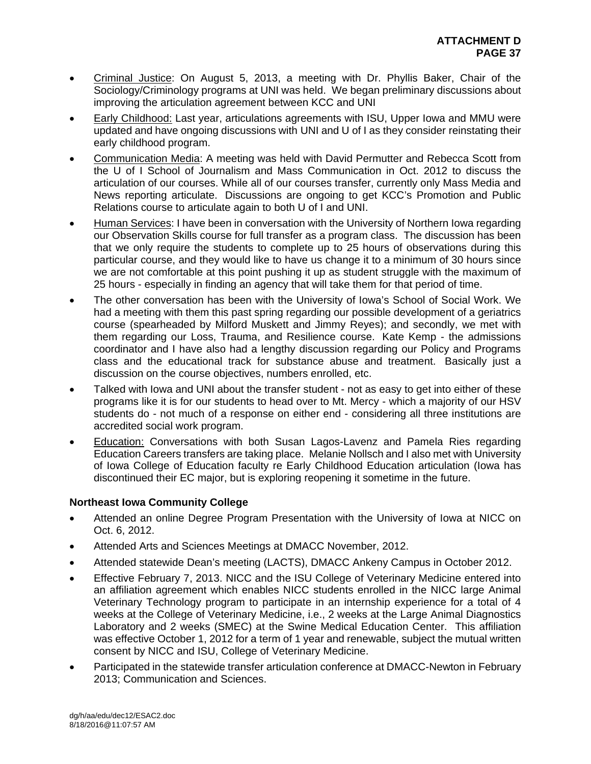- Criminal Justice: On August 5, 2013, a meeting with Dr. Phyllis Baker, Chair of the Sociology/Criminology programs at UNI was held. We began preliminary discussions about improving the articulation agreement between KCC and UNI
- Early Childhood: Last year, articulations agreements with ISU, Upper Iowa and MMU were updated and have ongoing discussions with UNI and U of I as they consider reinstating their early childhood program.
- Communication Media: A meeting was held with David Permutter and Rebecca Scott from the U of I School of Journalism and Mass Communication in Oct. 2012 to discuss the articulation of our courses. While all of our courses transfer, currently only Mass Media and News reporting articulate. Discussions are ongoing to get KCC's Promotion and Public Relations course to articulate again to both U of I and UNI.
- Human Services: I have been in conversation with the University of Northern Iowa regarding our Observation Skills course for full transfer as a program class. The discussion has been that we only require the students to complete up to 25 hours of observations during this particular course, and they would like to have us change it to a minimum of 30 hours since we are not comfortable at this point pushing it up as student struggle with the maximum of 25 hours - especially in finding an agency that will take them for that period of time.
- The other conversation has been with the University of Iowa's School of Social Work. We had a meeting with them this past spring regarding our possible development of a geriatrics course (spearheaded by Milford Muskett and Jimmy Reyes); and secondly, we met with them regarding our Loss, Trauma, and Resilience course. Kate Kemp - the admissions coordinator and I have also had a lengthy discussion regarding our Policy and Programs class and the educational track for substance abuse and treatment. Basically just a discussion on the course objectives, numbers enrolled, etc.
- Talked with Iowa and UNI about the transfer student not as easy to get into either of these programs like it is for our students to head over to Mt. Mercy - which a majority of our HSV students do - not much of a response on either end - considering all three institutions are accredited social work program.
- Education: Conversations with both Susan Lagos-Lavenz and Pamela Ries regarding Education Careers transfers are taking place. Melanie Nollsch and I also met with University of Iowa College of Education faculty re Early Childhood Education articulation (Iowa has discontinued their EC major, but is exploring reopening it sometime in the future.

# **Northeast Iowa Community College**

- Attended an online Degree Program Presentation with the University of Iowa at NICC on Oct. 6, 2012.
- Attended Arts and Sciences Meetings at DMACC November, 2012.
- Attended statewide Dean's meeting (LACTS), DMACC Ankeny Campus in October 2012.
- Effective February 7, 2013. NICC and the ISU College of Veterinary Medicine entered into an affiliation agreement which enables NICC students enrolled in the NICC large Animal Veterinary Technology program to participate in an internship experience for a total of 4 weeks at the College of Veterinary Medicine, i.e., 2 weeks at the Large Animal Diagnostics Laboratory and 2 weeks (SMEC) at the Swine Medical Education Center. This affiliation was effective October 1, 2012 for a term of 1 year and renewable, subject the mutual written consent by NICC and ISU, College of Veterinary Medicine.
- Participated in the statewide transfer articulation conference at DMACC-Newton in February 2013; Communication and Sciences.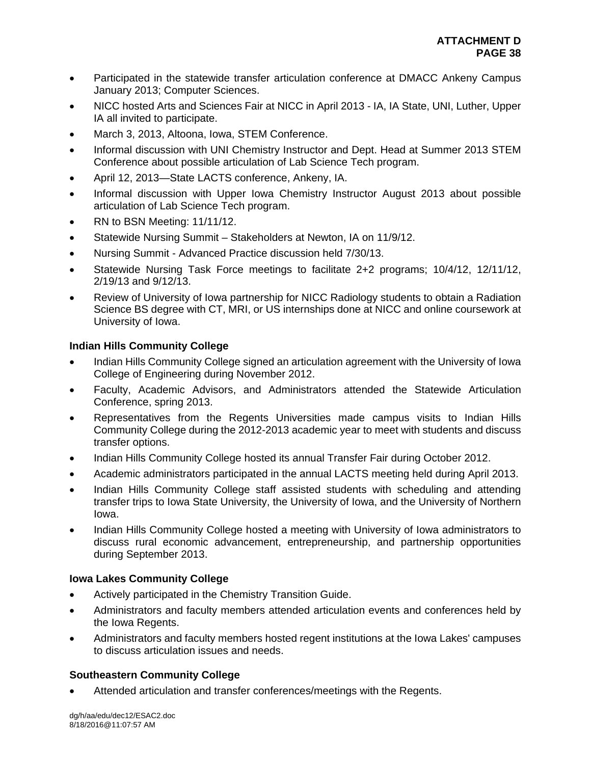- Participated in the statewide transfer articulation conference at DMACC Ankeny Campus January 2013; Computer Sciences.
- NICC hosted Arts and Sciences Fair at NICC in April 2013 IA, IA State, UNI, Luther, Upper IA all invited to participate.
- March 3, 2013, Altoona, Iowa, STEM Conference.
- Informal discussion with UNI Chemistry Instructor and Dept. Head at Summer 2013 STEM Conference about possible articulation of Lab Science Tech program.
- April 12, 2013—State LACTS conference, Ankeny, IA.
- Informal discussion with Upper Iowa Chemistry Instructor August 2013 about possible articulation of Lab Science Tech program.
- RN to BSN Meeting: 11/11/12.
- Statewide Nursing Summit Stakeholders at Newton, IA on 11/9/12.
- Nursing Summit Advanced Practice discussion held 7/30/13.
- Statewide Nursing Task Force meetings to facilitate 2+2 programs; 10/4/12, 12/11/12, 2/19/13 and 9/12/13.
- Review of University of Iowa partnership for NICC Radiology students to obtain a Radiation Science BS degree with CT, MRI, or US internships done at NICC and online coursework at University of Iowa.

# **Indian Hills Community College**

- Indian Hills Community College signed an articulation agreement with the University of Iowa College of Engineering during November 2012.
- Faculty, Academic Advisors, and Administrators attended the Statewide Articulation Conference, spring 2013.
- Representatives from the Regents Universities made campus visits to Indian Hills Community College during the 2012-2013 academic year to meet with students and discuss transfer options.
- Indian Hills Community College hosted its annual Transfer Fair during October 2012.
- Academic administrators participated in the annual LACTS meeting held during April 2013.
- Indian Hills Community College staff assisted students with scheduling and attending transfer trips to Iowa State University, the University of Iowa, and the University of Northern Iowa.
- Indian Hills Community College hosted a meeting with University of Iowa administrators to discuss rural economic advancement, entrepreneurship, and partnership opportunities during September 2013.

# **Iowa Lakes Community College**

- Actively participated in the Chemistry Transition Guide.
- Administrators and faculty members attended articulation events and conferences held by the Iowa Regents.
- Administrators and faculty members hosted regent institutions at the Iowa Lakes' campuses to discuss articulation issues and needs.

# **Southeastern Community College**

Attended articulation and transfer conferences/meetings with the Regents.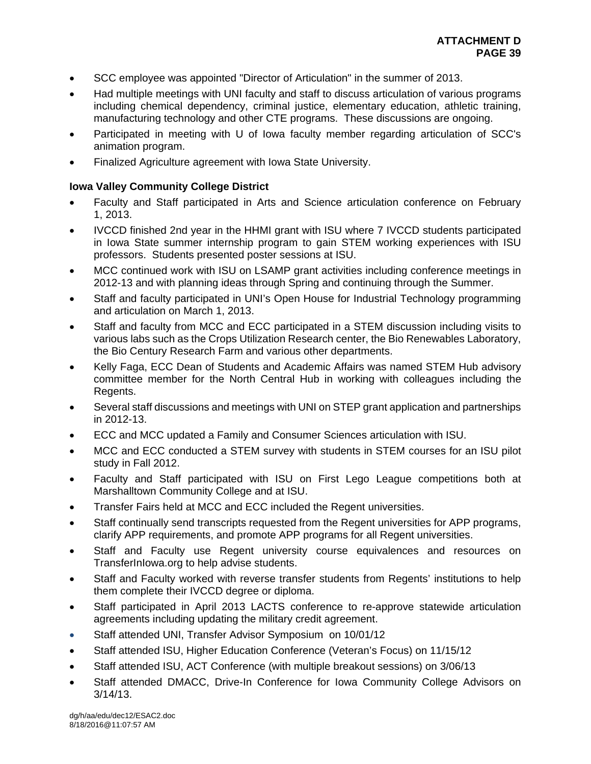- SCC employee was appointed "Director of Articulation" in the summer of 2013.
- Had multiple meetings with UNI faculty and staff to discuss articulation of various programs including chemical dependency, criminal justice, elementary education, athletic training, manufacturing technology and other CTE programs. These discussions are ongoing.
- Participated in meeting with U of Iowa faculty member regarding articulation of SCC's animation program.
- Finalized Agriculture agreement with Iowa State University.

# **Iowa Valley Community College District**

- Faculty and Staff participated in Arts and Science articulation conference on February 1, 2013.
- IVCCD finished 2nd year in the HHMI grant with ISU where 7 IVCCD students participated in Iowa State summer internship program to gain STEM working experiences with ISU professors. Students presented poster sessions at ISU.
- MCC continued work with ISU on LSAMP grant activities including conference meetings in 2012-13 and with planning ideas through Spring and continuing through the Summer.
- Staff and faculty participated in UNI's Open House for Industrial Technology programming and articulation on March 1, 2013.
- Staff and faculty from MCC and ECC participated in a STEM discussion including visits to various labs such as the Crops Utilization Research center, the Bio Renewables Laboratory, the Bio Century Research Farm and various other departments.
- Kelly Faga, ECC Dean of Students and Academic Affairs was named STEM Hub advisory committee member for the North Central Hub in working with colleagues including the Regents.
- Several staff discussions and meetings with UNI on STEP grant application and partnerships in 2012-13.
- ECC and MCC updated a Family and Consumer Sciences articulation with ISU.
- MCC and ECC conducted a STEM survey with students in STEM courses for an ISU pilot study in Fall 2012.
- Faculty and Staff participated with ISU on First Lego League competitions both at Marshalltown Community College and at ISU.
- Transfer Fairs held at MCC and ECC included the Regent universities.
- Staff continually send transcripts requested from the Regent universities for APP programs, clarify APP requirements, and promote APP programs for all Regent universities.
- Staff and Faculty use Regent university course equivalences and resources on TransferInIowa.org to help advise students.
- Staff and Faculty worked with reverse transfer students from Regents' institutions to help them complete their IVCCD degree or diploma.
- Staff participated in April 2013 LACTS conference to re-approve statewide articulation agreements including updating the military credit agreement.
- Staff attended UNI, Transfer Advisor Symposium on 10/01/12
- Staff attended ISU, Higher Education Conference (Veteran's Focus) on 11/15/12
- Staff attended ISU, ACT Conference (with multiple breakout sessions) on 3/06/13
- Staff attended DMACC, Drive-In Conference for Iowa Community College Advisors on 3/14/13.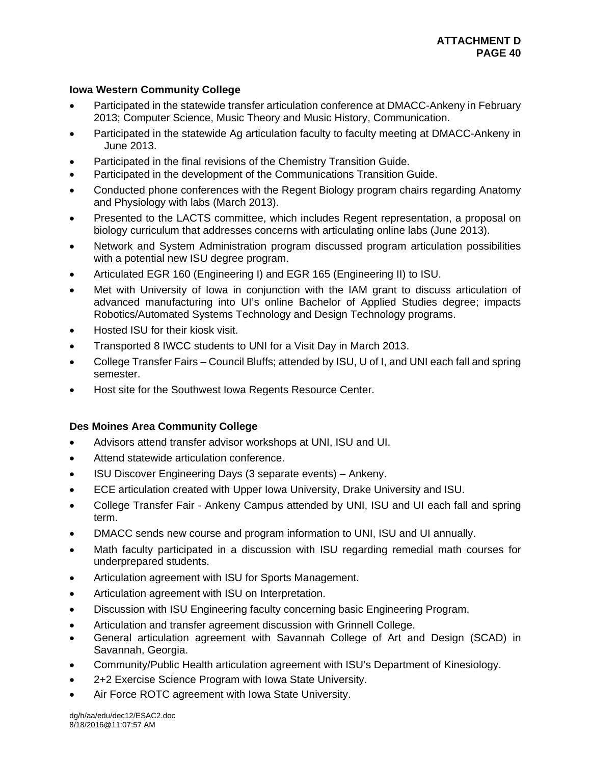# **Iowa Western Community College**

- Participated in the statewide transfer articulation conference at DMACC-Ankeny in February 2013; Computer Science, Music Theory and Music History, Communication.
- Participated in the statewide Ag articulation faculty to faculty meeting at DMACC-Ankeny in June 2013.
- Participated in the final revisions of the Chemistry Transition Guide.
- Participated in the development of the Communications Transition Guide.
- Conducted phone conferences with the Regent Biology program chairs regarding Anatomy and Physiology with labs (March 2013).
- Presented to the LACTS committee, which includes Regent representation, a proposal on biology curriculum that addresses concerns with articulating online labs (June 2013).
- Network and System Administration program discussed program articulation possibilities with a potential new ISU degree program.
- Articulated EGR 160 (Engineering I) and EGR 165 (Engineering II) to ISU.
- Met with University of Iowa in conjunction with the IAM grant to discuss articulation of advanced manufacturing into UI's online Bachelor of Applied Studies degree; impacts Robotics/Automated Systems Technology and Design Technology programs.
- Hosted ISU for their kiosk visit.
- Transported 8 IWCC students to UNI for a Visit Day in March 2013.
- College Transfer Fairs Council Bluffs; attended by ISU, U of I, and UNI each fall and spring semester.
- Host site for the Southwest Iowa Regents Resource Center.

# **Des Moines Area Community College**

- Advisors attend transfer advisor workshops at UNI, ISU and UI.
- Attend statewide articulation conference.
- ISU Discover Engineering Days (3 separate events) Ankeny.
- ECE articulation created with Upper Iowa University, Drake University and ISU.
- College Transfer Fair Ankeny Campus attended by UNI, ISU and UI each fall and spring term.
- DMACC sends new course and program information to UNI, ISU and UI annually.
- Math faculty participated in a discussion with ISU regarding remedial math courses for underprepared students.
- Articulation agreement with ISU for Sports Management.
- Articulation agreement with ISU on Interpretation.
- Discussion with ISU Engineering faculty concerning basic Engineering Program.
- Articulation and transfer agreement discussion with Grinnell College.
- General articulation agreement with Savannah College of Art and Design (SCAD) in Savannah, Georgia.
- Community/Public Health articulation agreement with ISU's Department of Kinesiology.
- 2+2 Exercise Science Program with Iowa State University.
- Air Force ROTC agreement with Iowa State University.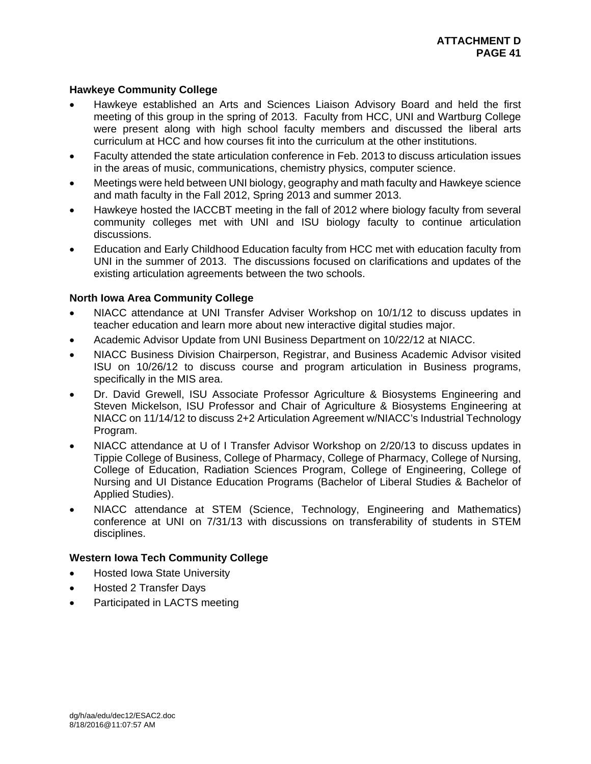# **Hawkeye Community College**

- Hawkeye established an Arts and Sciences Liaison Advisory Board and held the first meeting of this group in the spring of 2013. Faculty from HCC, UNI and Wartburg College were present along with high school faculty members and discussed the liberal arts curriculum at HCC and how courses fit into the curriculum at the other institutions.
- Faculty attended the state articulation conference in Feb. 2013 to discuss articulation issues in the areas of music, communications, chemistry physics, computer science.
- Meetings were held between UNI biology, geography and math faculty and Hawkeye science and math faculty in the Fall 2012, Spring 2013 and summer 2013.
- Hawkeye hosted the IACCBT meeting in the fall of 2012 where biology faculty from several community colleges met with UNI and ISU biology faculty to continue articulation discussions.
- Education and Early Childhood Education faculty from HCC met with education faculty from UNI in the summer of 2013. The discussions focused on clarifications and updates of the existing articulation agreements between the two schools.

# **North Iowa Area Community College**

- NIACC attendance at UNI Transfer Adviser Workshop on 10/1/12 to discuss updates in teacher education and learn more about new interactive digital studies major.
- Academic Advisor Update from UNI Business Department on 10/22/12 at NIACC.
- NIACC Business Division Chairperson, Registrar, and Business Academic Advisor visited ISU on 10/26/12 to discuss course and program articulation in Business programs, specifically in the MIS area.
- Dr. David Grewell, ISU Associate Professor Agriculture & Biosystems Engineering and Steven Mickelson, ISU Professor and Chair of Agriculture & Biosystems Engineering at NIACC on 11/14/12 to discuss 2+2 Articulation Agreement w/NIACC's Industrial Technology Program.
- NIACC attendance at U of I Transfer Advisor Workshop on 2/20/13 to discuss updates in Tippie College of Business, College of Pharmacy, College of Pharmacy, College of Nursing, College of Education, Radiation Sciences Program, College of Engineering, College of Nursing and UI Distance Education Programs (Bachelor of Liberal Studies & Bachelor of Applied Studies).
- NIACC attendance at STEM (Science, Technology, Engineering and Mathematics) conference at UNI on 7/31/13 with discussions on transferability of students in STEM disciplines.

# **Western Iowa Tech Community College**

- Hosted Iowa State University
- Hosted 2 Transfer Days
- Participated in LACTS meeting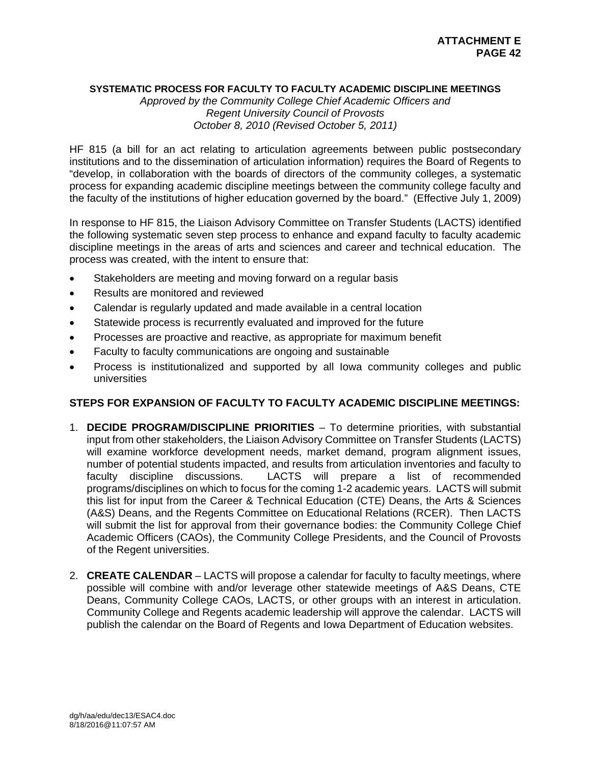# **SYSTEMATIC PROCESS FOR FACULTY TO FACULTY ACADEMIC DISCIPLINE MEETINGS**

*Approved by the Community College Chief Academic Officers and Regent University Council of Provosts October 8, 2010 (Revised October 5, 2011)* 

HF 815 (a bill for an act relating to articulation agreements between public postsecondary institutions and to the dissemination of articulation information) requires the Board of Regents to "develop, in collaboration with the boards of directors of the community colleges, a systematic process for expanding academic discipline meetings between the community college faculty and the faculty of the institutions of higher education governed by the board." (Effective July 1, 2009)

In response to HF 815, the Liaison Advisory Committee on Transfer Students (LACTS) identified the following systematic seven step process to enhance and expand faculty to faculty academic discipline meetings in the areas of arts and sciences and career and technical education. The process was created, with the intent to ensure that:

- Stakeholders are meeting and moving forward on a regular basis
- Results are monitored and reviewed
- Calendar is regularly updated and made available in a central location
- Statewide process is recurrently evaluated and improved for the future
- Processes are proactive and reactive, as appropriate for maximum benefit
- Faculty to faculty communications are ongoing and sustainable
- Process is institutionalized and supported by all Iowa community colleges and public universities

# **STEPS FOR EXPANSION OF FACULTY TO FACULTY ACADEMIC DISCIPLINE MEETINGS:**

- 1. **DECIDE PROGRAM/DISCIPLINE PRIORITIES** To determine priorities, with substantial input from other stakeholders, the Liaison Advisory Committee on Transfer Students (LACTS) will examine workforce development needs, market demand, program alignment issues, number of potential students impacted, and results from articulation inventories and faculty to faculty discipline discussions. LACTS will prepare a list of recommended programs/disciplines on which to focus for the coming 1-2 academic years. LACTS will submit this list for input from the Career & Technical Education (CTE) Deans, the Arts & Sciences (A&S) Deans, and the Regents Committee on Educational Relations (RCER). Then LACTS will submit the list for approval from their governance bodies: the Community College Chief Academic Officers (CAOs), the Community College Presidents, and the Council of Provosts of the Regent universities.
- 2. **CREATE CALENDAR** LACTS will propose a calendar for faculty to faculty meetings, where possible will combine with and/or leverage other statewide meetings of A&S Deans, CTE Deans, Community College CAOs, LACTS, or other groups with an interest in articulation. Community College and Regents academic leadership will approve the calendar. LACTS will publish the calendar on the Board of Regents and Iowa Department of Education websites.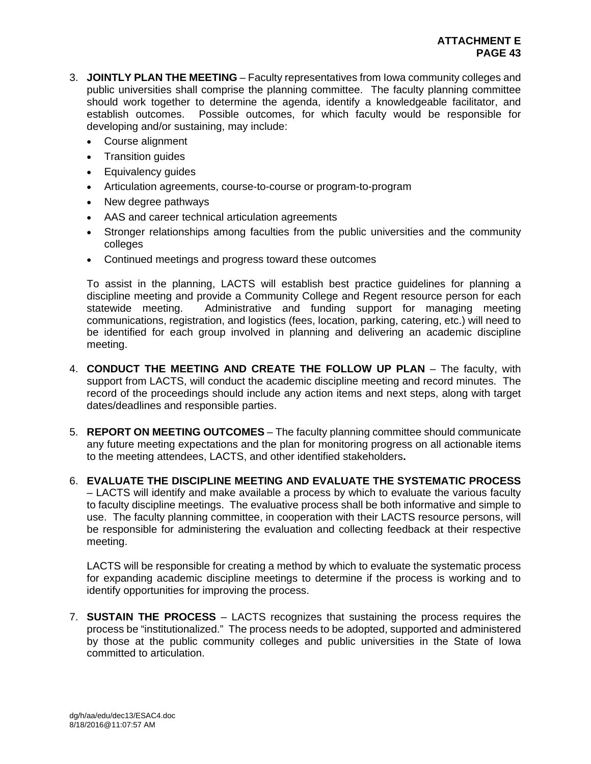- 3. **JOINTLY PLAN THE MEETING** Faculty representatives from Iowa community colleges and public universities shall comprise the planning committee. The faculty planning committee should work together to determine the agenda, identify a knowledgeable facilitator, and establish outcomes. Possible outcomes, for which faculty would be responsible for developing and/or sustaining, may include:
	- Course alignment
	- Transition quides
	- Equivalency guides
	- Articulation agreements, course-to-course or program-to-program
	- New degree pathways
	- AAS and career technical articulation agreements
	- Stronger relationships among faculties from the public universities and the community colleges
	- Continued meetings and progress toward these outcomes

To assist in the planning, LACTS will establish best practice guidelines for planning a discipline meeting and provide a Community College and Regent resource person for each statewide meeting. Administrative and funding support for managing meeting communications, registration, and logistics (fees, location, parking, catering, etc.) will need to be identified for each group involved in planning and delivering an academic discipline meeting.

- 4. **CONDUCT THE MEETING AND CREATE THE FOLLOW UP PLAN** The faculty, with support from LACTS, will conduct the academic discipline meeting and record minutes. The record of the proceedings should include any action items and next steps, along with target dates/deadlines and responsible parties.
- 5. **REPORT ON MEETING OUTCOMES** The faculty planning committee should communicate any future meeting expectations and the plan for monitoring progress on all actionable items to the meeting attendees, LACTS, and other identified stakeholders**.**
- 6. **EVALUATE THE DISCIPLINE MEETING AND EVALUATE THE SYSTEMATIC PROCESS** – LACTS will identify and make available a process by which to evaluate the various faculty to faculty discipline meetings. The evaluative process shall be both informative and simple to use. The faculty planning committee, in cooperation with their LACTS resource persons, will be responsible for administering the evaluation and collecting feedback at their respective meeting.

LACTS will be responsible for creating a method by which to evaluate the systematic process for expanding academic discipline meetings to determine if the process is working and to identify opportunities for improving the process.

7. **SUSTAIN THE PROCESS** – LACTS recognizes that sustaining the process requires the process be "institutionalized." The process needs to be adopted, supported and administered by those at the public community colleges and public universities in the State of Iowa committed to articulation.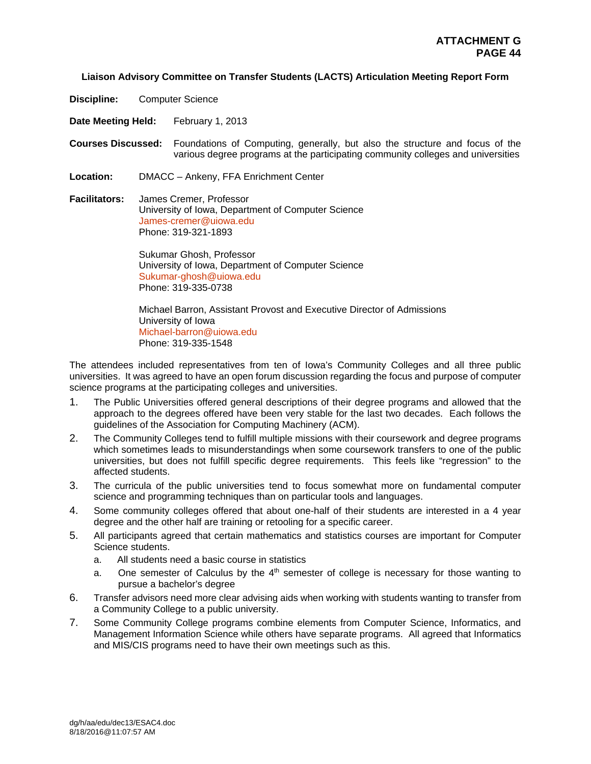#### **Liaison Advisory Committee on Transfer Students (LACTS) Articulation Meeting Report Form**

**Discipline:** Computer Science

**Date Meeting Held:** February 1, 2013

**Courses Discussed:** Foundations of Computing, generally, but also the structure and focus of the various degree programs at the participating community colleges and universities

- **Location:** DMACC Ankeny, FFA Enrichment Center
- **Facilitators:** James Cremer, Professor University of Iowa, Department of Computer Science James-cremer@uiowa.edu Phone: 319-321-1893

 Sukumar Ghosh, Professor University of Iowa, Department of Computer Science Sukumar-ghosh@uiowa.edu Phone: 319-335-0738

 Michael Barron, Assistant Provost and Executive Director of Admissions University of Iowa Michael-barron@uiowa.edu Phone: 319-335-1548

The attendees included representatives from ten of Iowa's Community Colleges and all three public universities. It was agreed to have an open forum discussion regarding the focus and purpose of computer science programs at the participating colleges and universities.

- 1. The Public Universities offered general descriptions of their degree programs and allowed that the approach to the degrees offered have been very stable for the last two decades. Each follows the guidelines of the Association for Computing Machinery (ACM).
- 2. The Community Colleges tend to fulfill multiple missions with their coursework and degree programs which sometimes leads to misunderstandings when some coursework transfers to one of the public universities, but does not fulfill specific degree requirements. This feels like "regression" to the affected students.
- 3. The curricula of the public universities tend to focus somewhat more on fundamental computer science and programming techniques than on particular tools and languages.
- 4. Some community colleges offered that about one-half of their students are interested in a 4 year degree and the other half are training or retooling for a specific career.
- 5. All participants agreed that certain mathematics and statistics courses are important for Computer Science students.
	- a. All students need a basic course in statistics
	- a. One semester of Calculus by the  $4<sup>th</sup>$  semester of college is necessary for those wanting to pursue a bachelor's degree
- 6. Transfer advisors need more clear advising aids when working with students wanting to transfer from a Community College to a public university.
- 7. Some Community College programs combine elements from Computer Science, Informatics, and Management Information Science while others have separate programs. All agreed that Informatics and MIS/CIS programs need to have their own meetings such as this.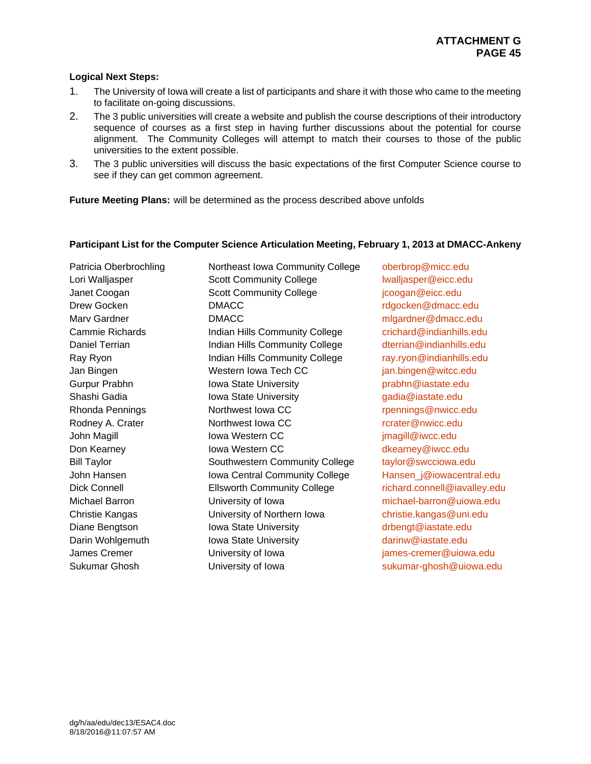# **Logical Next Steps:**

- 1. The University of Iowa will create a list of participants and share it with those who came to the meeting to facilitate on-going discussions.
- 2. The 3 public universities will create a website and publish the course descriptions of their introductory sequence of courses as a first step in having further discussions about the potential for course alignment. The Community Colleges will attempt to match their courses to those of the public universities to the extent possible.
- 3. The 3 public universities will discuss the basic expectations of the first Computer Science course to see if they can get common agreement.

**Future Meeting Plans:** will be determined as the process described above unfolds

## **Participant List for the Computer Science Articulation Meeting, February 1, 2013 at DMACC-Ankeny**

Sukumar Ghosh **Iniversity of Iowa** sukumar-ghosh@uiowa.edu

Patricia Oberbrochling Northeast Iowa Community College oberbrop@micc.edu Lori Walliasper **Scott Community College** lwalliasper@eicc.edu Janet Coogan **Scott Community College** in Scott Community College in Scott Community College in Scott Community College in Scott Community College in Scott Community College in Scott Community College in Scott Community Co Drew Gocken **DMACC** DOMACC reduced by the control of the control of the control of the DMACC reduced by the control of the control of the DMACC reduced and the control of the control of the control of the control of the co Marv Gardner **Communist Communist Communist Communist Communist Communist Communist Communist Communist Communist Communist Communist Communist Communist Communist Communist Communist Communist Communist Communist Communis** Cammie Richards **Indian Hills Community College** crichard@indianhills.edu Daniel Terrian **Indian Hills Community College** dterrian@indianhills.edu Ray Ryon **Indian Hills Community College** ray.ryon@indianhills.edu Jan Bingen **Western Iowa Tech CC** jan.bingen@witcc.edu Gurpur Prabhn **Iowa State University Communisty** prabhn@iastate.edu Shashi Gadia **Iowa State University** Gadia@iastate.edu Rhonda Pennings The Rhonda Pennings Northwest Iowa CC research Rhonda Pennings@nwicc.edu Rodney A. Crater **Northwest Iowa CC Northwest Iowa CC relatively relatively northwest Iowa CC** John Magill **Iowa Western CC** imagill@iwcc.edu Don Kearney **Inwa Western CC** Measure Rearney @iwcc.edu Bill Taylor **Southwestern Community College** taylor@swcciowa.edu John Hansen **Iowa Central Community College** Hansen j@iowacentral.edu Dick Connell **Ellsworth Community College** richard.connell@iavalley.edu Michael Barron University of Iowa michael-barron@uiowa.edu Christie Kangas University of Northern Iowa christie.kangas@uni.edu Diane Bengtson **Iowa State University** Change of the driversity driversity driversity Darin Wohlgemuth Iowa State University **Iomachus** darinw@iastate.edu James Cremer University of Iowa james-cremer@uiowa.edu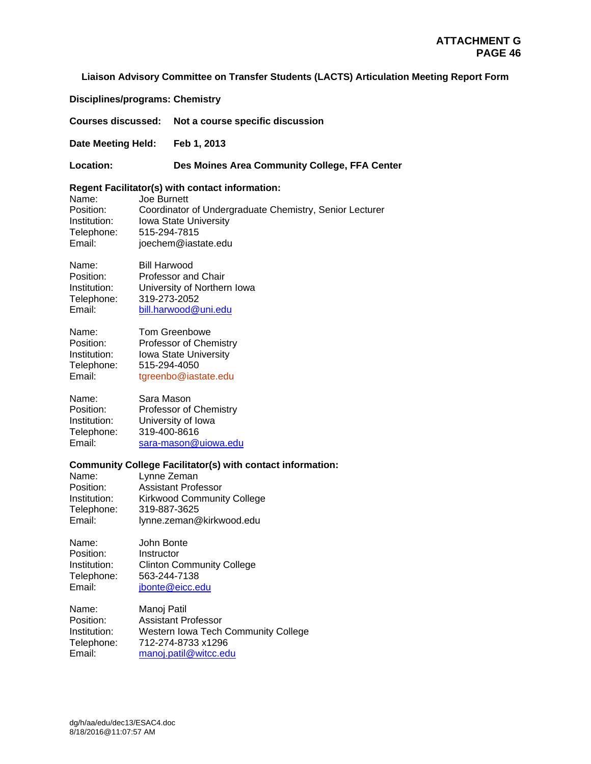#### **Liaison Advisory Committee on Transfer Students (LACTS) Articulation Meeting Report Form**

**Disciplines/programs: Chemistry** 

**Courses discussed: Not a course specific discussion** 

**Date Meeting Held: Feb 1, 2013** 

**Location: Des Moines Area Community College, FFA Center** 

#### **Regent Facilitator(s) with contact information:**

Name: Joe Burnett Position: Coordinator of Undergraduate Chemistry, Senior Lecturer<br>Institution: Iowa State University Iowa State University Telephone: 515-294-7815 Email: joechem@iastate.edu

Name: Bill Harwood<br>Position: Professor and Professor and Chair Institution: University of Northern Iowa Telephone: 319-273-2052 Email: bill.harwood@uni.edu

| Name:        | Tom Greenbowe          |
|--------------|------------------------|
| Position:    | Professor of Chemistry |
| Institution: | Iowa State University  |
| Telephone:   | 515-294-4050           |
| Email:       | tgreenbo@iastate.edu   |

Name: Sara Mason Position: Professor of Chemistry<br>Institution: University of Iowa University of Iowa Telephone: 319-400-8616 Email: sara-mason@uiowa.edu

#### **Community College Facilitator(s) with contact information:**

| Name:        | Lynne Zeman                       |
|--------------|-----------------------------------|
| Position:    | <b>Assistant Professor</b>        |
| Institution: | <b>Kirkwood Community College</b> |
| Telephone:   | 319-887-3625                      |
| Email:       | lynne.zeman@kirkwood.edu          |

Name: John Bonte Position: Instructor Institution: Clinton Community College<br>Telephone: 563-244-7138 Telephone: 563-244-7138 Email: jbonte@eicc.edu

Name: Manoj Patil<br>Position: Assistant Pi **Assistant Professor** Institution: Western Iowa Tech Community College Telephone: 712-274-8733 x1296 Email: manoj.patil@witcc.edu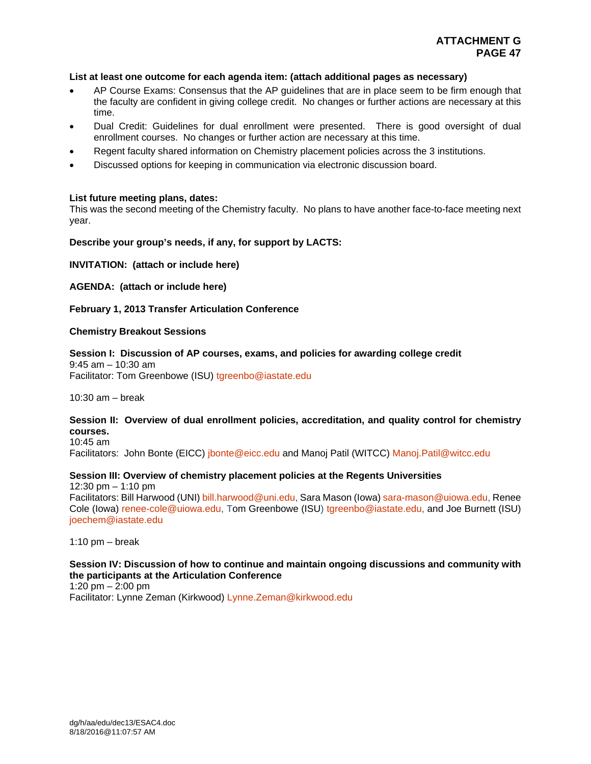#### **List at least one outcome for each agenda item: (attach additional pages as necessary)**

- AP Course Exams: Consensus that the AP guidelines that are in place seem to be firm enough that the faculty are confident in giving college credit. No changes or further actions are necessary at this time.
- Dual Credit: Guidelines for dual enrollment were presented. There is good oversight of dual enrollment courses. No changes or further action are necessary at this time.
- Regent faculty shared information on Chemistry placement policies across the 3 institutions.
- Discussed options for keeping in communication via electronic discussion board.

#### **List future meeting plans, dates:**

This was the second meeting of the Chemistry faculty. No plans to have another face-to-face meeting next year.

#### **Describe your group's needs, if any, for support by LACTS:**

**INVITATION: (attach or include here)** 

**AGENDA: (attach or include here)** 

**February 1, 2013 Transfer Articulation Conference** 

#### **Chemistry Breakout Sessions**

**Session I: Discussion of AP courses, exams, and policies for awarding college credit**  9:45 am – 10:30 am Facilitator: Tom Greenbowe (ISU) tgreenbo@iastate.edu

10:30 am – break

# **Session II: Overview of dual enrollment policies, accreditation, and quality control for chemistry courses.**

10:45 am

Facilitators: John Bonte (EICC) jbonte@eicc.edu and Manoj Patil (WITCC) Manoj.Patil@witcc.edu

# **Session III: Overview of chemistry placement policies at the Regents Universities**

12:30 pm  $-$  1:10 pm

Facilitators: Bill Harwood (UNI) bill.harwood@uni.edu, Sara Mason (Iowa) sara-mason@uiowa.edu, Renee Cole (Iowa) renee-cole@uiowa.edu, Tom Greenbowe (ISU) tgreenbo@iastate.edu, and Joe Burnett (ISU) joechem@iastate.edu

1:10 pm  $-$  break

#### **Session IV: Discussion of how to continue and maintain ongoing discussions and community with the participants at the Articulation Conference**

1:20 pm  $-$  2:00 pm Facilitator: Lynne Zeman (Kirkwood) Lynne.Zeman@kirkwood.edu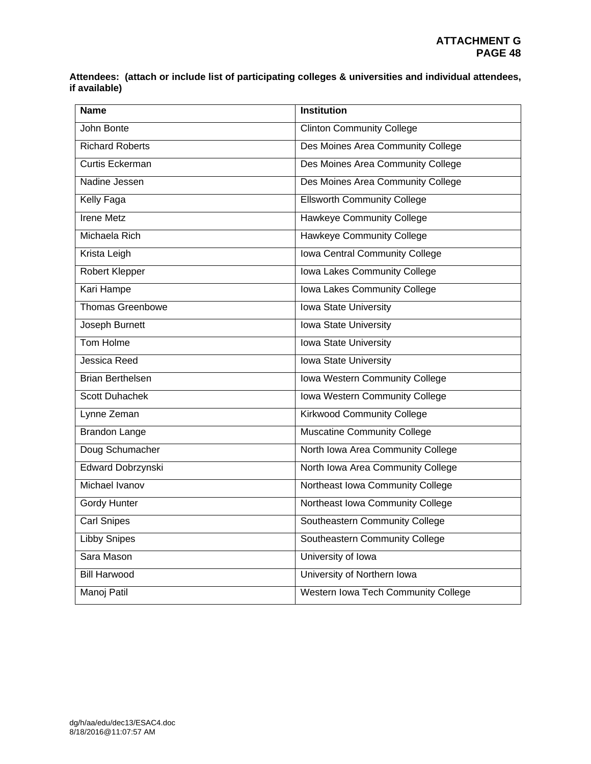**Attendees: (attach or include list of participating colleges & universities and individual attendees, if available)** 

| <b>Name</b>             | <b>Institution</b>                    |
|-------------------------|---------------------------------------|
| John Bonte              | <b>Clinton Community College</b>      |
| <b>Richard Roberts</b>  | Des Moines Area Community College     |
| <b>Curtis Eckerman</b>  | Des Moines Area Community College     |
| Nadine Jessen           | Des Moines Area Community College     |
| <b>Kelly Faga</b>       | <b>Ellsworth Community College</b>    |
| <b>Irene Metz</b>       | <b>Hawkeye Community College</b>      |
| Michaela Rich           | <b>Hawkeye Community College</b>      |
| Krista Leigh            | Iowa Central Community College        |
| <b>Robert Klepper</b>   | Iowa Lakes Community College          |
| Kari Hampe              | Iowa Lakes Community College          |
| <b>Thomas Greenbowe</b> | Iowa State University                 |
| Joseph Burnett          | <b>Iowa State University</b>          |
| Tom Holme               | <b>Iowa State University</b>          |
| Jessica Reed            | <b>Iowa State University</b>          |
| <b>Brian Berthelsen</b> | Iowa Western Community College        |
| <b>Scott Duhachek</b>   | <b>Iowa Western Community College</b> |
| Lynne Zeman             | <b>Kirkwood Community College</b>     |
| <b>Brandon Lange</b>    | <b>Muscatine Community College</b>    |
| Doug Schumacher         | North Iowa Area Community College     |
| Edward Dobrzynski       | North Iowa Area Community College     |
| Michael Ivanov          | Northeast Iowa Community College      |
| Gordy Hunter            | Northeast Iowa Community College      |
| <b>Carl Snipes</b>      | Southeastern Community College        |
| <b>Libby Snipes</b>     | Southeastern Community College        |
| Sara Mason              | University of Iowa                    |
| <b>Bill Harwood</b>     | University of Northern Iowa           |
| Manoj Patil             | Western Iowa Tech Community College   |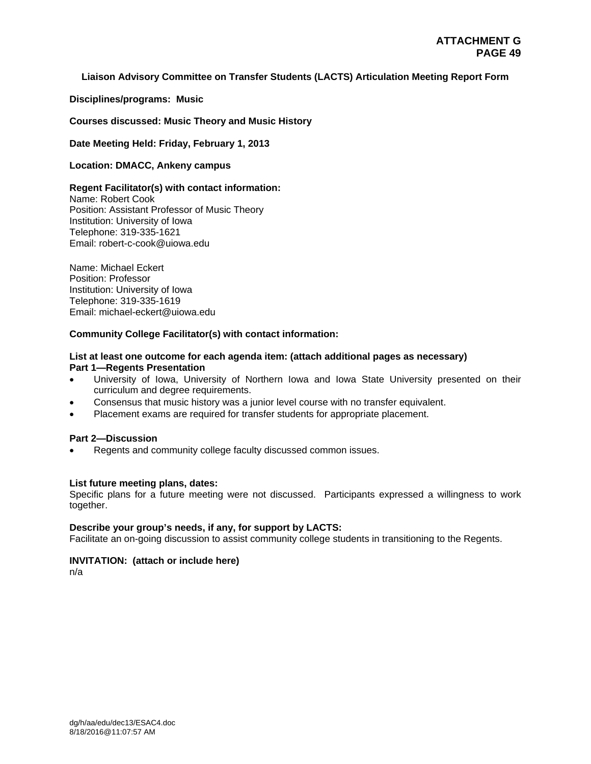## **Liaison Advisory Committee on Transfer Students (LACTS) Articulation Meeting Report Form**

**Disciplines/programs: Music** 

**Courses discussed: Music Theory and Music History** 

**Date Meeting Held: Friday, February 1, 2013** 

**Location: DMACC, Ankeny campus** 

#### **Regent Facilitator(s) with contact information:**

Name: Robert Cook Position: Assistant Professor of Music Theory Institution: University of Iowa Telephone: 319-335-1621 Email: robert-c-cook@uiowa.edu

Name: Michael Eckert Position: Professor Institution: University of Iowa Telephone: 319-335-1619 Email: michael-eckert@uiowa.edu

## **Community College Facilitator(s) with contact information:**

#### **List at least one outcome for each agenda item: (attach additional pages as necessary) Part 1—Regents Presentation**

- University of Iowa, University of Northern Iowa and Iowa State University presented on their curriculum and degree requirements.
- Consensus that music history was a junior level course with no transfer equivalent.
- Placement exams are required for transfer students for appropriate placement.

#### **Part 2—Discussion**

Regents and community college faculty discussed common issues.

#### **List future meeting plans, dates:**

Specific plans for a future meeting were not discussed. Participants expressed a willingness to work together.

#### **Describe your group's needs, if any, for support by LACTS:**

Facilitate an on-going discussion to assist community college students in transitioning to the Regents.

# **INVITATION: (attach or include here)**

n/a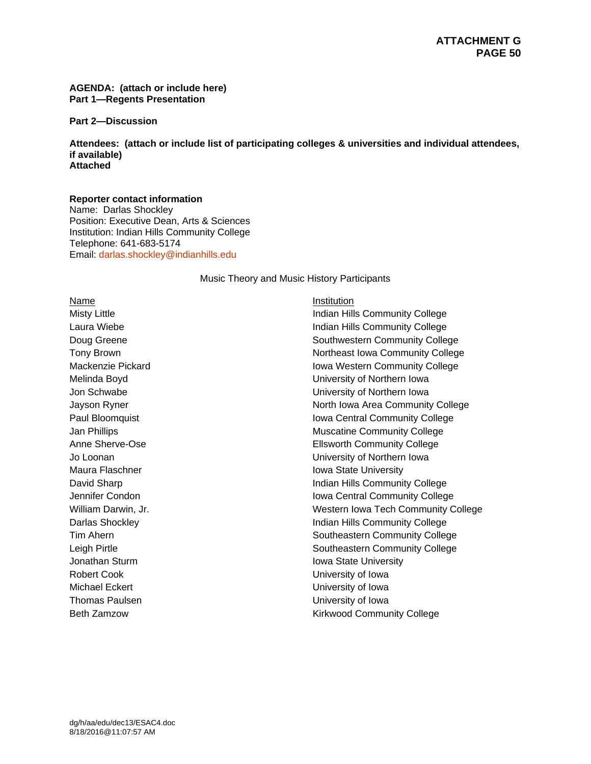#### **AGENDA: (attach or include here) Part 1—Regents Presentation**

**Part 2—Discussion** 

**Attendees: (attach or include list of participating colleges & universities and individual attendees, if available) Attached** 

#### **Reporter contact information**

Name: Darlas Shockley Position: Executive Dean, Arts & Sciences Institution: Indian Hills Community College Telephone: 641-683-5174 Email: darlas.shockley@indianhills.edu

Music Theory and Music History Participants

Name Institution Robert Cook **Notes University of Iowa** Michael Eckert **University of Iowa** Thomas Paulsen **Victor** Community of Iowa

Misty Little **Indian Hills Community College** Laura Wiebe **Indian Hills Community College** Doug Greene **Southwestern Community College** Tony Brown **Northeast Iowa Community College** Mackenzie Pickard **Iowa Western Community College** Melinda Boyd University of Northern Iowa Jon Schwabe University of Northern Iowa Jayson Ryner North Iowa Area Community College Paul Bloomquist **Iowa Central Community College** Jan Phillips **Muscatine Community College** Muscatine Community College Anne Sherve-Ose **Ellsworth Community College** Jo Loonan University of Northern Iowa Maura Flaschner **International Executive Contract Contract Contract Contract Contract Contract Contract Contract Contract Contract Contract Contract Contract Contract Contract Contract Contract Contract Contract Contract C** David Sharp **Indian Hills Community College** Jennifer Condon Iowa Central Community College William Darwin, Jr. No. 2008 and Muslim Muslim Muslim Muslim Western Iowa Tech Community College Darlas Shockley **Indian Hills Community College** Tim Ahern **Southeastern Community College Southeastern Community College** Leigh Pirtle **Southeastern Community College** Jonathan Sturm **Iowa State University** Beth Zamzow **Kirkwood Community College**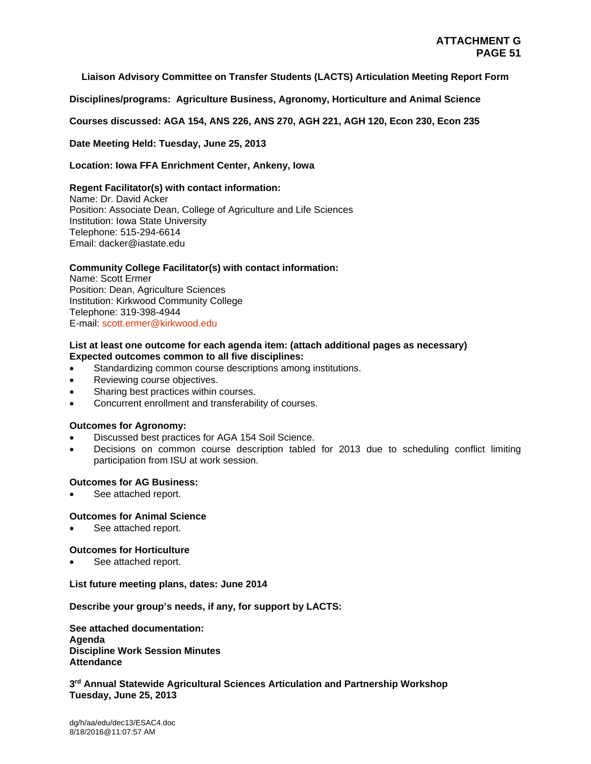#### **Liaison Advisory Committee on Transfer Students (LACTS) Articulation Meeting Report Form**

**Disciplines/programs: Agriculture Business, Agronomy, Horticulture and Animal Science** 

**Courses discussed: AGA 154, ANS 226, ANS 270, AGH 221, AGH 120, Econ 230, Econ 235** 

**Date Meeting Held: Tuesday, June 25, 2013** 

#### **Location: Iowa FFA Enrichment Center, Ankeny, Iowa**

#### **Regent Facilitator(s) with contact information:**

Name: Dr. David Acker Position: Associate Dean, College of Agriculture and Life Sciences Institution: Iowa State University Telephone: 515-294-6614 Email: dacker@iastate.edu

#### **Community College Facilitator(s) with contact information:**

Name: Scott Ermer Position: Dean, Agriculture Sciences Institution: Kirkwood Community College Telephone: 319-398-4944 E-mail: scott.ermer@kirkwood.edu

## **List at least one outcome for each agenda item: (attach additional pages as necessary) Expected outcomes common to all five disciplines:**

- Standardizing common course descriptions among institutions.
- Reviewing course objectives.
- Sharing best practices within courses.
- Concurrent enrollment and transferability of courses.

#### **Outcomes for Agronomy:**

- Discussed best practices for AGA 154 Soil Science.
- Decisions on common course description tabled for 2013 due to scheduling conflict limiting participation from ISU at work session.

#### **Outcomes for AG Business:**

See attached report.

#### **Outcomes for Animal Science**

See attached report.

#### **Outcomes for Horticulture**

See attached report.

#### **List future meeting plans, dates: June 2014**

**Describe your group's needs, if any, for support by LACTS:** 

**See attached documentation: Agenda Discipline Work Session Minutes Attendance** 

**3rd Annual Statewide Agricultural Sciences Articulation and Partnership Workshop Tuesday, June 25, 2013**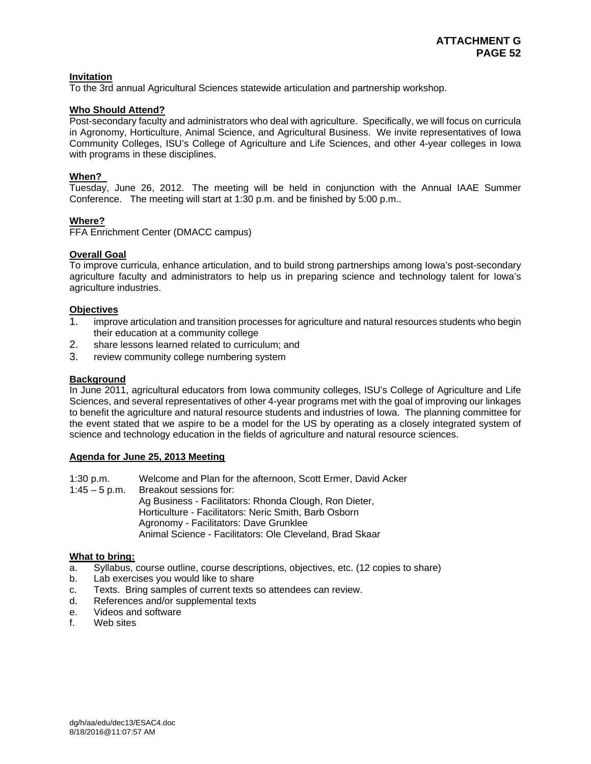## **Invitation**

To the 3rd annual Agricultural Sciences statewide articulation and partnership workshop.

## **Who Should Attend?**

Post-secondary faculty and administrators who deal with agriculture. Specifically, we will focus on curricula in Agronomy, Horticulture, Animal Science, and Agricultural Business. We invite representatives of Iowa Community Colleges, ISU's College of Agriculture and Life Sciences, and other 4-year colleges in Iowa with programs in these disciplines.

## **When?**

Tuesday, June 26, 2012. The meeting will be held in conjunction with the Annual IAAE Summer Conference. The meeting will start at 1:30 p.m. and be finished by 5:00 p.m..

## **Where?**

FFA Enrichment Center (DMACC campus)

## **Overall Goal**

To improve curricula, enhance articulation, and to build strong partnerships among Iowa's post-secondary agriculture faculty and administrators to help us in preparing science and technology talent for Iowa's agriculture industries.

## **Objectives**

- 1. improve articulation and transition processes for agriculture and natural resources students who begin their education at a community college
- 2. share lessons learned related to curriculum; and
- 3. review community college numbering system

#### **Background**

In June 2011, agricultural educators from Iowa community colleges, ISU's College of Agriculture and Life Sciences, and several representatives of other 4-year programs met with the goal of improving our linkages to benefit the agriculture and natural resource students and industries of Iowa. The planning committee for the event stated that we aspire to be a model for the US by operating as a closely integrated system of science and technology education in the fields of agriculture and natural resource sciences.

#### **Agenda for June 25, 2013 Meeting**

1:30 p.m. Welcome and Plan for the afternoon, Scott Ermer, David Acker 1:45 – 5 p.m. Breakout sessions for: Ag Business - Facilitators: Rhonda Clough, Ron Dieter, Horticulture - Facilitators: Neric Smith, Barb Osborn Agronomy - Facilitators: Dave Grunklee Animal Science - Facilitators: Ole Cleveland, Brad Skaar

## **What to bring:**

- a. Syllabus, course outline, course descriptions, objectives, etc. (12 copies to share)
- b. Lab exercises you would like to share
- c. Texts. Bring samples of current texts so attendees can review.
- d. References and/or supplemental texts
- e. Videos and software
- f. Web sites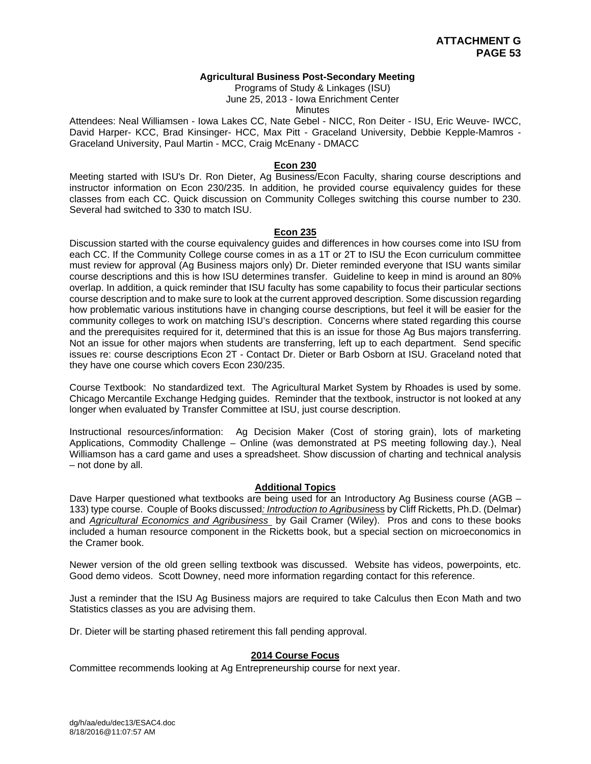#### **Agricultural Business Post-Secondary Meeting**

Programs of Study & Linkages (ISU)

June 25, 2013 - Iowa Enrichment Center

**Minutes** 

Attendees: Neal Williamsen - Iowa Lakes CC, Nate Gebel - NICC, Ron Deiter - ISU, Eric Weuve- IWCC, David Harper- KCC, Brad Kinsinger- HCC, Max Pitt - Graceland University, Debbie Kepple-Mamros - Graceland University, Paul Martin - MCC, Craig McEnany - DMACC

#### **Econ 230**

Meeting started with ISU's Dr. Ron Dieter, Ag Business/Econ Faculty, sharing course descriptions and instructor information on Econ 230/235. In addition, he provided course equivalency guides for these classes from each CC. Quick discussion on Community Colleges switching this course number to 230. Several had switched to 330 to match ISU.

#### **Econ 235**

Discussion started with the course equivalency guides and differences in how courses come into ISU from each CC. If the Community College course comes in as a 1T or 2T to ISU the Econ curriculum committee must review for approval (Ag Business majors only) Dr. Dieter reminded everyone that ISU wants similar course descriptions and this is how ISU determines transfer. Guideline to keep in mind is around an 80% overlap. In addition, a quick reminder that ISU faculty has some capability to focus their particular sections course description and to make sure to look at the current approved description. Some discussion regarding how problematic various institutions have in changing course descriptions, but feel it will be easier for the community colleges to work on matching ISU's description. Concerns where stated regarding this course and the prerequisites required for it, determined that this is an issue for those Ag Bus majors transferring. Not an issue for other majors when students are transferring, left up to each department. Send specific issues re: course descriptions Econ 2T - Contact Dr. Dieter or Barb Osborn at ISU. Graceland noted that they have one course which covers Econ 230/235.

Course Textbook: No standardized text. The Agricultural Market System by Rhoades is used by some. Chicago Mercantile Exchange Hedging guides. Reminder that the textbook, instructor is not looked at any longer when evaluated by Transfer Committee at ISU, just course description.

Instructional resources/information: Ag Decision Maker (Cost of storing grain), lots of marketing Applications, Commodity Challenge – Online (was demonstrated at PS meeting following day.), Neal Williamson has a card game and uses a spreadsheet. Show discussion of charting and technical analysis – not done by all.

#### **Additional Topics**

Dave Harper questioned what textbooks are being used for an Introductory Ag Business course (AGB – 133) type course.Couple of Books discussed*: Introduction to Agribusine*ss by Cliff Ricketts, Ph.D. (Delmar) and *Agricultural Economics and Agribusiness* by Gail Cramer (Wiley). Pros and cons to these books included a human resource component in the Ricketts book, but a special section on microeconomics in the Cramer book.

Newer version of the old green selling textbook was discussed. Website has videos, powerpoints, etc. Good demo videos. Scott Downey, need more information regarding contact for this reference.

Just a reminder that the ISU Ag Business majors are required to take Calculus then Econ Math and two Statistics classes as you are advising them.

Dr. Dieter will be starting phased retirement this fall pending approval.

#### **2014 Course Focus**

Committee recommends looking at Ag Entrepreneurship course for next year.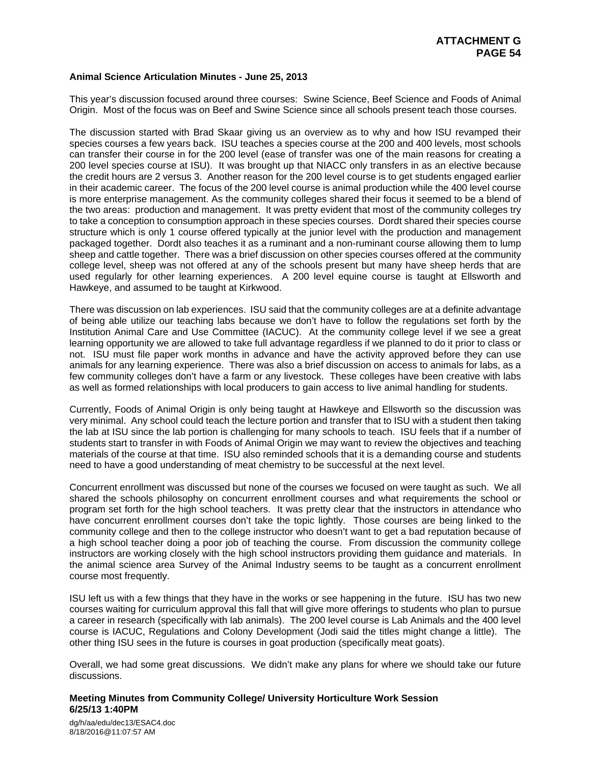#### **Animal Science Articulation Minutes - June 25, 2013**

This year's discussion focused around three courses: Swine Science, Beef Science and Foods of Animal Origin. Most of the focus was on Beef and Swine Science since all schools present teach those courses.

The discussion started with Brad Skaar giving us an overview as to why and how ISU revamped their species courses a few years back. ISU teaches a species course at the 200 and 400 levels, most schools can transfer their course in for the 200 level (ease of transfer was one of the main reasons for creating a 200 level species course at ISU). It was brought up that NIACC only transfers in as an elective because the credit hours are 2 versus 3. Another reason for the 200 level course is to get students engaged earlier in their academic career. The focus of the 200 level course is animal production while the 400 level course is more enterprise management. As the community colleges shared their focus it seemed to be a blend of the two areas: production and management. It was pretty evident that most of the community colleges try to take a conception to consumption approach in these species courses. Dordt shared their species course structure which is only 1 course offered typically at the junior level with the production and management packaged together. Dordt also teaches it as a ruminant and a non-ruminant course allowing them to lump sheep and cattle together. There was a brief discussion on other species courses offered at the community college level, sheep was not offered at any of the schools present but many have sheep herds that are used regularly for other learning experiences. A 200 level equine course is taught at Ellsworth and Hawkeye, and assumed to be taught at Kirkwood.

There was discussion on lab experiences. ISU said that the community colleges are at a definite advantage of being able utilize our teaching labs because we don't have to follow the regulations set forth by the Institution Animal Care and Use Committee (IACUC). At the community college level if we see a great learning opportunity we are allowed to take full advantage regardless if we planned to do it prior to class or not. ISU must file paper work months in advance and have the activity approved before they can use animals for any learning experience. There was also a brief discussion on access to animals for labs, as a few community colleges don't have a farm or any livestock. These colleges have been creative with labs as well as formed relationships with local producers to gain access to live animal handling for students.

Currently, Foods of Animal Origin is only being taught at Hawkeye and Ellsworth so the discussion was very minimal. Any school could teach the lecture portion and transfer that to ISU with a student then taking the lab at ISU since the lab portion is challenging for many schools to teach. ISU feels that if a number of students start to transfer in with Foods of Animal Origin we may want to review the objectives and teaching materials of the course at that time. ISU also reminded schools that it is a demanding course and students need to have a good understanding of meat chemistry to be successful at the next level.

Concurrent enrollment was discussed but none of the courses we focused on were taught as such. We all shared the schools philosophy on concurrent enrollment courses and what requirements the school or program set forth for the high school teachers. It was pretty clear that the instructors in attendance who have concurrent enrollment courses don't take the topic lightly. Those courses are being linked to the community college and then to the college instructor who doesn't want to get a bad reputation because of a high school teacher doing a poor job of teaching the course. From discussion the community college instructors are working closely with the high school instructors providing them guidance and materials. In the animal science area Survey of the Animal Industry seems to be taught as a concurrent enrollment course most frequently.

ISU left us with a few things that they have in the works or see happening in the future. ISU has two new courses waiting for curriculum approval this fall that will give more offerings to students who plan to pursue a career in research (specifically with lab animals). The 200 level course is Lab Animals and the 400 level course is IACUC, Regulations and Colony Development (Jodi said the titles might change a little). The other thing ISU sees in the future is courses in goat production (specifically meat goats).

Overall, we had some great discussions. We didn't make any plans for where we should take our future discussions.

#### **Meeting Minutes from Community College/ University Horticulture Work Session 6/25/13 1:40PM**

dg/h/aa/edu/dec13/ESAC4.doc 8/18/2016@11:07:57 AM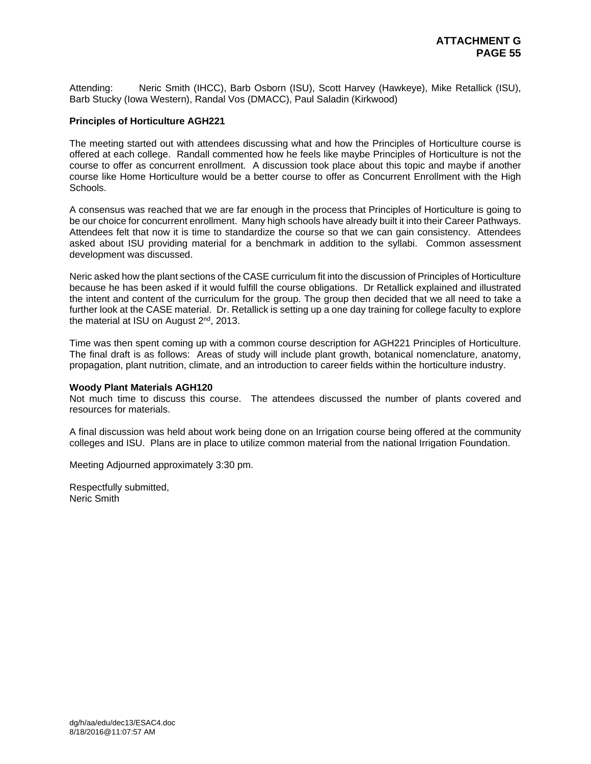Attending: Neric Smith (IHCC), Barb Osborn (ISU), Scott Harvey (Hawkeye), Mike Retallick (ISU), Barb Stucky (Iowa Western), Randal Vos (DMACC), Paul Saladin (Kirkwood)

#### **Principles of Horticulture AGH221**

The meeting started out with attendees discussing what and how the Principles of Horticulture course is offered at each college. Randall commented how he feels like maybe Principles of Horticulture is not the course to offer as concurrent enrollment. A discussion took place about this topic and maybe if another course like Home Horticulture would be a better course to offer as Concurrent Enrollment with the High Schools.

A consensus was reached that we are far enough in the process that Principles of Horticulture is going to be our choice for concurrent enrollment. Many high schools have already built it into their Career Pathways. Attendees felt that now it is time to standardize the course so that we can gain consistency. Attendees asked about ISU providing material for a benchmark in addition to the syllabi. Common assessment development was discussed.

Neric asked how the plant sections of the CASE curriculum fit into the discussion of Principles of Horticulture because he has been asked if it would fulfill the course obligations. Dr Retallick explained and illustrated the intent and content of the curriculum for the group. The group then decided that we all need to take a further look at the CASE material. Dr. Retallick is setting up a one day training for college faculty to explore the material at ISU on August 2<sup>nd</sup>, 2013.

Time was then spent coming up with a common course description for AGH221 Principles of Horticulture. The final draft is as follows: Areas of study will include plant growth, botanical nomenclature, anatomy, propagation, plant nutrition, climate, and an introduction to career fields within the horticulture industry.

#### **Woody Plant Materials AGH120**

Not much time to discuss this course. The attendees discussed the number of plants covered and resources for materials.

A final discussion was held about work being done on an Irrigation course being offered at the community colleges and ISU. Plans are in place to utilize common material from the national Irrigation Foundation.

Meeting Adjourned approximately 3:30 pm.

Respectfully submitted, Neric Smith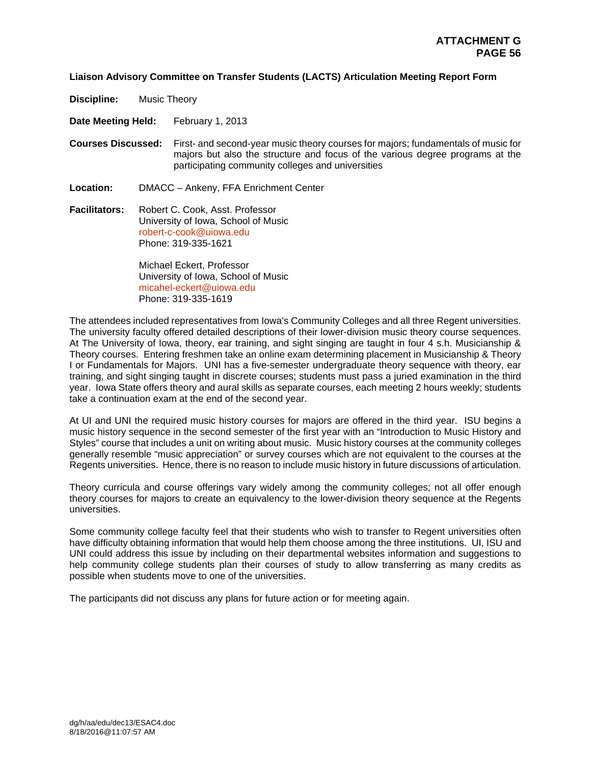#### **Liaison Advisory Committee on Transfer Students (LACTS) Articulation Meeting Report Form**

**Discipline:** Music Theory

**Date Meeting Held:** February 1, 2013

**Courses Discussed:** First- and second-year music theory courses for majors; fundamentals of music for majors but also the structure and focus of the various degree programs at the participating community colleges and universities

**Location:** DMACC – Ankeny, FFA Enrichment Center

**Facilitators:** Robert C. Cook, Asst. Professor University of Iowa, School of Music robert-c-cook@uiowa.edu Phone: 319-335-1621

> Michael Eckert, Professor University of Iowa, School of Music micahel-eckert@uiowa.edu Phone: 319-335-1619

The attendees included representatives from Iowa's Community Colleges and all three Regent universities. The university faculty offered detailed descriptions of their lower-division music theory course sequences. At The University of Iowa, theory, ear training, and sight singing are taught in four 4 s.h. Musicianship & Theory courses. Entering freshmen take an online exam determining placement in Musicianship & Theory I or Fundamentals for Majors. UNI has a five-semester undergraduate theory sequence with theory, ear training, and sight singing taught in discrete courses; students must pass a juried examination in the third year. Iowa State offers theory and aural skills as separate courses, each meeting 2 hours weekly; students take a continuation exam at the end of the second year.

At UI and UNI the required music history courses for majors are offered in the third year. ISU begins a music history sequence in the second semester of the first year with an "Introduction to Music History and Styles" course that includes a unit on writing about music. Music history courses at the community colleges generally resemble "music appreciation" or survey courses which are not equivalent to the courses at the Regents universities. Hence, there is no reason to include music history in future discussions of articulation.

Theory curricula and course offerings vary widely among the community colleges; not all offer enough theory courses for majors to create an equivalency to the lower-division theory sequence at the Regents universities.

Some community college faculty feel that their students who wish to transfer to Regent universities often have difficulty obtaining information that would help them choose among the three institutions. UI, ISU and UNI could address this issue by including on their departmental websites information and suggestions to help community college students plan their courses of study to allow transferring as many credits as possible when students move to one of the universities.

The participants did not discuss any plans for future action or for meeting again.